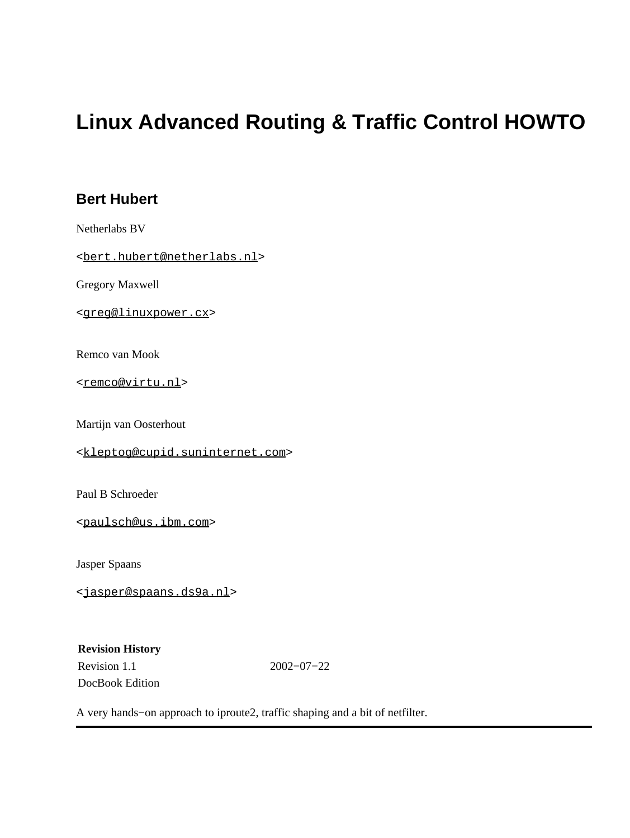### **Bert Hubert**

Netherlabs BV

<[bert.hubert@netherlabs.nl>](mailto:bert.hubert@netherlabs.nl)

Gregory Maxwell

<[greg@linuxpower.cx](mailto:greg@linuxpower.cx)>

Remco van Mook

<[remco@virtu.nl>](mailto:remco@virtu.nl)

Martijn van Oosterhout

<[kleptog@cupid.suninternet.com](mailto:kleptog@cupid.suninternet.com)>

Paul B Schroeder

<[paulsch@us.ibm.com](mailto:paulsch@us.ibm.com)>

Jasper Spaans

<[jasper@spaans.ds9a.nl](mailto:jasper@spaans.ds9a.nl)>

**Revision History** Revision 1.1 2002−07−22 DocBook Edition

A very hands−on approach to iproute2, traffic shaping and a bit of netfilter.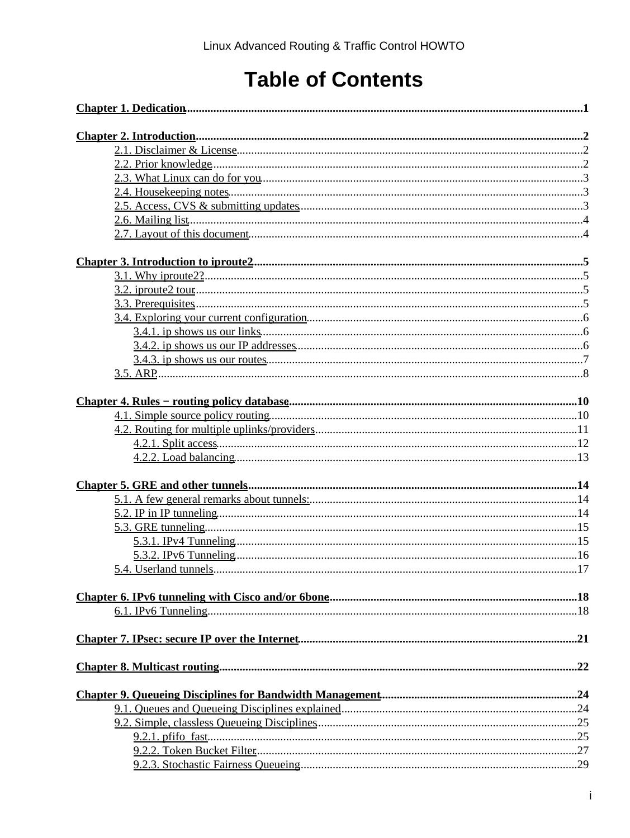# **Table of Contents**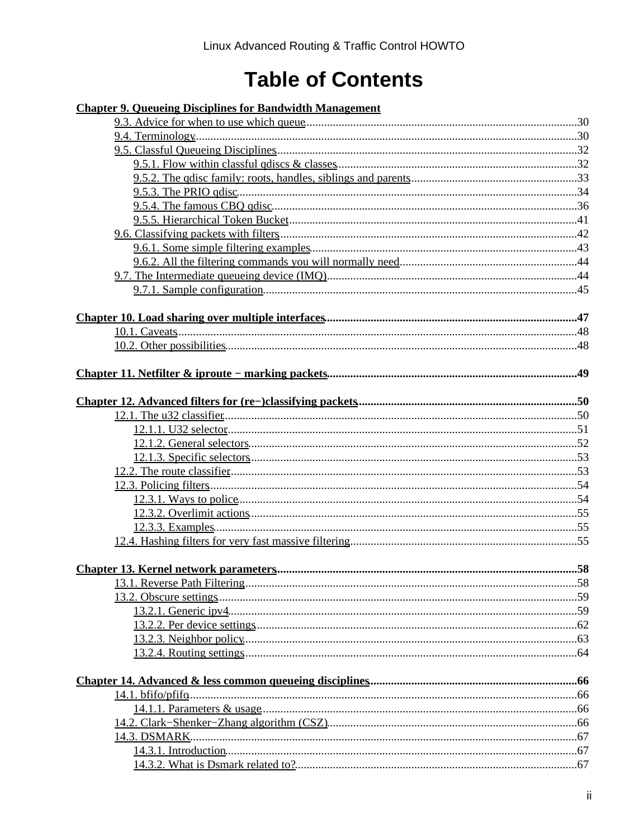# **Table of Contents**

| <b>Chapter 9. Oueueing Disciplines for Bandwidth Management</b> |     |
|-----------------------------------------------------------------|-----|
|                                                                 |     |
|                                                                 |     |
|                                                                 |     |
|                                                                 |     |
|                                                                 |     |
|                                                                 |     |
|                                                                 |     |
|                                                                 |     |
|                                                                 |     |
|                                                                 |     |
|                                                                 |     |
|                                                                 |     |
|                                                                 |     |
|                                                                 |     |
|                                                                 |     |
|                                                                 |     |
|                                                                 |     |
|                                                                 |     |
|                                                                 |     |
|                                                                 |     |
|                                                                 |     |
|                                                                 |     |
|                                                                 |     |
|                                                                 |     |
|                                                                 |     |
|                                                                 |     |
|                                                                 |     |
|                                                                 |     |
| <b>Chapter 13. Kernel network parameters</b>                    | .58 |
|                                                                 |     |
|                                                                 |     |
|                                                                 |     |
|                                                                 |     |
|                                                                 |     |
|                                                                 |     |
|                                                                 |     |
|                                                                 |     |
|                                                                 |     |
|                                                                 |     |
|                                                                 |     |
|                                                                 |     |
|                                                                 |     |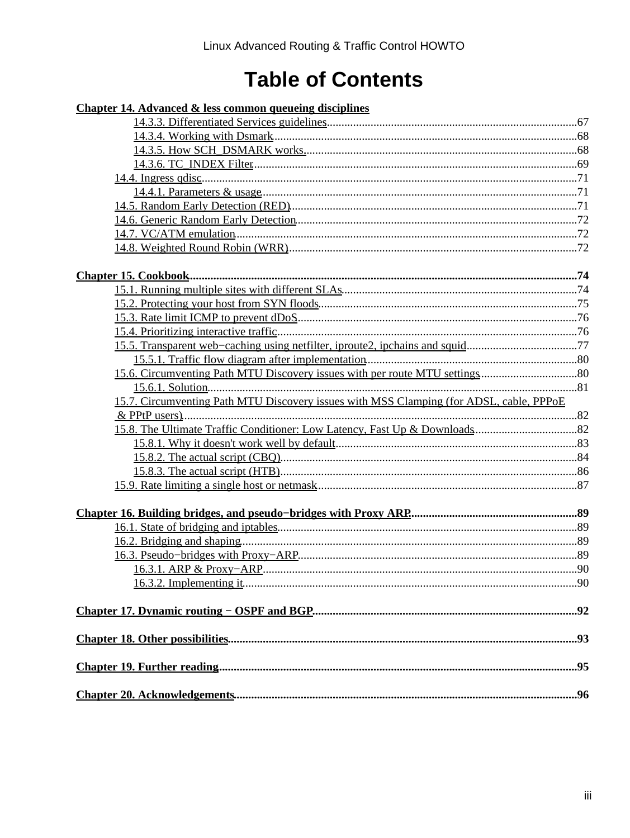## **Table of Contents**

| <b>Chapter 14. Advanced &amp; less common queueing disciplines</b>                      |  |
|-----------------------------------------------------------------------------------------|--|
|                                                                                         |  |
|                                                                                         |  |
|                                                                                         |  |
|                                                                                         |  |
|                                                                                         |  |
|                                                                                         |  |
|                                                                                         |  |
|                                                                                         |  |
|                                                                                         |  |
|                                                                                         |  |
|                                                                                         |  |
|                                                                                         |  |
|                                                                                         |  |
|                                                                                         |  |
|                                                                                         |  |
| 15.5. Transparent web-caching using netfilter, iproute2, ipchains and squid77           |  |
|                                                                                         |  |
|                                                                                         |  |
|                                                                                         |  |
| 15.7. Circumventing Path MTU Discovery issues with MSS Clamping (for ADSL, cable, PPPoE |  |
|                                                                                         |  |
|                                                                                         |  |
|                                                                                         |  |
|                                                                                         |  |
|                                                                                         |  |
|                                                                                         |  |
|                                                                                         |  |
|                                                                                         |  |
|                                                                                         |  |
|                                                                                         |  |
|                                                                                         |  |
|                                                                                         |  |
|                                                                                         |  |
|                                                                                         |  |
|                                                                                         |  |
|                                                                                         |  |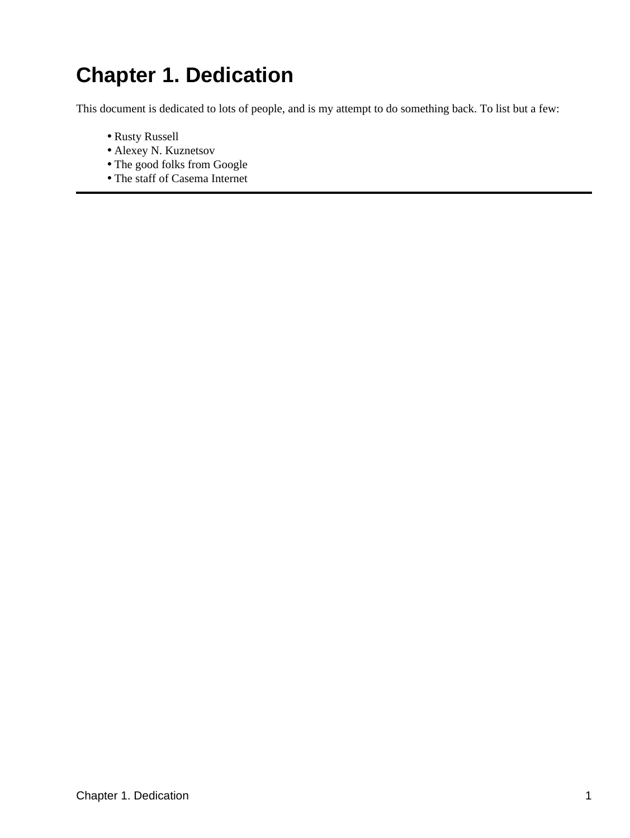# <span id="page-4-0"></span>**Chapter 1. Dedication**

This document is dedicated to lots of people, and is my attempt to do something back. To list but a few:

- Rusty Russell
- Alexey N. Kuznetsov
- The good folks from Google
- The staff of Casema Internet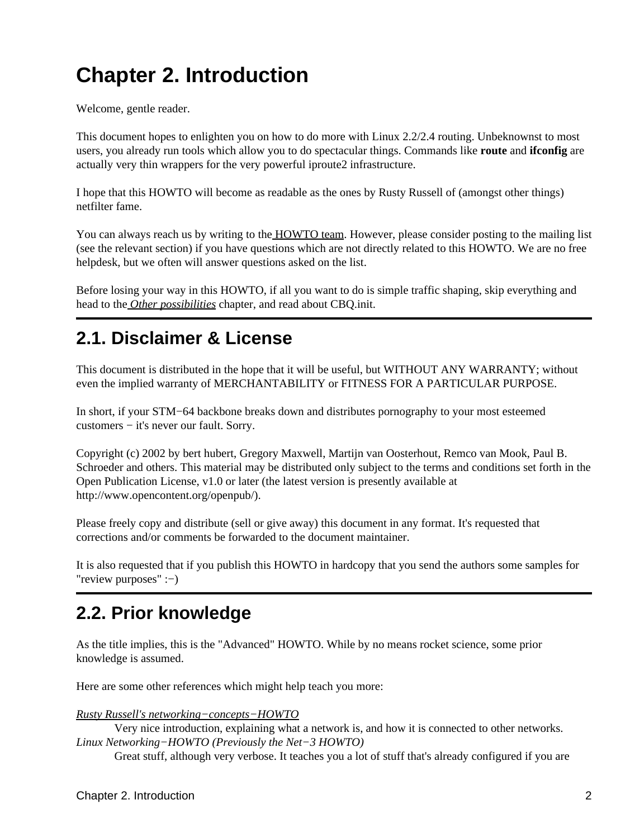# <span id="page-5-0"></span>**Chapter 2. Introduction**

Welcome, gentle reader.

This document hopes to enlighten you on how to do more with Linux 2.2/2.4 routing. Unbeknownst to most users, you already run tools which allow you to do spectacular things. Commands like **route** and **ifconfig** are actually very thin wrappers for the very powerful iproute2 infrastructure.

I hope that this HOWTO will become as readable as the ones by Rusty Russell of (amongst other things) netfilter fame.

You can always reach us by writing to th[e HOWTO team.](mailto:HOWTO@ds9a.nl) However, please consider posting to the mailing list (see the relevant section) if you have questions which are not directly related to this HOWTO. We are no free helpdesk, but we often will answer questions asked on the list.

Before losing your way in this HOWTO, if all you want to do is simple traffic shaping, skip everything and head to the *[Other possibilities](#page-96-0)* chapter, and read about CBQ.init.

## <span id="page-5-1"></span>**2.1. Disclaimer & License**

This document is distributed in the hope that it will be useful, but WITHOUT ANY WARRANTY; without even the implied warranty of MERCHANTABILITY or FITNESS FOR A PARTICULAR PURPOSE.

In short, if your STM−64 backbone breaks down and distributes pornography to your most esteemed customers − it's never our fault. Sorry.

Copyright (c) 2002 by bert hubert, Gregory Maxwell, Martijn van Oosterhout, Remco van Mook, Paul B. Schroeder and others. This material may be distributed only subject to the terms and conditions set forth in the Open Publication License, v1.0 or later (the latest version is presently available at http://www.opencontent.org/openpub/).

Please freely copy and distribute (sell or give away) this document in any format. It's requested that corrections and/or comments be forwarded to the document maintainer.

It is also requested that if you publish this HOWTO in hardcopy that you send the authors some samples for "review purposes" :−)

## <span id="page-5-2"></span>**2.2. Prior knowledge**

As the title implies, this is the "Advanced" HOWTO. While by no means rocket science, some prior knowledge is assumed.

Here are some other references which might help teach you more:

*[Rusty Russell's networking−concepts−HOWTO](http://netfilter.samba.org/unreliable-guides/networking-concepts-HOWTO/index.html)*

Very nice introduction, explaining what a network is, and how it is connected to other networks. *Linux Networking−HOWTO (Previously the Net−3 HOWTO)*

Great stuff, although very verbose. It teaches you a lot of stuff that's already configured if you are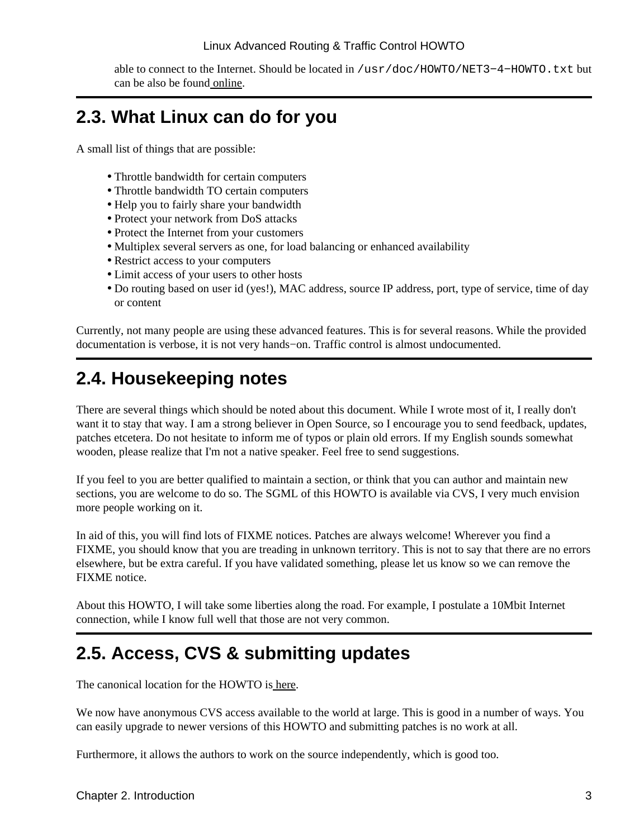able to connect to the Internet. Should be located in /usr/doc/HOWTO/NET3-4-HOWTO.txt but can be also be foun[d online.](http://www.linuxports.com/howto/networking)

### <span id="page-6-0"></span>**2.3. What Linux can do for you**

A small list of things that are possible:

- Throttle bandwidth for certain computers
- Throttle bandwidth TO certain computers
- Help you to fairly share your bandwidth
- Protect your network from DoS attacks
- Protect the Internet from your customers
- Multiplex several servers as one, for load balancing or enhanced availability
- Restrict access to your computers
- Limit access of your users to other hosts
- Do routing based on user id (yes!), MAC address, source IP address, port, type of service, time of day or content

Currently, not many people are using these advanced features. This is for several reasons. While the provided documentation is verbose, it is not very hands−on. Traffic control is almost undocumented.

## <span id="page-6-1"></span>**2.4. Housekeeping notes**

There are several things which should be noted about this document. While I wrote most of it, I really don't want it to stay that way. I am a strong believer in Open Source, so I encourage you to send feedback, updates, patches etcetera. Do not hesitate to inform me of typos or plain old errors. If my English sounds somewhat wooden, please realize that I'm not a native speaker. Feel free to send suggestions.

If you feel to you are better qualified to maintain a section, or think that you can author and maintain new sections, you are welcome to do so. The SGML of this HOWTO is available via CVS, I very much envision more people working on it.

In aid of this, you will find lots of FIXME notices. Patches are always welcome! Wherever you find a FIXME, you should know that you are treading in unknown territory. This is not to say that there are no errors elsewhere, but be extra careful. If you have validated something, please let us know so we can remove the FIXME notice.

About this HOWTO, I will take some liberties along the road. For example, I postulate a 10Mbit Internet connection, while I know full well that those are not very common.

## <span id="page-6-2"></span>**2.5. Access, CVS & submitting updates**

The canonical location for the HOWTO is [here](http://www.ds9a.nl/lartc).

We now have anonymous CVS access available to the world at large. This is good in a number of ways. You can easily upgrade to newer versions of this HOWTO and submitting patches is no work at all.

Furthermore, it allows the authors to work on the source independently, which is good too.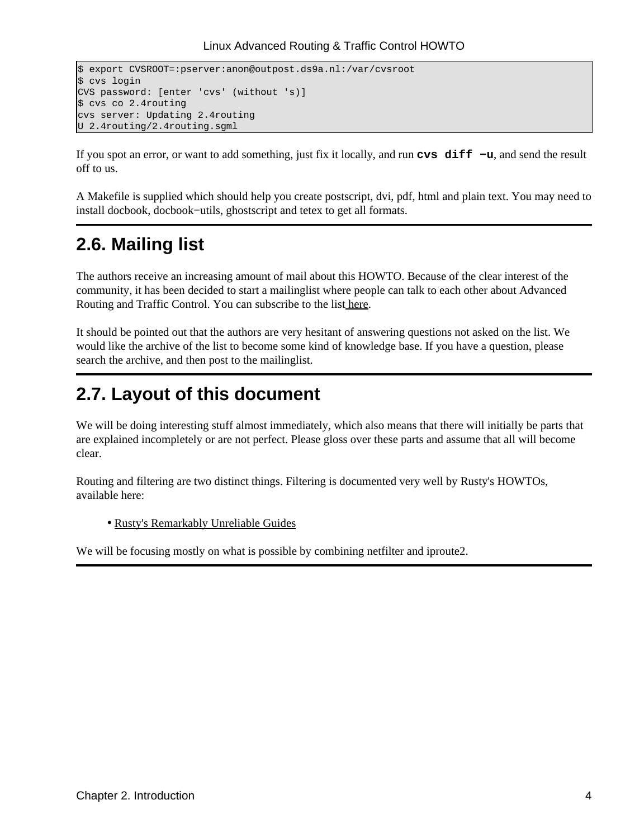```
$ export CVSROOT=:pserver:anon@outpost.ds9a.nl:/var/cvsroot
$ cvs login
CVS password: [enter 'cvs' (without 's)]
$ cvs co 2.4routing
cvs server: Updating 2.4routing
U 2.4routing/2.4routing.sgml
```
If you spot an error, or want to add something, just fix it locally, and run **cvs diff −u**, and send the result off to us.

A Makefile is supplied which should help you create postscript, dvi, pdf, html and plain text. You may need to install docbook, docbook−utils, ghostscript and tetex to get all formats.

## <span id="page-7-0"></span>**2.6. Mailing list**

The authors receive an increasing amount of mail about this HOWTO. Because of the clear interest of the community, it has been decided to start a mailinglist where people can talk to each other about Advanced Routing and Traffic Control. You can subscribe to the lis[t here.](http://mailman.ds9a.nl/mailman/listinfo/lartc)

It should be pointed out that the authors are very hesitant of answering questions not asked on the list. We would like the archive of the list to become some kind of knowledge base. If you have a question, please search the archive, and then post to the mailinglist.

### <span id="page-7-1"></span>**2.7. Layout of this document**

We will be doing interesting stuff almost immediately, which also means that there will initially be parts that are explained incompletely or are not perfect. Please gloss over these parts and assume that all will become clear.

Routing and filtering are two distinct things. Filtering is documented very well by Rusty's HOWTOs, available here:

• [Rusty's Remarkably Unreliable Guides](http://netfilter.samba.org/unreliable-guides/)

We will be focusing mostly on what is possible by combining netfilter and iproute2.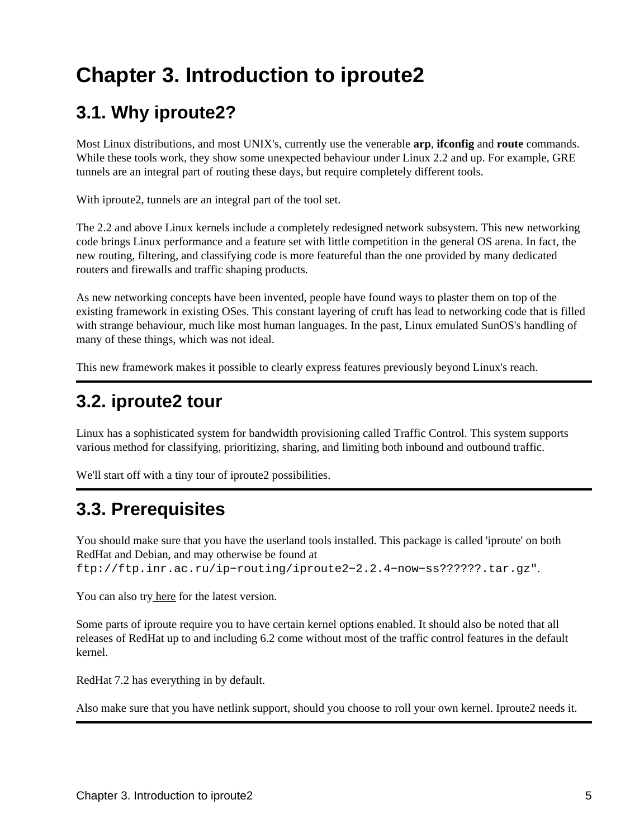# <span id="page-8-0"></span>**Chapter 3. Introduction to iproute2**

## <span id="page-8-1"></span>**3.1. Why iproute2?**

Most Linux distributions, and most UNIX's, currently use the venerable **arp**, **ifconfig** and **route** commands. While these tools work, they show some unexpected behaviour under Linux 2.2 and up. For example, GRE tunnels are an integral part of routing these days, but require completely different tools.

With iproute2, tunnels are an integral part of the tool set.

The 2.2 and above Linux kernels include a completely redesigned network subsystem. This new networking code brings Linux performance and a feature set with little competition in the general OS arena. In fact, the new routing, filtering, and classifying code is more featureful than the one provided by many dedicated routers and firewalls and traffic shaping products.

As new networking concepts have been invented, people have found ways to plaster them on top of the existing framework in existing OSes. This constant layering of cruft has lead to networking code that is filled with strange behaviour, much like most human languages. In the past, Linux emulated SunOS's handling of many of these things, which was not ideal.

This new framework makes it possible to clearly express features previously beyond Linux's reach.

## <span id="page-8-2"></span>**3.2. iproute2 tour**

Linux has a sophisticated system for bandwidth provisioning called Traffic Control. This system supports various method for classifying, prioritizing, sharing, and limiting both inbound and outbound traffic.

We'll start off with a tiny tour of iproute2 possibilities.

## <span id="page-8-3"></span>**3.3. Prerequisites**

You should make sure that you have the userland tools installed. This package is called 'iproute' on both RedHat and Debian, and may otherwise be found at ftp://ftp.inr.ac.ru/ip−routing/iproute2−2.2.4−now−ss??????.tar.gz".

You can also tr[y here](ftp://ftp.inr.ac.ru/ip-routing/iproute2-current.tar.gz) for the latest version.

Some parts of iproute require you to have certain kernel options enabled. It should also be noted that all releases of RedHat up to and including 6.2 come without most of the traffic control features in the default kernel.

RedHat 7.2 has everything in by default.

Also make sure that you have netlink support, should you choose to roll your own kernel. Iproute2 needs it.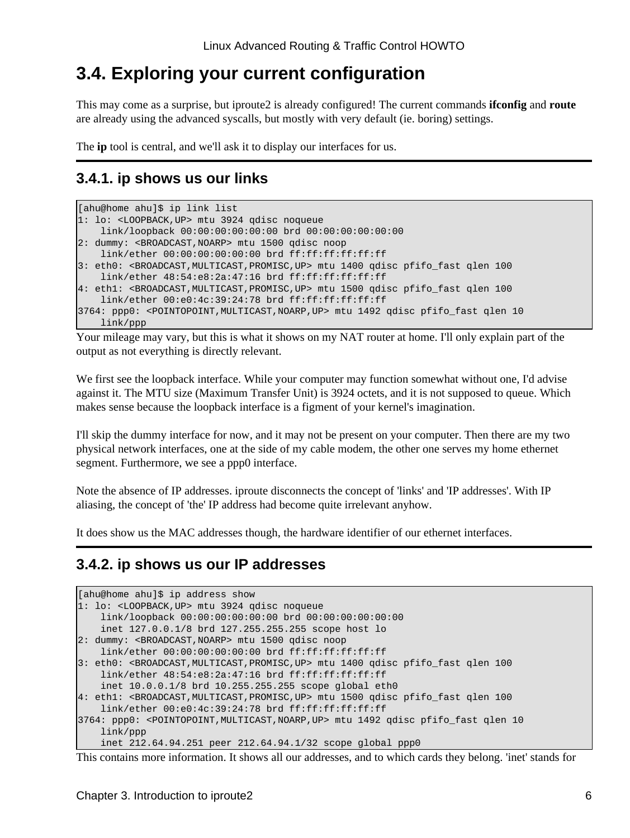### <span id="page-9-0"></span>**3.4. Exploring your current configuration**

This may come as a surprise, but iproute2 is already configured! The current commands **ifconfig** and **route** are already using the advanced syscalls, but mostly with very default (ie. boring) settings.

The **ip** tool is central, and we'll ask it to display our interfaces for us.

### <span id="page-9-1"></span>**3.4.1. ip shows us our links**

```
[ahu@home ahu]$ ip link list
1: lo: <LOOPBACK,UP> mtu 3924 qdisc noqueue 
    link/loopback 00:00:00:00:00:00 brd 00:00:00:00:00:00
2: dummy: <BROADCAST,NOARP> mtu 1500 qdisc noop 
    link/ether 00:00:00:00:00:00 brd ff:ff:ff:ff:ff:ff
3: eth0: <BROADCAST,MULTICAST,PROMISC,UP> mtu 1400 qdisc pfifo_fast qlen 100
   link/ether 48:54:e8:2a:47:16 brd ff:ff:ff:ff:ff:ff
4: eth1: <BROADCAST,MULTICAST,PROMISC,UP> mtu 1500 qdisc pfifo_fast qlen 100
    link/ether 00:e0:4c:39:24:78 brd ff:ff:ff:ff:ff:ff
3764: ppp0: <POINTOPOINT,MULTICAST,NOARP,UP> mtu 1492 qdisc pfifo_fast qlen 10
    link/ppp
```
Your mileage may vary, but this is what it shows on my NAT router at home. I'll only explain part of the output as not everything is directly relevant.

We first see the loopback interface. While your computer may function somewhat without one, I'd advise against it. The MTU size (Maximum Transfer Unit) is 3924 octets, and it is not supposed to queue. Which makes sense because the loopback interface is a figment of your kernel's imagination.

I'll skip the dummy interface for now, and it may not be present on your computer. Then there are my two physical network interfaces, one at the side of my cable modem, the other one serves my home ethernet segment. Furthermore, we see a ppp0 interface.

Note the absence of IP addresses. iproute disconnects the concept of 'links' and 'IP addresses'. With IP aliasing, the concept of 'the' IP address had become quite irrelevant anyhow.

It does show us the MAC addresses though, the hardware identifier of our ethernet interfaces.

### <span id="page-9-2"></span>**3.4.2. ip shows us our IP addresses**

```
[ahu@home ahu]$ ip address show 
1: lo: <LOOPBACK,UP> mtu 3924 qdisc noqueue 
    link/loopback 00:00:00:00:00:00 brd 00:00:00:00:00:00
    inet 127.0.0.1/8 brd 127.255.255.255 scope host lo
2: dummy: <BROADCAST,NOARP> mtu 1500 qdisc noop 
    link/ether 00:00:00:00:00:00 brd ff:ff:ff:ff:ff:ff
3: eth0: <BROADCAST,MULTICAST,PROMISC,UP> mtu 1400 qdisc pfifo_fast qlen 100
    link/ether 48:54:e8:2a:47:16 brd ff:ff:ff:ff:ff:ff
    inet 10.0.0.1/8 brd 10.255.255.255 scope global eth0
4: eth1: <BROADCAST,MULTICAST,PROMISC,UP> mtu 1500 qdisc pfifo_fast qlen 100
     link/ether 00:e0:4c:39:24:78 brd ff:ff:ff:ff:ff:ff
3764: ppp0: <POINTOPOINT,MULTICAST,NOARP,UP> mtu 1492 qdisc pfifo_fast qlen 10
     link/ppp 
     inet 212.64.94.251 peer 212.64.94.1/32 scope global ppp0
```
This contains more information. It shows all our addresses, and to which cards they belong. 'inet' stands for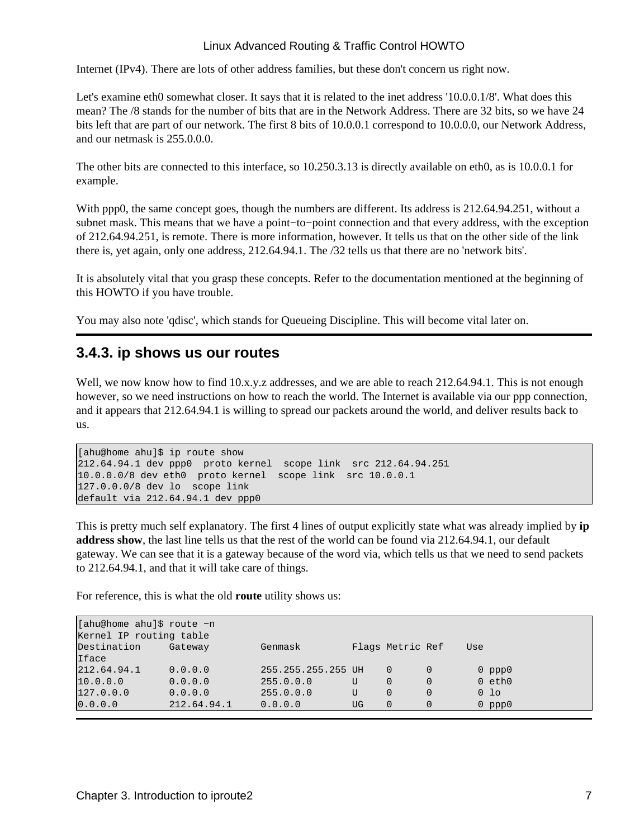Internet (IPv4). There are lots of other address families, but these don't concern us right now.

Let's examine eth0 somewhat closer. It says that it is related to the inet address '10.0.0.1/8'. What does this mean? The /8 stands for the number of bits that are in the Network Address. There are 32 bits, so we have 24 bits left that are part of our network. The first 8 bits of 10.0.0.1 correspond to 10.0.0.0, our Network Address, and our netmask is 255.0.0.0.

The other bits are connected to this interface, so 10.250.3.13 is directly available on eth0, as is 10.0.0.1 for example.

With ppp0, the same concept goes, though the numbers are different. Its address is 212.64.94.251, without a subnet mask. This means that we have a point−to−point connection and that every address, with the exception of 212.64.94.251, is remote. There is more information, however. It tells us that on the other side of the link there is, yet again, only one address, 212.64.94.1. The /32 tells us that there are no 'network bits'.

It is absolutely vital that you grasp these concepts. Refer to the documentation mentioned at the beginning of this HOWTO if you have trouble.

You may also note 'qdisc', which stands for Queueing Discipline. This will become vital later on.

#### <span id="page-10-0"></span>**3.4.3. ip shows us our routes**

Well, we now know how to find 10.x.y.z addresses, and we are able to reach 212.64.94.1. This is not enough however, so we need instructions on how to reach the world. The Internet is available via our ppp connection, and it appears that 212.64.94.1 is willing to spread our packets around the world, and deliver results back to us.

```
[ahu@home ahu]$ ip route show
212.64.94.1 dev ppp0 proto kernel scope link src 212.64.94.251 
10.0.0.0/8 dev eth0 proto kernel scope link src 10.0.0.1 
127.0.0.0/8 dev lo scope link 
default via 212.64.94.1 dev ppp0
```
This is pretty much self explanatory. The first 4 lines of output explicitly state what was already implied by **ip address show**, the last line tells us that the rest of the world can be found via 212.64.94.1, our default gateway. We can see that it is a gateway because of the word via, which tells us that we need to send packets to 212.64.94.1, and that it will take care of things.

For reference, this is what the old **route** utility shows us:

| [ahu@home ahu]\$ route -n<br>Kernel IP routing table |             |                    |    |                  |   |     |             |
|------------------------------------------------------|-------------|--------------------|----|------------------|---|-----|-------------|
| Destination                                          | Gateway     | Genmask            |    | Flags Metric Ref |   | Use |             |
| Iface                                                |             |                    |    |                  |   |     |             |
| 212.64.94.1                                          | 0.0.0.0     | 255.255.255.255 UH |    | $\Omega$         |   |     | $0$ ppp $0$ |
| 10.0.0.0                                             | 0.0.0.0     | 255.0.0.0          | U  | $\Omega$         | 0 |     | $0$ eth $0$ |
| 127.0.0.0                                            | 0.0.0.0     | 255.0.0.0          | U  | $\Omega$         | 0 |     | $0$ lo      |
| 0.0.0.0                                              | 212.64.94.1 | 0.0.0.0            | UG |                  |   |     | $0$ ppp $0$ |
|                                                      |             |                    |    |                  |   |     |             |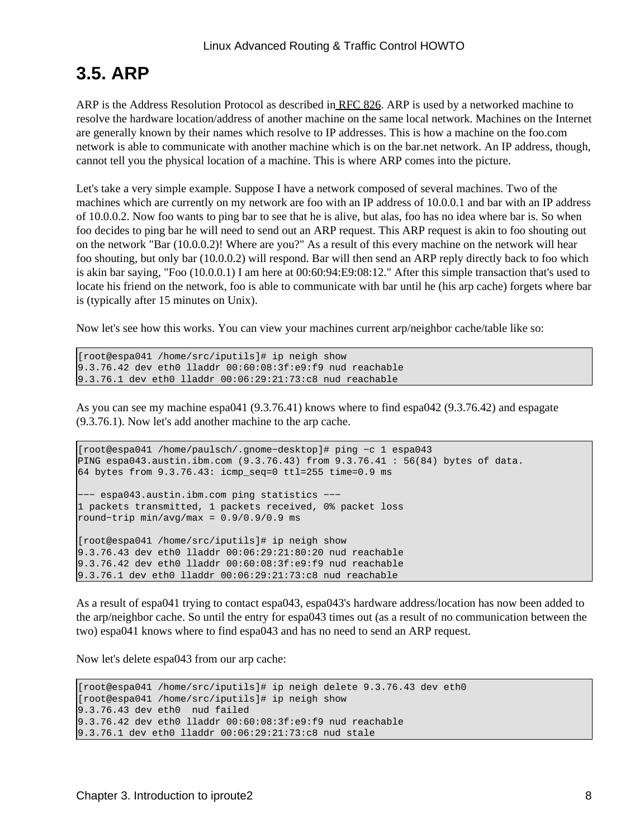## <span id="page-11-0"></span>**3.5. ARP**

ARP is the Address Resolution Protocol as described i[n RFC 826.](http://www.faqs.org/rfcs/rfc826.html) ARP is used by a networked machine to resolve the hardware location/address of another machine on the same local network. Machines on the Internet are generally known by their names which resolve to IP addresses. This is how a machine on the foo.com network is able to communicate with another machine which is on the bar.net network. An IP address, though, cannot tell you the physical location of a machine. This is where ARP comes into the picture.

Let's take a very simple example. Suppose I have a network composed of several machines. Two of the machines which are currently on my network are foo with an IP address of 10.0.0.1 and bar with an IP address of 10.0.0.2. Now foo wants to ping bar to see that he is alive, but alas, foo has no idea where bar is. So when foo decides to ping bar he will need to send out an ARP request. This ARP request is akin to foo shouting out on the network "Bar (10.0.0.2)! Where are you?" As a result of this every machine on the network will hear foo shouting, but only bar (10.0.0.2) will respond. Bar will then send an ARP reply directly back to foo which is akin bar saying, "Foo (10.0.0.1) I am here at 00:60:94:E9:08:12." After this simple transaction that's used to locate his friend on the network, foo is able to communicate with bar until he (his arp cache) forgets where bar is (typically after 15 minutes on Unix).

Now let's see how this works. You can view your machines current arp/neighbor cache/table like so:

[root@espa041 /home/src/iputils]# ip neigh show 9.3.76.42 dev eth0 lladdr 00:60:08:3f:e9:f9 nud reachable 9.3.76.1 dev eth0 lladdr 00:06:29:21:73:c8 nud reachable

As you can see my machine espa041 (9.3.76.41) knows where to find espa042 (9.3.76.42) and espagate (9.3.76.1). Now let's add another machine to the arp cache.

```
[root@espa041 /home/paulsch/.gnome−desktop]# ping −c 1 espa043
PING espa043.austin.ibm.com (9.3.76.43) from 9.3.76.41 : 56(84) bytes of data.
64 bytes from 9.3.76.43: icmp_seq=0 ttl=255 time=0.9 ms
−−− espa043.austin.ibm.com ping statistics −−−
1 packets transmitted, 1 packets received, 0% packet loss
round−trip min/avg/max = 0.9/0.9/0.9 ms
[root@espa041 /home/src/iputils]# ip neigh show
9.3.76.43 dev eth0 lladdr 00:06:29:21:80:20 nud reachable
9.3.76.42 dev eth0 lladdr 00:60:08:3f:e9:f9 nud reachable
9.3.76.1 dev eth0 lladdr 00:06:29:21:73:c8 nud reachable
```
As a result of espa041 trying to contact espa043, espa043's hardware address/location has now been added to the arp/neighbor cache. So until the entry for espa043 times out (as a result of no communication between the two) espa041 knows where to find espa043 and has no need to send an ARP request.

Now let's delete espa043 from our arp cache:

```
[root@espa041 /home/src/iputils]# ip neigh delete 9.3.76.43 dev eth0
[root@espa041 /home/src/iputils]# ip neigh show
9.3.76.43 dev eth0 nud failed
9.3.76.42 dev eth0 lladdr 00:60:08:3f:e9:f9 nud reachable
9.3.76.1 dev eth0 lladdr 00:06:29:21:73:c8 nud stale
```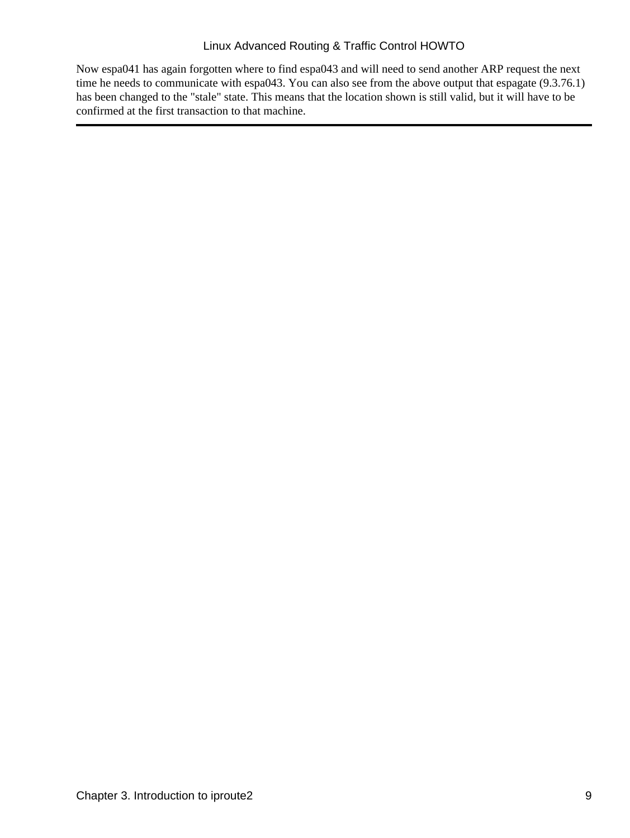Now espa041 has again forgotten where to find espa043 and will need to send another ARP request the next time he needs to communicate with espa043. You can also see from the above output that espagate (9.3.76.1) has been changed to the "stale" state. This means that the location shown is still valid, but it will have to be confirmed at the first transaction to that machine.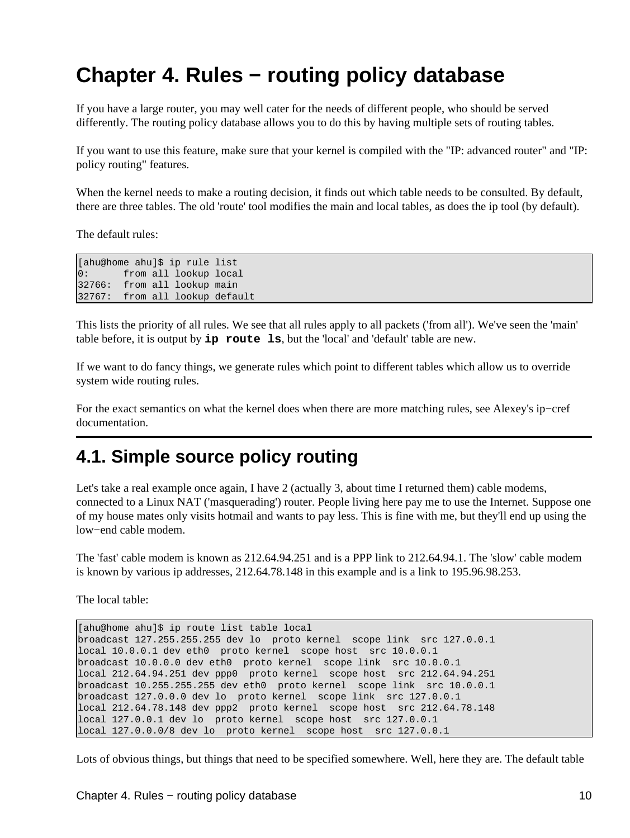# <span id="page-13-0"></span>**Chapter 4. Rules − routing policy database**

If you have a large router, you may well cater for the needs of different people, who should be served differently. The routing policy database allows you to do this by having multiple sets of routing tables.

If you want to use this feature, make sure that your kernel is compiled with the "IP: advanced router" and "IP: policy routing" features.

When the kernel needs to make a routing decision, it finds out which table needs to be consulted. By default, there are three tables. The old 'route' tool modifies the main and local tables, as does the ip tool (by default).

The default rules:

```
[ahu@home ahu]$ ip rule list
0: from all lookup local 
32766: from all lookup main 
32767: from all lookup default
```
This lists the priority of all rules. We see that all rules apply to all packets ('from all'). We've seen the 'main' table before, it is output by **ip route ls**, but the 'local' and 'default' table are new.

If we want to do fancy things, we generate rules which point to different tables which allow us to override system wide routing rules.

For the exact semantics on what the kernel does when there are more matching rules, see Alexey's ip−cref documentation.

### <span id="page-13-1"></span>**4.1. Simple source policy routing**

Let's take a real example once again, I have 2 (actually 3, about time I returned them) cable modems, connected to a Linux NAT ('masquerading') router. People living here pay me to use the Internet. Suppose one of my house mates only visits hotmail and wants to pay less. This is fine with me, but they'll end up using the low−end cable modem.

The 'fast' cable modem is known as 212.64.94.251 and is a PPP link to 212.64.94.1. The 'slow' cable modem is known by various ip addresses, 212.64.78.148 in this example and is a link to 195.96.98.253.

The local table:

[ahu@home ahu]\$ ip route list table local broadcast 127.255.255.255 dev lo proto kernel scope link src 127.0.0.1 local 10.0.0.1 dev eth0 proto kernel scope host src 10.0.0.1 broadcast 10.0.0.0 dev eth0 proto kernel scope link src 10.0.0.1 local 212.64.94.251 dev ppp0 proto kernel scope host src 212.64.94.251 broadcast 10.255.255.255 dev eth0 proto kernel scope link src 10.0.0.1 broadcast 127.0.0.0 dev lo proto kernel scope link src 127.0.0.1 local 212.64.78.148 dev ppp2 proto kernel scope host src 212.64.78.148 local 127.0.0.1 dev lo proto kernel scope host src 127.0.0.1 local 127.0.0.0/8 dev lo proto kernel scope host src 127.0.0.1

Lots of obvious things, but things that need to be specified somewhere. Well, here they are. The default table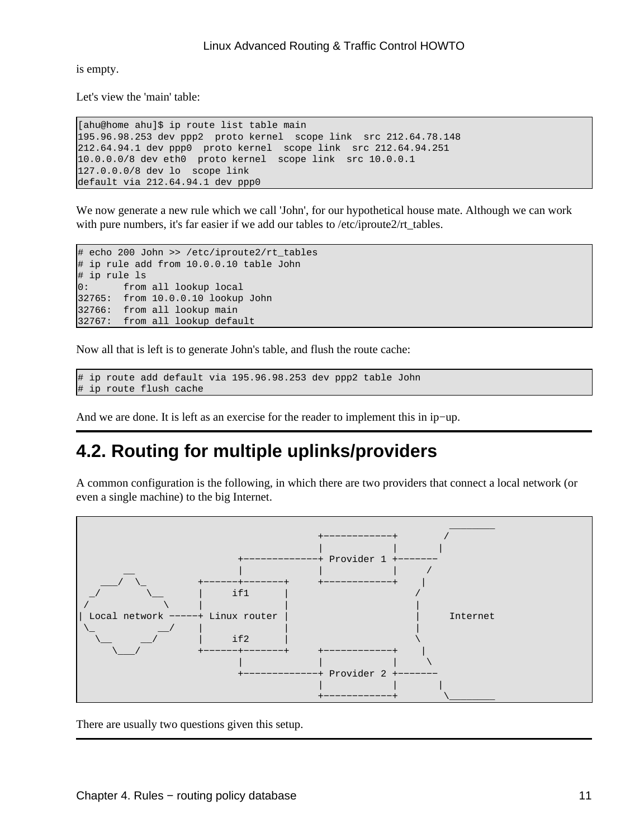is empty.

Let's view the 'main' table:

```
[ahu@home ahu]$ ip route list table main 
195.96.98.253 dev ppp2 proto kernel scope link src 212.64.78.148 
212.64.94.1 dev ppp0 proto kernel scope link src 212.64.94.251 
10.0.0.0/8 dev eth0 proto kernel scope link src 10.0.0.1 
127.0.0.0/8 dev lo scope link 
default via 212.64.94.1 dev ppp0
```
We now generate a new rule which we call 'John', for our hypothetical house mate. Although we can work with pure numbers, it's far easier if we add our tables to /etc/iproute2/rt\_tables.

```
# echo 200 John >> /etc/iproute2/rt_tables
# ip rule add from 10.0.0.10 table John
# ip rule ls
0: from all lookup local 
32765: from 10.0.0.10 lookup John
32766: from all lookup main 
32767: from all lookup default
```
Now all that is left is to generate John's table, and flush the route cache:

```
# ip route add default via 195.96.98.253 dev ppp2 table John
# ip route flush cache
```
And we are done. It is left as an exercise for the reader to implement this in ip−up.

### <span id="page-14-0"></span>**4.2. Routing for multiple uplinks/providers**

A common configuration is the following, in which there are two providers that connect a local network (or even a single machine) to the big Internet.



There are usually two questions given this setup.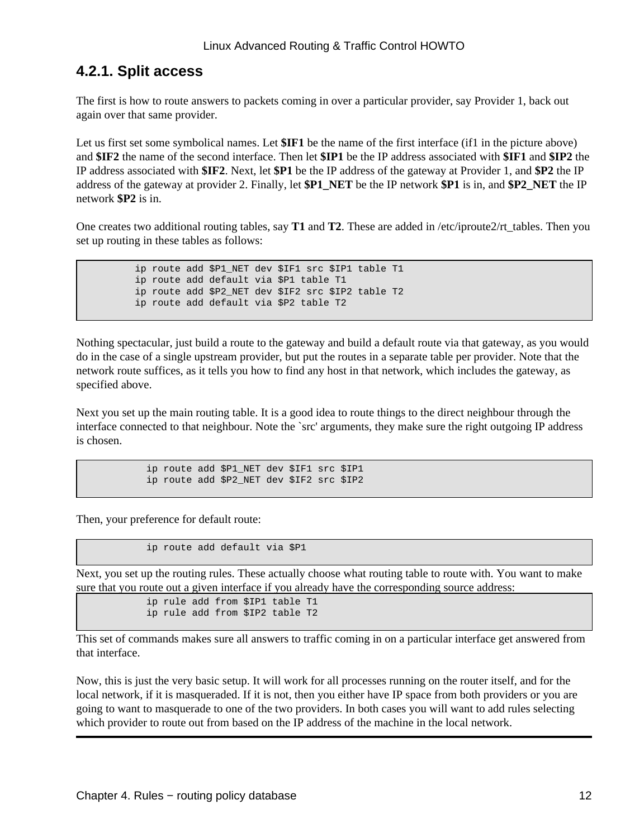### <span id="page-15-0"></span>**4.2.1. Split access**

The first is how to route answers to packets coming in over a particular provider, say Provider 1, back out again over that same provider.

Let us first set some symbolical names. Let **\$IF1** be the name of the first interface (if1 in the picture above) and **\$IF2** the name of the second interface. Then let **\$IP1** be the IP address associated with **\$IF1** and **\$IP2** the IP address associated with **\$IF2**. Next, let **\$P1** be the IP address of the gateway at Provider 1, and **\$P2** the IP address of the gateway at provider 2. Finally, let **\$P1\_NET** be the IP network **\$P1** is in, and **\$P2\_NET** the IP network **\$P2** is in.

One creates two additional routing tables, say **T1** and **T2**. These are added in /etc/iproute2/rt\_tables. Then you set up routing in these tables as follows:

> ip route add \$P1\_NET dev \$IF1 src \$IP1 table T1 ip route add default via \$P1 table T1 ip route add \$P2\_NET dev \$IF2 src \$IP2 table T2 ip route add default via \$P2 table T2

Nothing spectacular, just build a route to the gateway and build a default route via that gateway, as you would do in the case of a single upstream provider, but put the routes in a separate table per provider. Note that the network route suffices, as it tells you how to find any host in that network, which includes the gateway, as specified above.

Next you set up the main routing table. It is a good idea to route things to the direct neighbour through the interface connected to that neighbour. Note the `src' arguments, they make sure the right outgoing IP address is chosen.

> ip route add \$P1\_NET dev \$IF1 src \$IP1 ip route add \$P2\_NET dev \$IF2 src \$IP2

Then, your preference for default route:

ip route add default via \$P1

Next, you set up the routing rules. These actually choose what routing table to route with. You want to make sure that you route out a given interface if you already have the corresponding source address:

```
 ip rule add from $IP1 table T1
 ip rule add from $IP2 table T2
```
This set of commands makes sure all answers to traffic coming in on a particular interface get answered from that interface.

Now, this is just the very basic setup. It will work for all processes running on the router itself, and for the local network, if it is masqueraded. If it is not, then you either have IP space from both providers or you are going to want to masquerade to one of the two providers. In both cases you will want to add rules selecting which provider to route out from based on the IP address of the machine in the local network.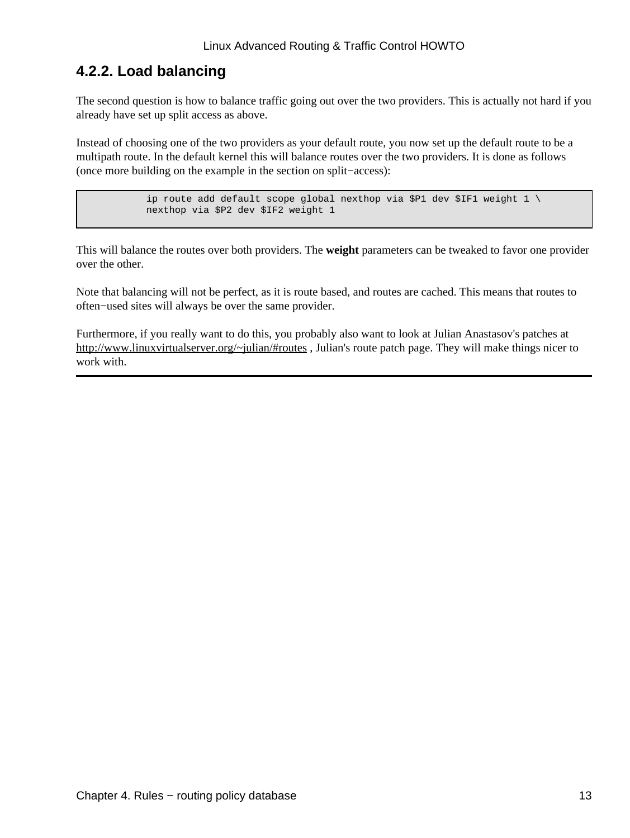### <span id="page-16-0"></span>**4.2.2. Load balancing**

The second question is how to balance traffic going out over the two providers. This is actually not hard if you already have set up split access as above.

Instead of choosing one of the two providers as your default route, you now set up the default route to be a multipath route. In the default kernel this will balance routes over the two providers. It is done as follows (once more building on the example in the section on split−access):

> ip route add default scope global nexthop via \$P1 dev \$IF1 weight  $1 \setminus$ nexthop via \$P2 dev \$IF2 weight 1

This will balance the routes over both providers. The **weight** parameters can be tweaked to favor one provider over the other.

Note that balancing will not be perfect, as it is route based, and routes are cached. This means that routes to often−used sites will always be over the same provider.

Furthermore, if you really want to do this, you probably also want to look at Julian Anastasov's patches at <http://www.linuxvirtualserver.org/~julian/#routes>, Julian's route patch page. They will make things nicer to work with.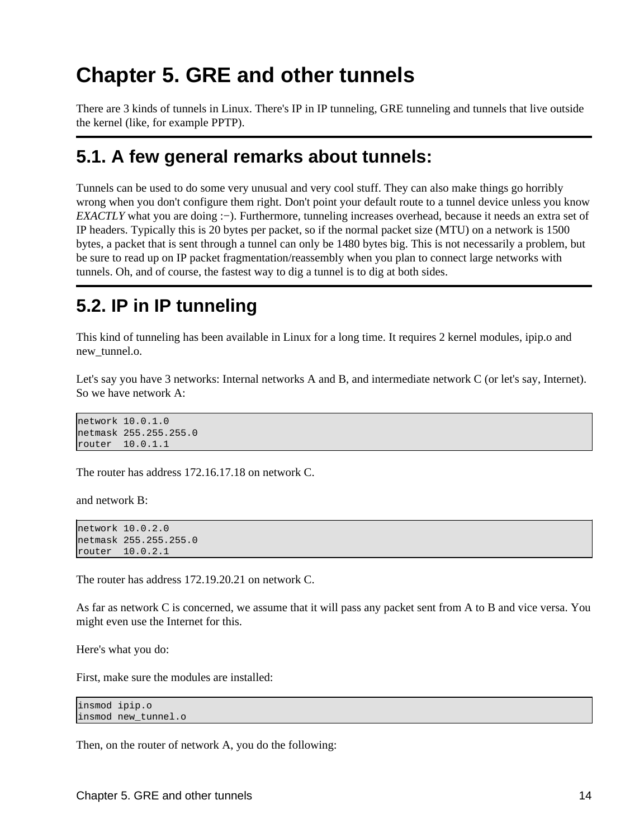# <span id="page-17-0"></span>**Chapter 5. GRE and other tunnels**

There are 3 kinds of tunnels in Linux. There's IP in IP tunneling, GRE tunneling and tunnels that live outside the kernel (like, for example PPTP).

### <span id="page-17-1"></span>**5.1. A few general remarks about tunnels:**

Tunnels can be used to do some very unusual and very cool stuff. They can also make things go horribly wrong when you don't configure them right. Don't point your default route to a tunnel device unless you know *EXACTLY* what you are doing :−). Furthermore, tunneling increases overhead, because it needs an extra set of IP headers. Typically this is 20 bytes per packet, so if the normal packet size (MTU) on a network is 1500 bytes, a packet that is sent through a tunnel can only be 1480 bytes big. This is not necessarily a problem, but be sure to read up on IP packet fragmentation/reassembly when you plan to connect large networks with tunnels. Oh, and of course, the fastest way to dig a tunnel is to dig at both sides.

## <span id="page-17-2"></span>**5.2. IP in IP tunneling**

This kind of tunneling has been available in Linux for a long time. It requires 2 kernel modules, ipip.o and new tunnel.o.

Let's say you have 3 networks: Internal networks A and B, and intermediate network C (or let's say, Internet). So we have network A:

network 10.0.1.0 netmask 255.255.255.0 router 10.0.1.1

The router has address 172.16.17.18 on network C.

and network B:

```
network 10.0.2.0
netmask 255.255.255.0
router 10.0.2.1
```
The router has address 172.19.20.21 on network C.

As far as network C is concerned, we assume that it will pass any packet sent from A to B and vice versa. You might even use the Internet for this.

Here's what you do:

First, make sure the modules are installed:

```
insmod ipip.o
insmod new_tunnel.o
```
Then, on the router of network A, you do the following: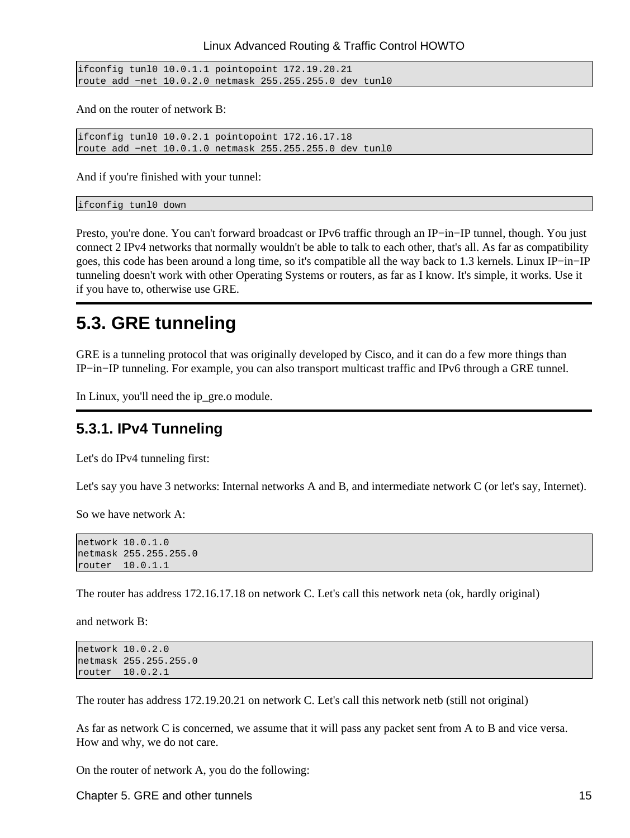ifconfig tunl0 10.0.1.1 pointopoint 172.19.20.21 route add −net 10.0.2.0 netmask 255.255.255.0 dev tunl0

And on the router of network B:

ifconfig tunl0 10.0.2.1 pointopoint 172.16.17.18 route add −net 10.0.1.0 netmask 255.255.255.0 dev tunl0

And if you're finished with your tunnel:

ifconfig tunl0 down

Presto, you're done. You can't forward broadcast or IPv6 traffic through an IP−in−IP tunnel, though. You just connect 2 IPv4 networks that normally wouldn't be able to talk to each other, that's all. As far as compatibility goes, this code has been around a long time, so it's compatible all the way back to 1.3 kernels. Linux IP−in−IP tunneling doesn't work with other Operating Systems or routers, as far as I know. It's simple, it works. Use it if you have to, otherwise use GRE.

### <span id="page-18-0"></span>**5.3. GRE tunneling**

GRE is a tunneling protocol that was originally developed by Cisco, and it can do a few more things than IP−in−IP tunneling. For example, you can also transport multicast traffic and IPv6 through a GRE tunnel.

In Linux, you'll need the ip\_gre.o module.

### <span id="page-18-1"></span>**5.3.1. IPv4 Tunneling**

Let's do IPv4 tunneling first:

Let's say you have 3 networks: Internal networks A and B, and intermediate network C (or let's say, Internet).

So we have network A:

```
network 10.0.1.0
netmask 255.255.255.0
router 10.0.1.1
```
The router has address 172.16.17.18 on network C. Let's call this network neta (ok, hardly original)

and network B:

```
network 10.0.2.0
netmask 255.255.255.0
router 10.0.2.1
```
The router has address 172.19.20.21 on network C. Let's call this network netb (still not original)

As far as network C is concerned, we assume that it will pass any packet sent from A to B and vice versa. How and why, we do not care.

On the router of network A, you do the following:

Chapter 5. GRE and other tunnels 15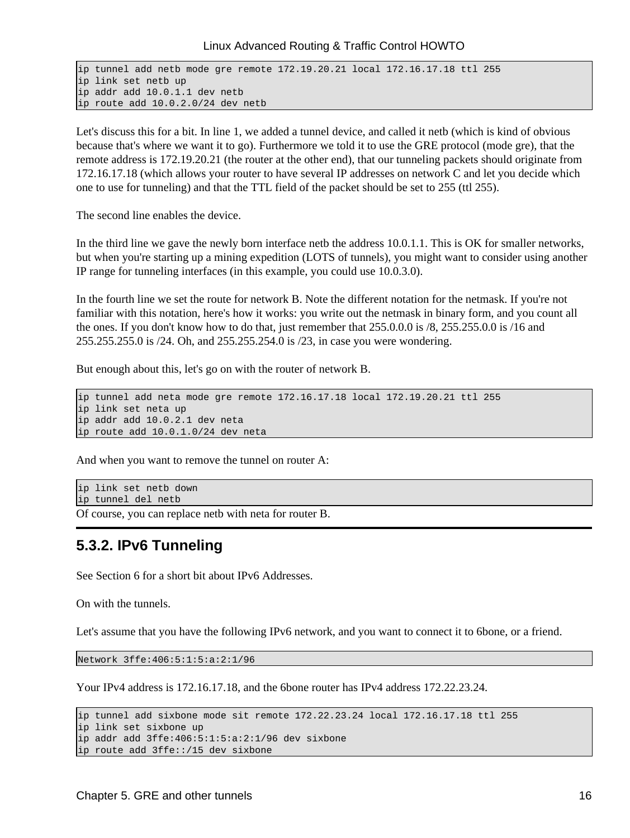```
ip tunnel add netb mode gre remote 172.19.20.21 local 172.16.17.18 ttl 255
ip link set netb up
ip addr add 10.0.1.1 dev netb
ip route add 10.0.2.0/24 dev netb
```
Let's discuss this for a bit. In line 1, we added a tunnel device, and called it netb (which is kind of obvious because that's where we want it to go). Furthermore we told it to use the GRE protocol (mode gre), that the remote address is 172.19.20.21 (the router at the other end), that our tunneling packets should originate from 172.16.17.18 (which allows your router to have several IP addresses on network C and let you decide which one to use for tunneling) and that the TTL field of the packet should be set to 255 (ttl 255).

The second line enables the device.

In the third line we gave the newly born interface netb the address 10.0.1.1. This is OK for smaller networks, but when you're starting up a mining expedition (LOTS of tunnels), you might want to consider using another IP range for tunneling interfaces (in this example, you could use 10.0.3.0).

In the fourth line we set the route for network B. Note the different notation for the netmask. If you're not familiar with this notation, here's how it works: you write out the netmask in binary form, and you count all the ones. If you don't know how to do that, just remember that 255.0.0.0 is /8, 255.255.0.0 is /16 and 255.255.255.0 is /24. Oh, and 255.255.254.0 is /23, in case you were wondering.

But enough about this, let's go on with the router of network B.

```
ip tunnel add neta mode gre remote 172.16.17.18 local 172.19.20.21 ttl 255
ip link set neta up
ip addr add 10.0.2.1 dev neta
ip route add 10.0.1.0/24 dev neta
```
And when you want to remove the tunnel on router A:

```
ip link set netb down
ip tunnel del netb
```
Of course, you can replace netb with neta for router B.

### <span id="page-19-0"></span>**5.3.2. IPv6 Tunneling**

See Section 6 for a short bit about IPv6 Addresses.

On with the tunnels.

Let's assume that you have the following IPv6 network, and you want to connect it to 6bone, or a friend.

Network 3ffe:406:5:1:5:a:2:1/96

Your IPv4 address is 172.16.17.18, and the 6bone router has IPv4 address 172.22.23.24.

```
ip tunnel add sixbone mode sit remote 172.22.23.24 local 172.16.17.18 ttl 255
ip link set sixbone up
ip addr add 3ffe:406:5:1:5:a:2:1/96 dev sixbone
ip route add 3ffe::/15 dev sixbone
```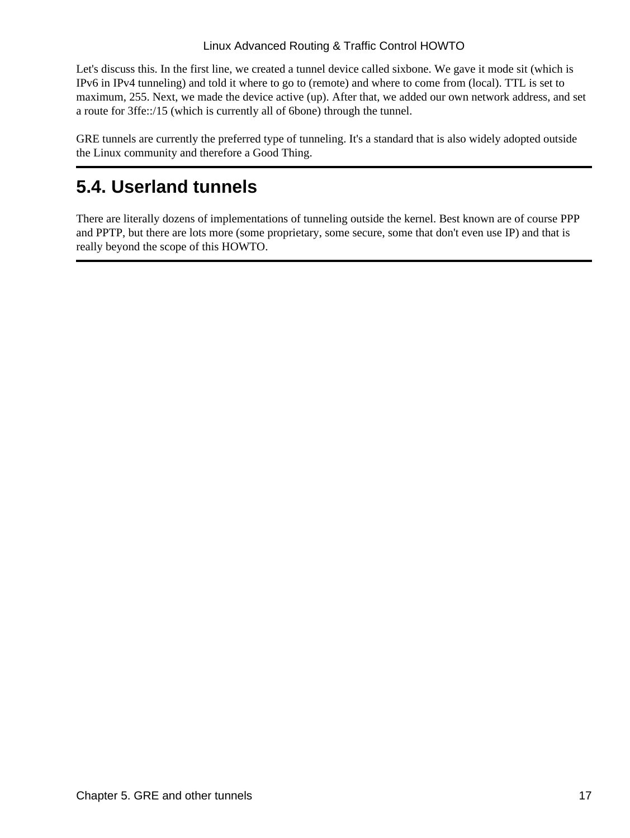Let's discuss this. In the first line, we created a tunnel device called sixbone. We gave it mode sit (which is IPv6 in IPv4 tunneling) and told it where to go to (remote) and where to come from (local). TTL is set to maximum, 255. Next, we made the device active (up). After that, we added our own network address, and set a route for 3ffe::/15 (which is currently all of 6bone) through the tunnel.

GRE tunnels are currently the preferred type of tunneling. It's a standard that is also widely adopted outside the Linux community and therefore a Good Thing.

## <span id="page-20-0"></span>**5.4. Userland tunnels**

There are literally dozens of implementations of tunneling outside the kernel. Best known are of course PPP and PPTP, but there are lots more (some proprietary, some secure, some that don't even use IP) and that is really beyond the scope of this HOWTO.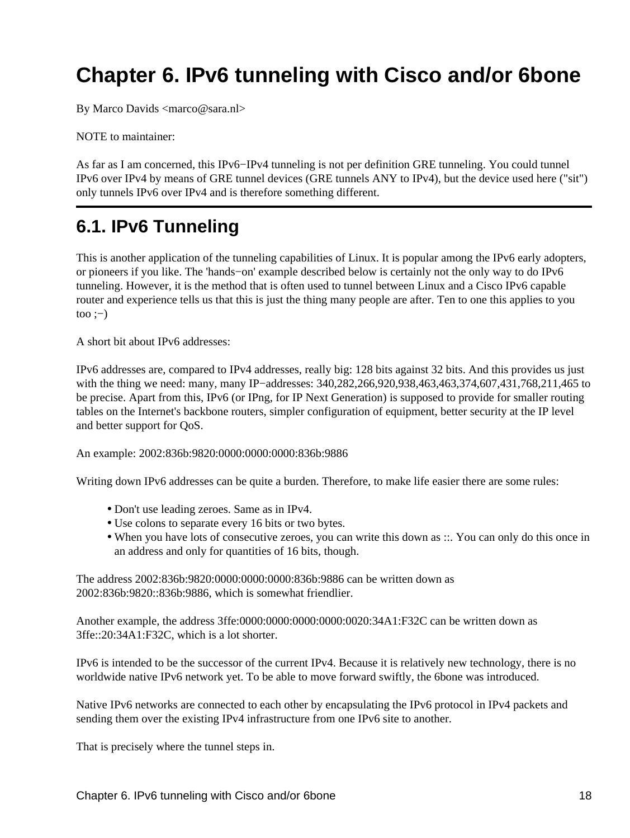# <span id="page-21-0"></span>**Chapter 6. IPv6 tunneling with Cisco and/or 6bone**

By Marco Davids <marco@sara.nl>

NOTE to maintainer:

As far as I am concerned, this IPv6−IPv4 tunneling is not per definition GRE tunneling. You could tunnel IPv6 over IPv4 by means of GRE tunnel devices (GRE tunnels ANY to IPv4), but the device used here ("sit") only tunnels IPv6 over IPv4 and is therefore something different.

## <span id="page-21-1"></span>**6.1. IPv6 Tunneling**

This is another application of the tunneling capabilities of Linux. It is popular among the IPv6 early adopters, or pioneers if you like. The 'hands−on' example described below is certainly not the only way to do IPv6 tunneling. However, it is the method that is often used to tunnel between Linux and a Cisco IPv6 capable router and experience tells us that this is just the thing many people are after. Ten to one this applies to you  $\text{too} :=$ )

A short bit about IPv6 addresses:

IPv6 addresses are, compared to IPv4 addresses, really big: 128 bits against 32 bits. And this provides us just with the thing we need: many, many IP−addresses: 340,282,266,920,938,463,463,374,607,431,768,211,465 to be precise. Apart from this, IPv6 (or IPng, for IP Next Generation) is supposed to provide for smaller routing tables on the Internet's backbone routers, simpler configuration of equipment, better security at the IP level and better support for QoS.

An example: 2002:836b:9820:0000:0000:0000:836b:9886

Writing down IPv6 addresses can be quite a burden. Therefore, to make life easier there are some rules:

- Don't use leading zeroes. Same as in IPv4.
- Use colons to separate every 16 bits or two bytes.
- When you have lots of consecutive zeroes, you can write this down as ::. You can only do this once in an address and only for quantities of 16 bits, though.

The address 2002:836b:9820:0000:0000:0000:836b:9886 can be written down as 2002:836b:9820::836b:9886, which is somewhat friendlier.

Another example, the address 3ffe:0000:0000:0000:0000:0020:34A1:F32C can be written down as 3ffe::20:34A1:F32C, which is a lot shorter.

IPv6 is intended to be the successor of the current IPv4. Because it is relatively new technology, there is no worldwide native IPv6 network yet. To be able to move forward swiftly, the 6bone was introduced.

Native IPv6 networks are connected to each other by encapsulating the IPv6 protocol in IPv4 packets and sending them over the existing IPv4 infrastructure from one IPv6 site to another.

That is precisely where the tunnel steps in.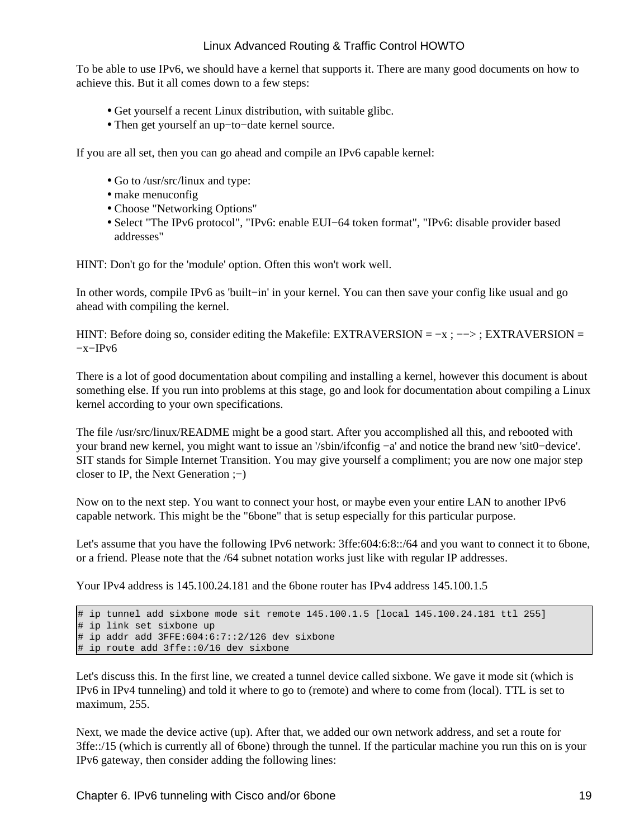To be able to use IPv6, we should have a kernel that supports it. There are many good documents on how to achieve this. But it all comes down to a few steps:

- Get yourself a recent Linux distribution, with suitable glibc.
- Then get yourself an up−to−date kernel source.

If you are all set, then you can go ahead and compile an IPv6 capable kernel:

- Go to /usr/src/linux and type:
- make menuconfig
- Choose "Networking Options"
- Select "The IPv6 protocol", "IPv6: enable EUI−64 token format", "IPv6: disable provider based addresses"

HINT: Don't go for the 'module' option. Often this won't work well.

In other words, compile IPv6 as 'built−in' in your kernel. You can then save your config like usual and go ahead with compiling the kernel.

HINT: Before doing so, consider editing the Makefile: EXTRAVERSION =  $-x$  ;  $-\rightarrow$  ; EXTRAVERSION = −x−IPv6

There is a lot of good documentation about compiling and installing a kernel, however this document is about something else. If you run into problems at this stage, go and look for documentation about compiling a Linux kernel according to your own specifications.

The file /usr/src/linux/README might be a good start. After you accomplished all this, and rebooted with your brand new kernel, you might want to issue an '/sbin/ifconfig −a' and notice the brand new 'sit0−device'. SIT stands for Simple Internet Transition. You may give yourself a compliment; you are now one major step closer to IP, the Next Generation ;−)

Now on to the next step. You want to connect your host, or maybe even your entire LAN to another IPv6 capable network. This might be the "6bone" that is setup especially for this particular purpose.

Let's assume that you have the following IPv6 network: 3ffe:604:6:8::/64 and you want to connect it to 6bone, or a friend. Please note that the /64 subnet notation works just like with regular IP addresses.

Your IPv4 address is 145.100.24.181 and the 6bone router has IPv4 address 145.100.1.5

```
# ip tunnel add sixbone mode sit remote 145.100.1.5 [local 145.100.24.181 ttl 255]
# ip link set sixbone up
# ip addr add 3FFE:604:6:7::2/126 dev sixbone
# ip route add 3ffe::0/16 dev sixbone
```
Let's discuss this. In the first line, we created a tunnel device called sixbone. We gave it mode sit (which is IPv6 in IPv4 tunneling) and told it where to go to (remote) and where to come from (local). TTL is set to maximum, 255.

Next, we made the device active (up). After that, we added our own network address, and set a route for 3ffe::/15 (which is currently all of 6bone) through the tunnel. If the particular machine you run this on is your IPv6 gateway, then consider adding the following lines: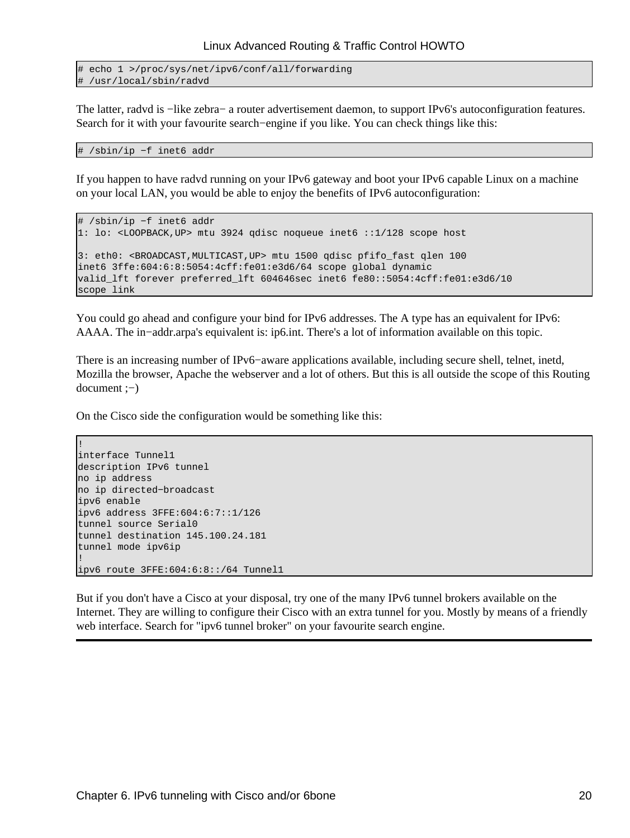```
# echo 1 >/proc/sys/net/ipv6/conf/all/forwarding
# /usr/local/sbin/radvd
```
The latter, radvd is −like zebra− a router advertisement daemon, to support IPv6's autoconfiguration features. Search for it with your favourite search–engine if you like. You can check things like this:

```
# /sbin/ip −f inet6 addr
```
If you happen to have radvd running on your IPv6 gateway and boot your IPv6 capable Linux on a machine on your local LAN, you would be able to enjoy the benefits of IPv6 autoconfiguration:

```
# /sbin/ip −f inet6 addr
1: lo: <LOOPBACK,UP> mtu 3924 qdisc noqueue inet6 ::1/128 scope host
3: eth0: <BROADCAST,MULTICAST,UP> mtu 1500 qdisc pfifo_fast qlen 100
inet6 3ffe:604:6:8:5054:4cff:fe01:e3d6/64 scope global dynamic
valid_lft forever preferred_lft 604646sec inet6 fe80::5054:4cff:fe01:e3d6/10 
scope link
```
You could go ahead and configure your bind for IPv6 addresses. The A type has an equivalent for IPv6: AAAA. The in−addr.arpa's equivalent is: ip6.int. There's a lot of information available on this topic.

There is an increasing number of IPv6−aware applications available, including secure shell, telnet, inetd, Mozilla the browser, Apache the webserver and a lot of others. But this is all outside the scope of this Routing document ;−)

On the Cisco side the configuration would be something like this:

```
!
interface Tunnel1
description IPv6 tunnel
no ip address
no ip directed−broadcast
ipv6 enable
ipv6 address 3FFE:604:6:7::1/126
tunnel source Serial0
tunnel destination 145.100.24.181
tunnel mode ipv6ip
!
ipv6 route 3FFE:604:6:8::/64 Tunnel1
```
But if you don't have a Cisco at your disposal, try one of the many IPv6 tunnel brokers available on the Internet. They are willing to configure their Cisco with an extra tunnel for you. Mostly by means of a friendly web interface. Search for "ipv6 tunnel broker" on your favourite search engine.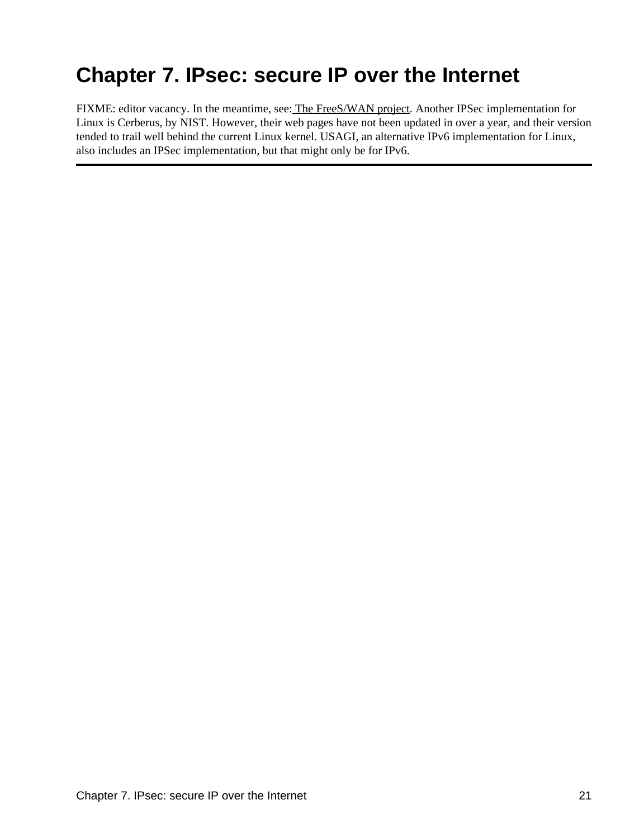# <span id="page-24-0"></span>**Chapter 7. IPsec: secure IP over the Internet**

FIXME: editor vacancy. In the meantime, see[: The FreeS/WAN project.](http://www.freeswan.org/) Another IPSec implementation for Linux is Cerberus, by NIST. However, their web pages have not been updated in over a year, and their version tended to trail well behind the current Linux kernel. USAGI, an alternative IPv6 implementation for Linux, also includes an IPSec implementation, but that might only be for IPv6.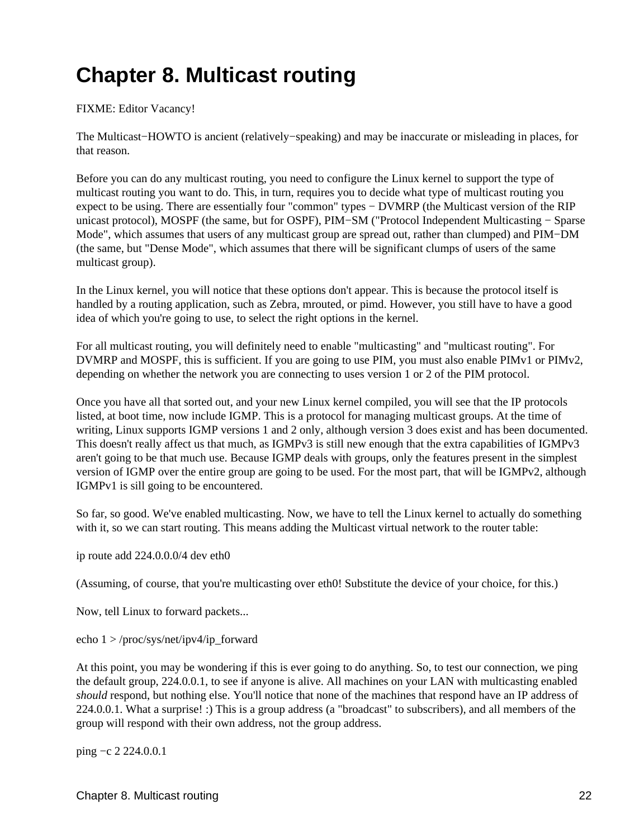# <span id="page-25-0"></span>**Chapter 8. Multicast routing**

#### FIXME: Editor Vacancy!

The Multicast−HOWTO is ancient (relatively−speaking) and may be inaccurate or misleading in places, for that reason.

Before you can do any multicast routing, you need to configure the Linux kernel to support the type of multicast routing you want to do. This, in turn, requires you to decide what type of multicast routing you expect to be using. There are essentially four "common" types − DVMRP (the Multicast version of the RIP unicast protocol), MOSPF (the same, but for OSPF), PIM−SM ("Protocol Independent Multicasting − Sparse Mode", which assumes that users of any multicast group are spread out, rather than clumped) and PIM−DM (the same, but "Dense Mode", which assumes that there will be significant clumps of users of the same multicast group).

In the Linux kernel, you will notice that these options don't appear. This is because the protocol itself is handled by a routing application, such as Zebra, mrouted, or pimd. However, you still have to have a good idea of which you're going to use, to select the right options in the kernel.

For all multicast routing, you will definitely need to enable "multicasting" and "multicast routing". For DVMRP and MOSPF, this is sufficient. If you are going to use PIM, you must also enable PIMv1 or PIMv2, depending on whether the network you are connecting to uses version 1 or 2 of the PIM protocol.

Once you have all that sorted out, and your new Linux kernel compiled, you will see that the IP protocols listed, at boot time, now include IGMP. This is a protocol for managing multicast groups. At the time of writing, Linux supports IGMP versions 1 and 2 only, although version 3 does exist and has been documented. This doesn't really affect us that much, as IGMPv3 is still new enough that the extra capabilities of IGMPv3 aren't going to be that much use. Because IGMP deals with groups, only the features present in the simplest version of IGMP over the entire group are going to be used. For the most part, that will be IGMPv2, although IGMPv1 is sill going to be encountered.

So far, so good. We've enabled multicasting. Now, we have to tell the Linux kernel to actually do something with it, so we can start routing. This means adding the Multicast virtual network to the router table:

ip route add 224.0.0.0/4 dev eth0

(Assuming, of course, that you're multicasting over eth0! Substitute the device of your choice, for this.)

Now, tell Linux to forward packets...

echo 1 > /proc/sys/net/ipv4/ip\_forward

At this point, you may be wondering if this is ever going to do anything. So, to test our connection, we ping the default group, 224.0.0.1, to see if anyone is alive. All machines on your LAN with multicasting enabled *should* respond, but nothing else. You'll notice that none of the machines that respond have an IP address of 224.0.0.1. What a surprise! :) This is a group address (a "broadcast" to subscribers), and all members of the group will respond with their own address, not the group address.

ping −c 2 224.0.0.1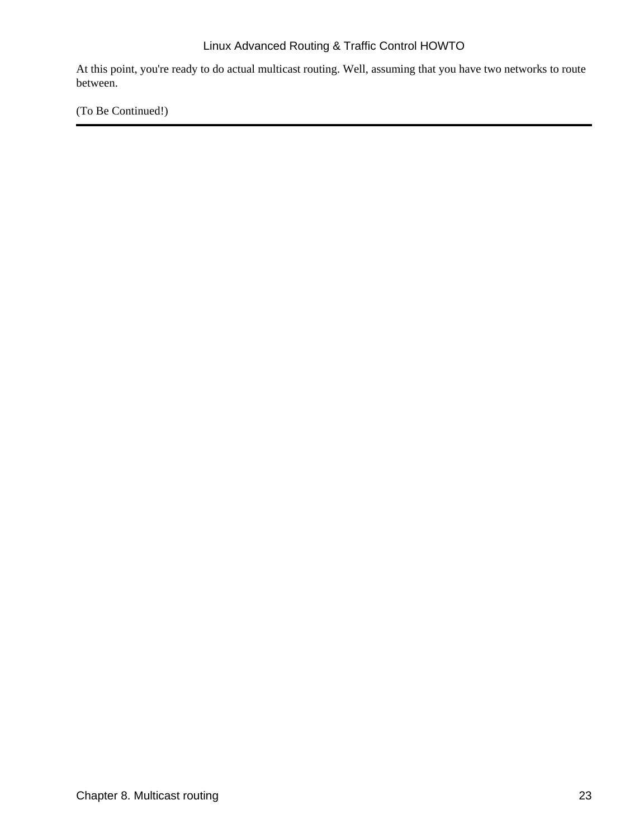At this point, you're ready to do actual multicast routing. Well, assuming that you have two networks to route between.

(To Be Continued!)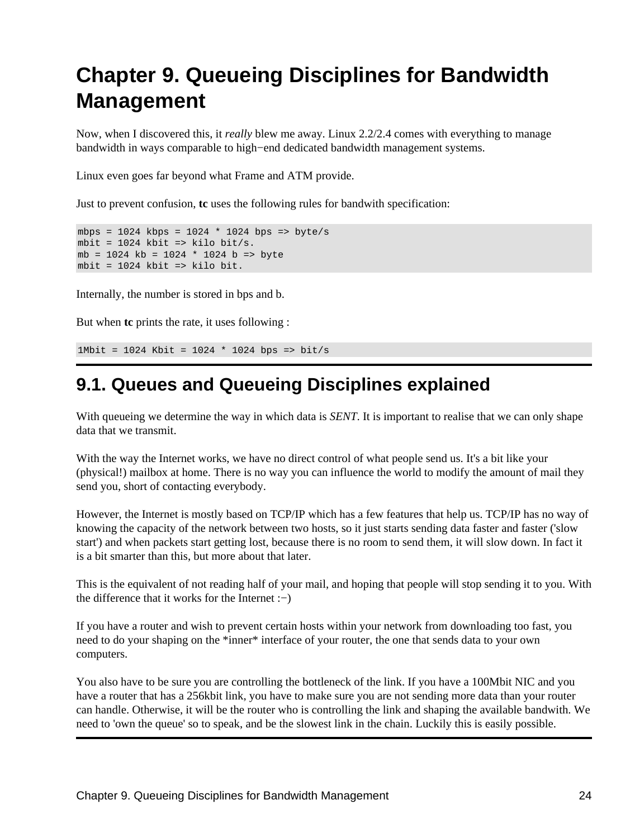# <span id="page-27-0"></span>**Chapter 9. Queueing Disciplines for Bandwidth Management**

Now, when I discovered this, it *really* blew me away. Linux 2.2/2.4 comes with everything to manage bandwidth in ways comparable to high−end dedicated bandwidth management systems.

Linux even goes far beyond what Frame and ATM provide.

Just to prevent confusion, **tc** uses the following rules for bandwith specification:

```
mbps = 1024 kbps = 1024 * 1024 bps => byte/s
mbit = 1024 kbit => kilo bit/s.
mb = 1024 kb = 1024 * 1024 b => byte
mbit = 1024 kbit => kilo bit.
```
Internally, the number is stored in bps and b.

But when **tc** prints the rate, it uses following :

1Mbit = 1024 Kbit = 1024 \* 1024 bps => bit/s

### <span id="page-27-1"></span>**9.1. Queues and Queueing Disciplines explained**

With queueing we determine the way in which data is *SENT*. It is important to realise that we can only shape data that we transmit.

With the way the Internet works, we have no direct control of what people send us. It's a bit like your (physical!) mailbox at home. There is no way you can influence the world to modify the amount of mail they send you, short of contacting everybody.

However, the Internet is mostly based on TCP/IP which has a few features that help us. TCP/IP has no way of knowing the capacity of the network between two hosts, so it just starts sending data faster and faster ('slow start') and when packets start getting lost, because there is no room to send them, it will slow down. In fact it is a bit smarter than this, but more about that later.

This is the equivalent of not reading half of your mail, and hoping that people will stop sending it to you. With the difference that it works for the Internet :−)

If you have a router and wish to prevent certain hosts within your network from downloading too fast, you need to do your shaping on the \*inner\* interface of your router, the one that sends data to your own computers.

You also have to be sure you are controlling the bottleneck of the link. If you have a 100Mbit NIC and you have a router that has a 256kbit link, you have to make sure you are not sending more data than your router can handle. Otherwise, it will be the router who is controlling the link and shaping the available bandwith. We need to 'own the queue' so to speak, and be the slowest link in the chain. Luckily this is easily possible.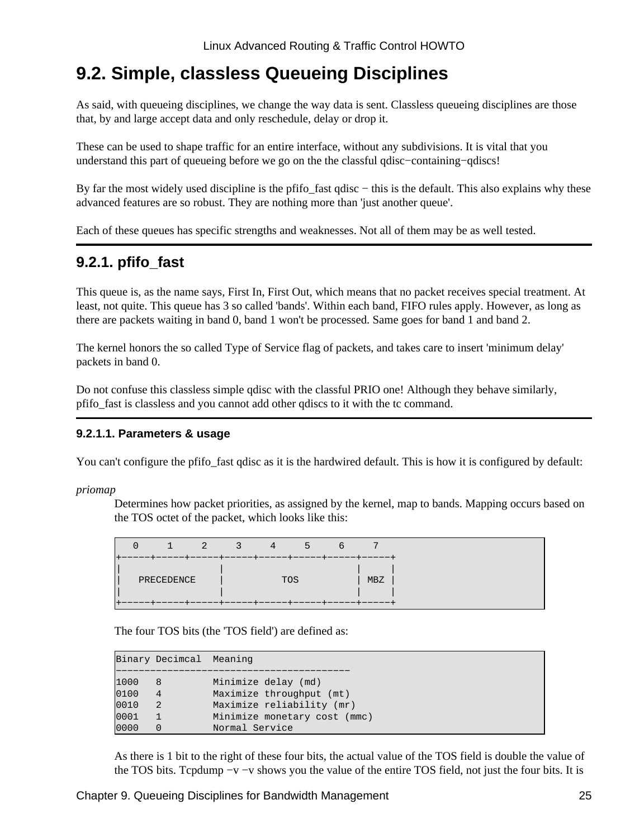### <span id="page-28-0"></span>**9.2. Simple, classless Queueing Disciplines**

As said, with queueing disciplines, we change the way data is sent. Classless queueing disciplines are those that, by and large accept data and only reschedule, delay or drop it.

These can be used to shape traffic for an entire interface, without any subdivisions. It is vital that you understand this part of queueing before we go on the the classful qdisc−containing−qdiscs!

By far the most widely used discipline is the pfifo\_fast qdisc − this is the default. This also explains why these advanced features are so robust. They are nothing more than 'just another queue'.

Each of these queues has specific strengths and weaknesses. Not all of them may be as well tested.

### <span id="page-28-1"></span>**9.2.1. pfifo\_fast**

This queue is, as the name says, First In, First Out, which means that no packet receives special treatment. At least, not quite. This queue has 3 so called 'bands'. Within each band, FIFO rules apply. However, as long as there are packets waiting in band 0, band 1 won't be processed. Same goes for band 1 and band 2.

The kernel honors the so called Type of Service flag of packets, and takes care to insert 'minimum delay' packets in band 0.

Do not confuse this classless simple qdisc with the classful PRIO one! Although they behave similarly, pfifo\_fast is classless and you cannot add other qdiscs to it with the tc command.

#### **9.2.1.1. Parameters & usage**

You can't configure the pfifo\_fast qdisc as it is the hardwired default. This is how it is configured by default:

*priomap*

Determines how packet priorities, as assigned by the kernel, map to bands. Mapping occurs based on the TOS octet of the packet, which looks like this:

The four TOS bits (the 'TOS field') are defined as:

|      | Binary Decimcal Meaning |                              |
|------|-------------------------|------------------------------|
| 1000 | 8                       | Minimize delay (md)          |
| 0100 | 4                       | Maximize throughput (mt)     |
| 0010 | 2                       | Maximize reliability (mr)    |
| 0001 |                         | Minimize monetary cost (mmc) |
| 0000 |                         | Normal Service               |

As there is 1 bit to the right of these four bits, the actual value of the TOS field is double the value of the TOS bits. Tcpdump −v −v shows you the value of the entire TOS field, not just the four bits. It is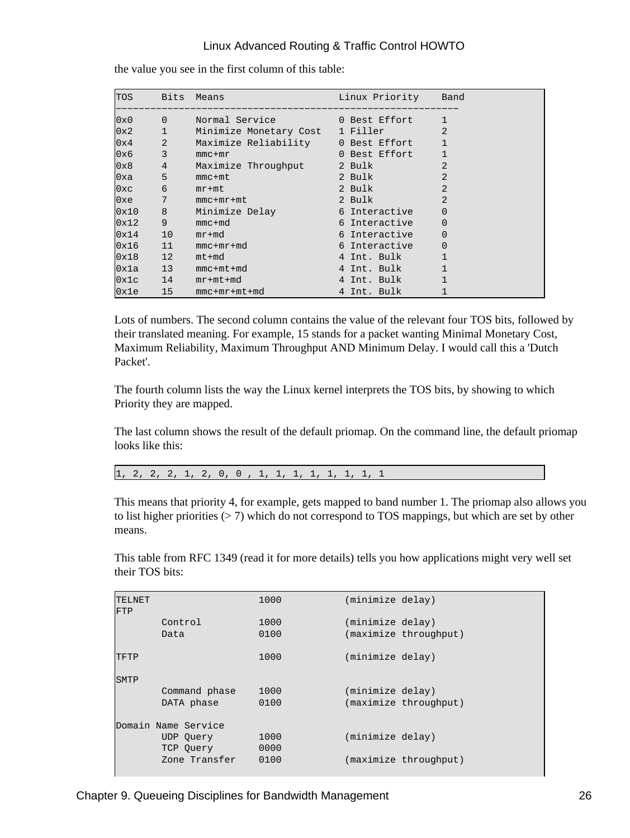| TOS Bits Means |                                                                                                                                                                                                                                                                                                                     |                                       | Linux Priority Band              |                |
|----------------|---------------------------------------------------------------------------------------------------------------------------------------------------------------------------------------------------------------------------------------------------------------------------------------------------------------------|---------------------------------------|----------------------------------|----------------|
|                |                                                                                                                                                                                                                                                                                                                     | 0x0 0 Normal Service 0 Best Effort    |                                  | $\mathbf{1}$   |
|                |                                                                                                                                                                                                                                                                                                                     | 0x2 1 Minimize Monetary Cost 1 Filler |                                  | 2              |
| $0 \times 4$ 2 |                                                                                                                                                                                                                                                                                                                     | Maximize Reliability 0 Best Effort    |                                  | $\mathbf{1}$   |
| 0x6            | $\overline{\phantom{a}}$ 3                                                                                                                                                                                                                                                                                          | $mmc + mr$                            | 0 Best Effort                    |                |
| 0x8            | $\frac{1}{2}$ $\frac{1}{2}$ $\frac{1}{2}$ $\frac{1}{2}$ $\frac{1}{2}$ $\frac{1}{2}$ $\frac{1}{2}$ $\frac{1}{2}$ $\frac{1}{2}$ $\frac{1}{2}$ $\frac{1}{2}$ $\frac{1}{2}$ $\frac{1}{2}$ $\frac{1}{2}$ $\frac{1}{2}$ $\frac{1}{2}$ $\frac{1}{2}$ $\frac{1}{2}$ $\frac{1}{2}$ $\frac{1}{2}$ $\frac{1}{2}$ $\frac{1}{2}$ | Maximize Throughput 2 Bulk            |                                  | $\overline{2}$ |
| $0x^2$         | $5 - 1$                                                                                                                                                                                                                                                                                                             | $mmc+mt$                              | 2 Bulk                           | $\overline{2}$ |
| 0xc            | $\overline{6}$                                                                                                                                                                                                                                                                                                      | $mr+mt$                               | 2 Bulk                           | $\overline{2}$ |
| $0xe$ 7        |                                                                                                                                                                                                                                                                                                                     | $mmc + mr + mt$                       | and the 2 Bulk                   | $\overline{2}$ |
| $0x10$ 8       |                                                                                                                                                                                                                                                                                                                     | Minimize Delay                        | and the following of Interactive | $\overline{0}$ |
| 0x12           | 9                                                                                                                                                                                                                                                                                                                   | $mmc+md$                              | 6 Interactive                    | $\overline{0}$ |
| $0x14$ 10      |                                                                                                                                                                                                                                                                                                                     | $mr+md$                               | 6 Interactive                    | $\overline{0}$ |
| $0x16$ 11      |                                                                                                                                                                                                                                                                                                                     | $mmc+mr+md$                           | 6 Interactive                    | $\overline{0}$ |
| $0x18$ 12      |                                                                                                                                                                                                                                                                                                                     | $mt+md$                               | 4 Int. Bulk                      |                |
|                |                                                                                                                                                                                                                                                                                                                     | $0x1a$ 13 mmc+mt+md                   | and the 4 Int. Bulk              |                |
|                |                                                                                                                                                                                                                                                                                                                     | $0x1c$ 14 $mr+mt+md$                  | 4 Int. Bulk                      |                |
| $0x1e$ 15      |                                                                                                                                                                                                                                                                                                                     | $mmc+mr+mt+md$                        | 4 Int. Bulk                      |                |

the value you see in the first column of this table:

Lots of numbers. The second column contains the value of the relevant four TOS bits, followed by their translated meaning. For example, 15 stands for a packet wanting Minimal Monetary Cost, Maximum Reliability, Maximum Throughput AND Minimum Delay. I would call this a 'Dutch Packet'.

The fourth column lists the way the Linux kernel interprets the TOS bits, by showing to which Priority they are mapped.

The last column shows the result of the default priomap. On the command line, the default priomap looks like this:

1, 2, 2, 2, 1, 2, 0, 0 , 1, 1, 1, 1, 1, 1, 1, 1

This means that priority 4, for example, gets mapped to band number 1. The priomap also allows you to list higher priorities (> 7) which do not correspond to TOS mappings, but which are set by other means.

This table from RFC 1349 (read it for more details) tells you how applications might very well set their TOS bits:

| <b>TELNET</b><br><b>FTP</b> |                     | 1000 | (minimize delay) |                       |
|-----------------------------|---------------------|------|------------------|-----------------------|
|                             | Control             | 1000 | (minimize delay) |                       |
|                             | Data                | 0100 |                  | (maximize throughput) |
| TFTP                        |                     | 1000 | (minimize delay) |                       |
| <b>SMTP</b>                 |                     |      |                  |                       |
|                             | Command phase       | 1000 | (minimize delay) |                       |
|                             | DATA phase          | 0100 |                  | (maximize throughput) |
|                             | Domain Name Service |      |                  |                       |
|                             | UDP Ouery           | 1000 | (minimize delay) |                       |
|                             | TCP Ouery           | 0000 |                  |                       |
|                             | Zone Transfer       | 0100 |                  | (maximize throughput) |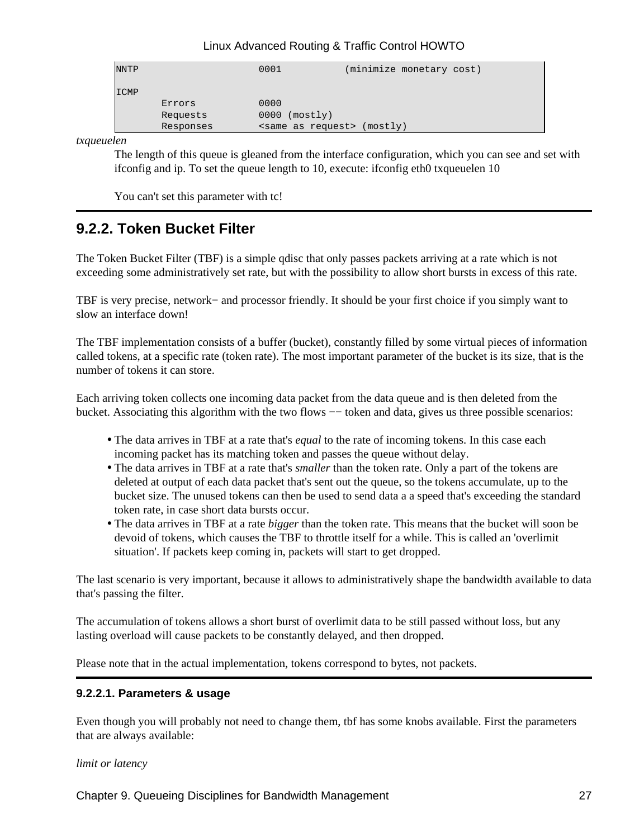| <b>NNTP</b> |           | 0001                           | (minimize monetary cost) |  |
|-------------|-----------|--------------------------------|--------------------------|--|
| ICMP        |           |                                |                          |  |
|             | Errors    | 0000                           |                          |  |
|             | Requests  | $0000$ (mostly)                |                          |  |
|             | Responses | <same as="" request=""></same> | (mostly)                 |  |

*txqueuelen*

The length of this queue is gleaned from the interface configuration, which you can see and set with ifconfig and ip. To set the queue length to 10, execute: ifconfig eth0 txqueuelen 10

You can't set this parameter with tc!

### <span id="page-30-0"></span>**9.2.2. Token Bucket Filter**

The Token Bucket Filter (TBF) is a simple qdisc that only passes packets arriving at a rate which is not exceeding some administratively set rate, but with the possibility to allow short bursts in excess of this rate.

TBF is very precise, network− and processor friendly. It should be your first choice if you simply want to slow an interface down!

The TBF implementation consists of a buffer (bucket), constantly filled by some virtual pieces of information called tokens, at a specific rate (token rate). The most important parameter of the bucket is its size, that is the number of tokens it can store.

Each arriving token collects one incoming data packet from the data queue and is then deleted from the bucket. Associating this algorithm with the two flows −− token and data, gives us three possible scenarios:

- The data arrives in TBF at a rate that's *equal* to the rate of incoming tokens. In this case each incoming packet has its matching token and passes the queue without delay.
- The data arrives in TBF at a rate that's *smaller* than the token rate. Only a part of the tokens are deleted at output of each data packet that's sent out the queue, so the tokens accumulate, up to the bucket size. The unused tokens can then be used to send data a a speed that's exceeding the standard token rate, in case short data bursts occur.
- The data arrives in TBF at a rate *bigger* than the token rate. This means that the bucket will soon be devoid of tokens, which causes the TBF to throttle itself for a while. This is called an 'overlimit situation'. If packets keep coming in, packets will start to get dropped.

The last scenario is very important, because it allows to administratively shape the bandwidth available to data that's passing the filter.

The accumulation of tokens allows a short burst of overlimit data to be still passed without loss, but any lasting overload will cause packets to be constantly delayed, and then dropped.

Please note that in the actual implementation, tokens correspond to bytes, not packets.

#### **9.2.2.1. Parameters & usage**

Even though you will probably not need to change them, tbf has some knobs available. First the parameters that are always available:

*limit or latency*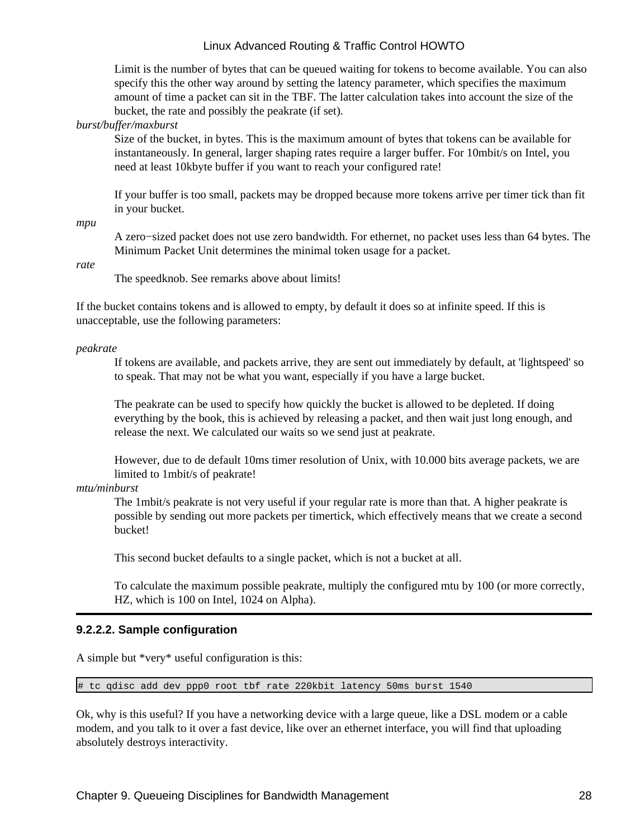Limit is the number of bytes that can be queued waiting for tokens to become available. You can also specify this the other way around by setting the latency parameter, which specifies the maximum amount of time a packet can sit in the TBF. The latter calculation takes into account the size of the bucket, the rate and possibly the peakrate (if set).

*burst/buffer/maxburst*

Size of the bucket, in bytes. This is the maximum amount of bytes that tokens can be available for instantaneously. In general, larger shaping rates require a larger buffer. For 10mbit/s on Intel, you need at least 10kbyte buffer if you want to reach your configured rate!

If your buffer is too small, packets may be dropped because more tokens arrive per timer tick than fit in your bucket.

*mpu*

A zero−sized packet does not use zero bandwidth. For ethernet, no packet uses less than 64 bytes. The Minimum Packet Unit determines the minimal token usage for a packet.

*rate*

The speedknob. See remarks above about limits!

If the bucket contains tokens and is allowed to empty, by default it does so at infinite speed. If this is unacceptable, use the following parameters:

*peakrate*

If tokens are available, and packets arrive, they are sent out immediately by default, at 'lightspeed' so to speak. That may not be what you want, especially if you have a large bucket.

The peakrate can be used to specify how quickly the bucket is allowed to be depleted. If doing everything by the book, this is achieved by releasing a packet, and then wait just long enough, and release the next. We calculated our waits so we send just at peakrate.

However, due to de default 10ms timer resolution of Unix, with 10.000 bits average packets, we are limited to 1mbit/s of peakrate!

*mtu/minburst*

The 1mbit/s peakrate is not very useful if your regular rate is more than that. A higher peakrate is possible by sending out more packets per timertick, which effectively means that we create a second bucket!

This second bucket defaults to a single packet, which is not a bucket at all.

To calculate the maximum possible peakrate, multiply the configured mtu by 100 (or more correctly, HZ, which is 100 on Intel, 1024 on Alpha).

#### **9.2.2.2. Sample configuration**

A simple but \*very\* useful configuration is this:

# tc qdisc add dev ppp0 root tbf rate 220kbit latency 50ms burst 1540

Ok, why is this useful? If you have a networking device with a large queue, like a DSL modem or a cable modem, and you talk to it over a fast device, like over an ethernet interface, you will find that uploading absolutely destroys interactivity.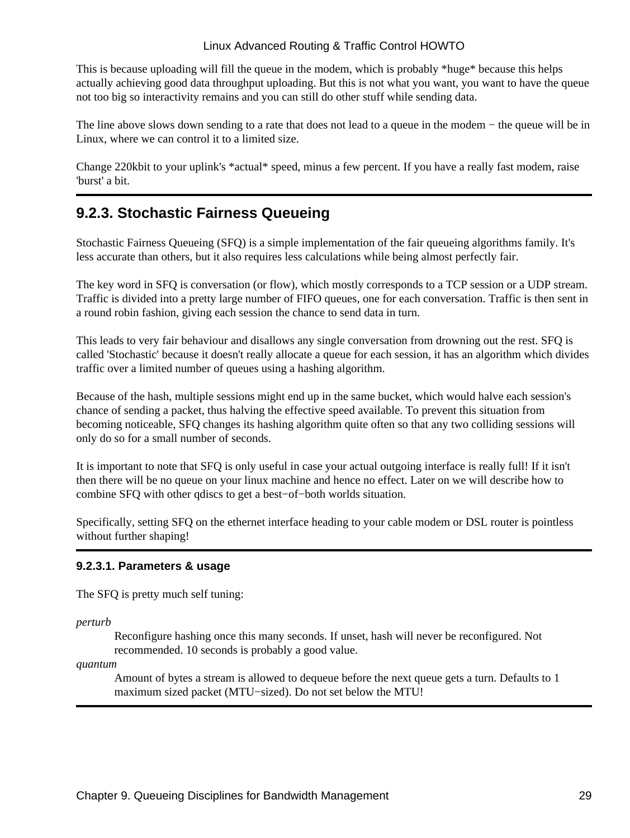This is because uploading will fill the queue in the modem, which is probably \*huge\* because this helps actually achieving good data throughput uploading. But this is not what you want, you want to have the queue not too big so interactivity remains and you can still do other stuff while sending data.

The line above slows down sending to a rate that does not lead to a queue in the modem − the queue will be in Linux, where we can control it to a limited size.

Change 220kbit to your uplink's \*actual\* speed, minus a few percent. If you have a really fast modem, raise 'burst' a bit.

### <span id="page-32-0"></span>**9.2.3. Stochastic Fairness Queueing**

Stochastic Fairness Queueing (SFQ) is a simple implementation of the fair queueing algorithms family. It's less accurate than others, but it also requires less calculations while being almost perfectly fair.

The key word in SFQ is conversation (or flow), which mostly corresponds to a TCP session or a UDP stream. Traffic is divided into a pretty large number of FIFO queues, one for each conversation. Traffic is then sent in a round robin fashion, giving each session the chance to send data in turn.

This leads to very fair behaviour and disallows any single conversation from drowning out the rest. SFQ is called 'Stochastic' because it doesn't really allocate a queue for each session, it has an algorithm which divides traffic over a limited number of queues using a hashing algorithm.

Because of the hash, multiple sessions might end up in the same bucket, which would halve each session's chance of sending a packet, thus halving the effective speed available. To prevent this situation from becoming noticeable, SFQ changes its hashing algorithm quite often so that any two colliding sessions will only do so for a small number of seconds.

It is important to note that SFQ is only useful in case your actual outgoing interface is really full! If it isn't then there will be no queue on your linux machine and hence no effect. Later on we will describe how to combine SFQ with other qdiscs to get a best−of−both worlds situation.

Specifically, setting SFQ on the ethernet interface heading to your cable modem or DSL router is pointless without further shaping!

#### **9.2.3.1. Parameters & usage**

The SFQ is pretty much self tuning:

*perturb*

Reconfigure hashing once this many seconds. If unset, hash will never be reconfigured. Not recommended. 10 seconds is probably a good value.

*quantum*

Amount of bytes a stream is allowed to dequeue before the next queue gets a turn. Defaults to 1 maximum sized packet (MTU−sized). Do not set below the MTU!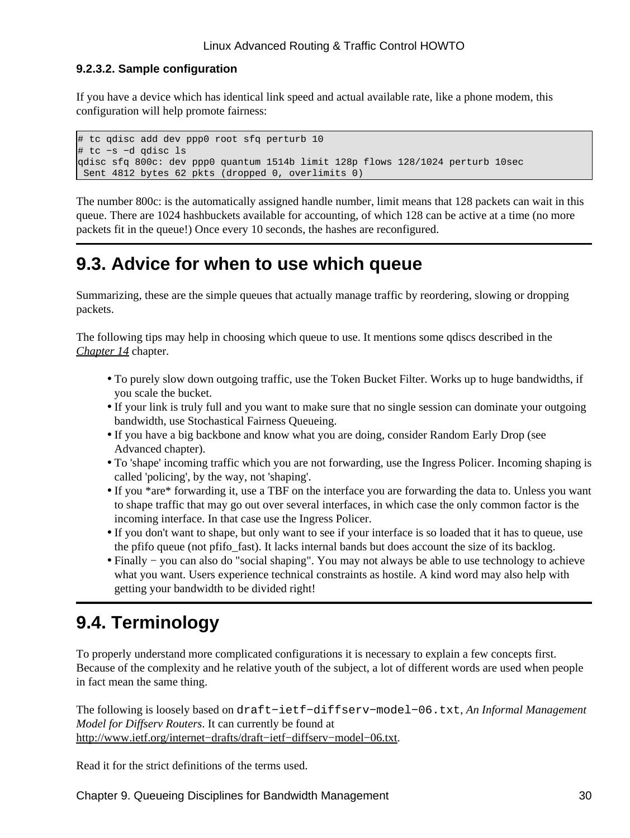#### **9.2.3.2. Sample configuration**

If you have a device which has identical link speed and actual available rate, like a phone modem, this configuration will help promote fairness:

```
# tc qdisc add dev ppp0 root sfq perturb 10
# tc −s −d qdisc ls
qdisc sfq 800c: dev ppp0 quantum 1514b limit 128p flows 128/1024 perturb 10sec 
 Sent 4812 bytes 62 pkts (dropped 0, overlimits 0)
```
The number 800c: is the automatically assigned handle number, limit means that 128 packets can wait in this queue. There are 1024 hashbuckets available for accounting, of which 128 can be active at a time (no more packets fit in the queue!) Once every 10 seconds, the hashes are reconfigured.

### <span id="page-33-0"></span>**9.3. Advice for when to use which queue**

Summarizing, these are the simple queues that actually manage traffic by reordering, slowing or dropping packets.

The following tips may help in choosing which queue to use. It mentions some qdiscs described in the *[Chapter 14](#page-69-0)* chapter.

- To purely slow down outgoing traffic, use the Token Bucket Filter. Works up to huge bandwidths, if you scale the bucket.
- If your link is truly full and you want to make sure that no single session can dominate your outgoing bandwidth, use Stochastical Fairness Queueing.
- If you have a big backbone and know what you are doing, consider Random Early Drop (see Advanced chapter).
- To 'shape' incoming traffic which you are not forwarding, use the Ingress Policer. Incoming shaping is called 'policing', by the way, not 'shaping'.
- If you \*are\* forwarding it, use a TBF on the interface you are forwarding the data to. Unless you want to shape traffic that may go out over several interfaces, in which case the only common factor is the incoming interface. In that case use the Ingress Policer.
- If you don't want to shape, but only want to see if your interface is so loaded that it has to queue, use the pfifo queue (not pfifo\_fast). It lacks internal bands but does account the size of its backlog.
- Finally − you can also do "social shaping". You may not always be able to use technology to achieve what you want. Users experience technical constraints as hostile. A kind word may also help with getting your bandwidth to be divided right!

### <span id="page-33-1"></span>**9.4. Terminology**

To properly understand more complicated configurations it is necessary to explain a few concepts first. Because of the complexity and he relative youth of the subject, a lot of different words are used when people in fact mean the same thing.

The following is loosely based on draft−ietf−diffserv−model−06.txt, *An Informal Management Model for Diffserv Routers*. It can currently be found at [http://www.ietf.org/internet−drafts/draft−ietf−diffserv−model−06.txt](http://www.ietf.org/internet-drafts/draft-ietf-diffserv-model-06.txt).

Read it for the strict definitions of the terms used.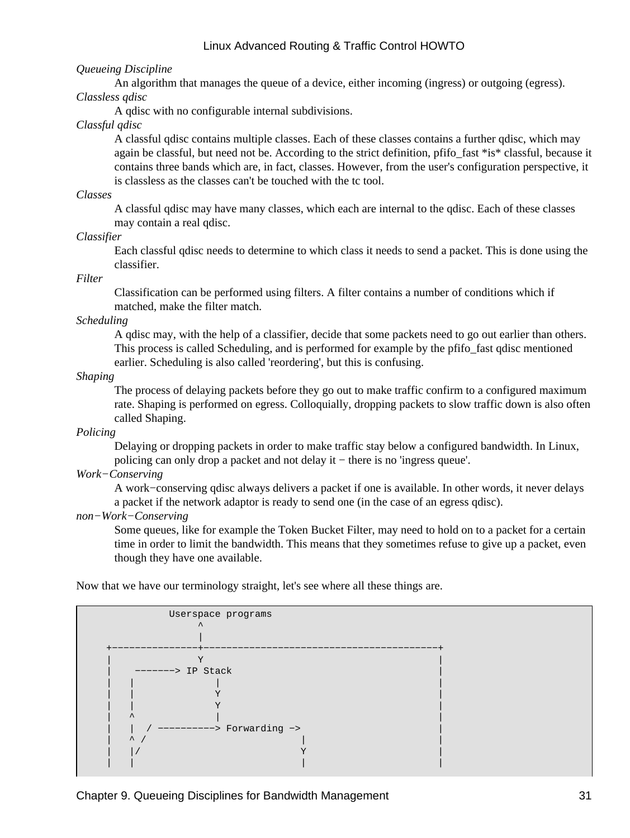#### *Queueing Discipline*

An algorithm that manages the queue of a device, either incoming (ingress) or outgoing (egress). *Classless qdisc*

A qdisc with no configurable internal subdivisions.

#### *Classful qdisc*

A classful qdisc contains multiple classes. Each of these classes contains a further qdisc, which may again be classful, but need not be. According to the strict definition, pfifo\_fast \*is\* classful, because it contains three bands which are, in fact, classes. However, from the user's configuration perspective, it is classless as the classes can't be touched with the tc tool.

#### *Classes*

A classful qdisc may have many classes, which each are internal to the qdisc. Each of these classes may contain a real qdisc.

#### *Classifier*

Each classful qdisc needs to determine to which class it needs to send a packet. This is done using the classifier.

*Filter*

Classification can be performed using filters. A filter contains a number of conditions which if matched, make the filter match.

#### *Scheduling*

A qdisc may, with the help of a classifier, decide that some packets need to go out earlier than others. This process is called Scheduling, and is performed for example by the pfifo\_fast qdisc mentioned earlier. Scheduling is also called 'reordering', but this is confusing.

*Shaping*

The process of delaying packets before they go out to make traffic confirm to a configured maximum rate. Shaping is performed on egress. Colloquially, dropping packets to slow traffic down is also often called Shaping.

#### *Policing*

Delaying or dropping packets in order to make traffic stay below a configured bandwidth. In Linux, policing can only drop a packet and not delay it − there is no 'ingress queue'.

#### *Work−Conserving*

A work−conserving qdisc always delivers a packet if one is available. In other words, it never delays a packet if the network adaptor is ready to send one (in the case of an egress qdisc).

#### *non−Work−Conserving*

Some queues, like for example the Token Bucket Filter, may need to hold on to a packet for a certain time in order to limit the bandwidth. This means that they sometimes refuse to give up a packet, even though they have one available.

Now that we have our terminology straight, let's see where all these things are.

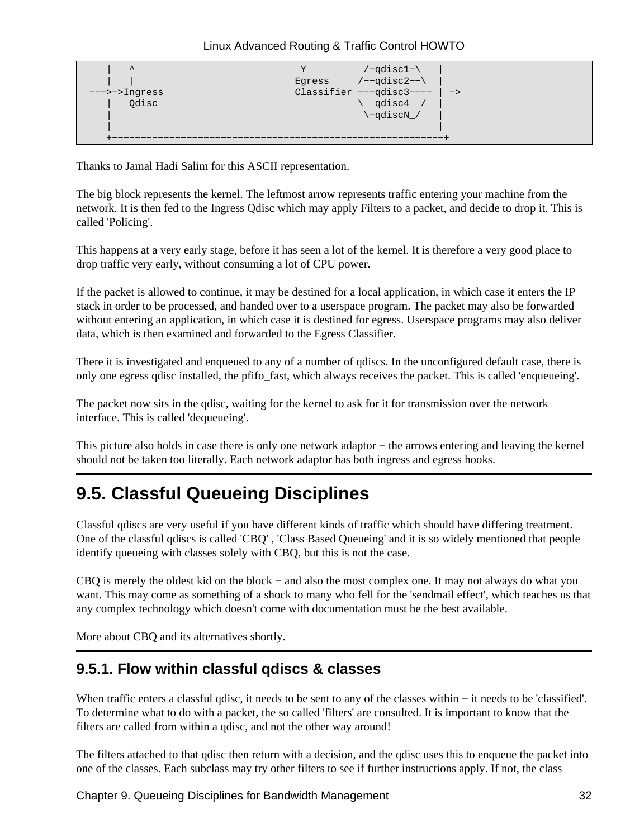```
Y /-qdisc1-\langle | | Egress /−−qdisc2−−\ |
    −−−>−>Ingress Classifier −−−qdisc3−−−− | −>
     \alphadisc\sim \alphadisc4 | \−qdiscN_/ |
 | |
 +−−−−−−−−−−−−−−−−−−−−−−−−−−−−−−−−−−−−−−−−−−−−−−−−−−−−−−−−−−+
```
Thanks to Jamal Hadi Salim for this ASCII representation.

The big block represents the kernel. The leftmost arrow represents traffic entering your machine from the network. It is then fed to the Ingress Qdisc which may apply Filters to a packet, and decide to drop it. This is called 'Policing'.

This happens at a very early stage, before it has seen a lot of the kernel. It is therefore a very good place to drop traffic very early, without consuming a lot of CPU power.

If the packet is allowed to continue, it may be destined for a local application, in which case it enters the IP stack in order to be processed, and handed over to a userspace program. The packet may also be forwarded without entering an application, in which case it is destined for egress. Userspace programs may also deliver data, which is then examined and forwarded to the Egress Classifier.

There it is investigated and enqueued to any of a number of qdiscs. In the unconfigured default case, there is only one egress qdisc installed, the pfifo\_fast, which always receives the packet. This is called 'enqueueing'.

The packet now sits in the qdisc, waiting for the kernel to ask for it for transmission over the network interface. This is called 'dequeueing'.

This picture also holds in case there is only one network adaptor − the arrows entering and leaving the kernel should not be taken too literally. Each network adaptor has both ingress and egress hooks.

## <span id="page-35-0"></span>**9.5. Classful Queueing Disciplines**

Classful qdiscs are very useful if you have different kinds of traffic which should have differing treatment. One of the classful qdiscs is called 'CBQ' , 'Class Based Queueing' and it is so widely mentioned that people identify queueing with classes solely with CBQ, but this is not the case.

CBQ is merely the oldest kid on the block − and also the most complex one. It may not always do what you want. This may come as something of a shock to many who fell for the 'sendmail effect', which teaches us that any complex technology which doesn't come with documentation must be the best available.

More about CBQ and its alternatives shortly.

### <span id="page-35-1"></span>**9.5.1. Flow within classful qdiscs & classes**

When traffic enters a classful qdisc, it needs to be sent to any of the classes within − it needs to be 'classified'. To determine what to do with a packet, the so called 'filters' are consulted. It is important to know that the filters are called from within a qdisc, and not the other way around!

The filters attached to that qdisc then return with a decision, and the qdisc uses this to enqueue the packet into one of the classes. Each subclass may try other filters to see if further instructions apply. If not, the class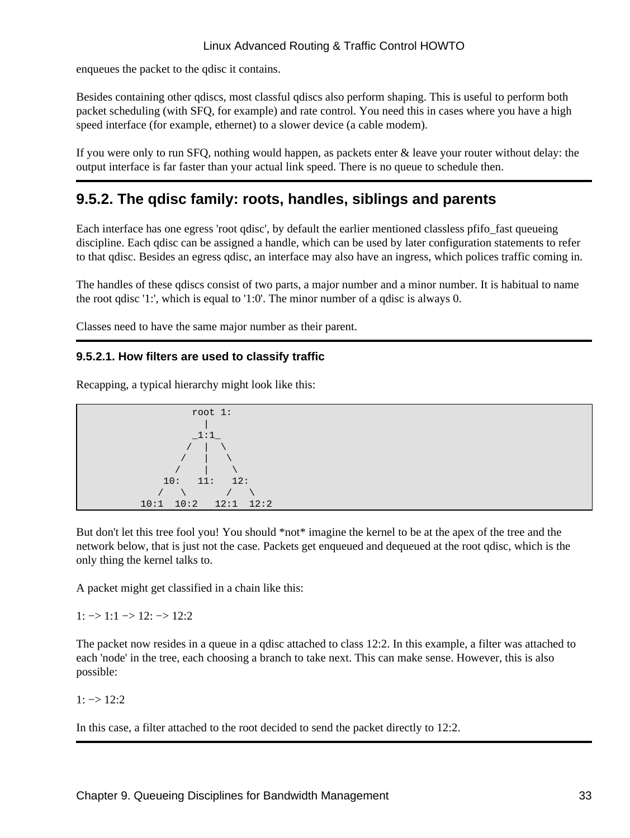enqueues the packet to the qdisc it contains.

Besides containing other qdiscs, most classful qdiscs also perform shaping. This is useful to perform both packet scheduling (with SFQ, for example) and rate control. You need this in cases where you have a high speed interface (for example, ethernet) to a slower device (a cable modem).

If you were only to run SFQ, nothing would happen, as packets enter & leave your router without delay: the output interface is far faster than your actual link speed. There is no queue to schedule then.

## **9.5.2. The qdisc family: roots, handles, siblings and parents**

Each interface has one egress 'root qdisc', by default the earlier mentioned classless pfifo fast queueing discipline. Each qdisc can be assigned a handle, which can be used by later configuration statements to refer to that qdisc. Besides an egress qdisc, an interface may also have an ingress, which polices traffic coming in.

The handles of these qdiscs consist of two parts, a major number and a minor number. It is habitual to name the root qdisc '1:', which is equal to '1:0'. The minor number of a qdisc is always 0.

Classes need to have the same major number as their parent.

## **9.5.2.1. How filters are used to classify traffic**

Recapping, a typical hierarchy might look like this:



But don't let this tree fool you! You should \*not\* imagine the kernel to be at the apex of the tree and the network below, that is just not the case. Packets get enqueued and dequeued at the root qdisc, which is the only thing the kernel talks to.

A packet might get classified in a chain like this:

 $1: \rightarrow 1:1 \rightarrow 12: \rightarrow 12:2$ 

The packet now resides in a queue in a qdisc attached to class 12:2. In this example, a filter was attached to each 'node' in the tree, each choosing a branch to take next. This can make sense. However, this is also possible:

 $1: \rightarrow 12:2$ 

In this case, a filter attached to the root decided to send the packet directly to 12:2.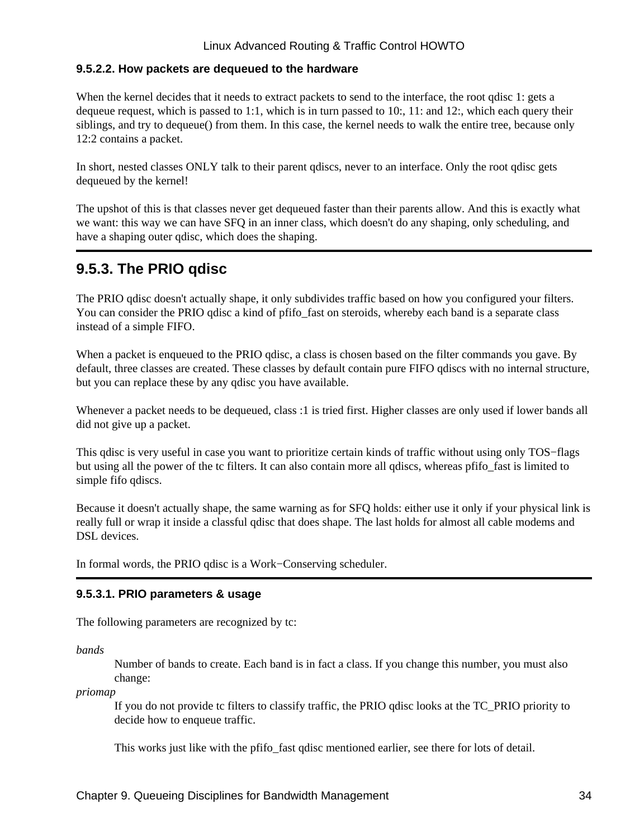### **9.5.2.2. How packets are dequeued to the hardware**

When the kernel decides that it needs to extract packets to send to the interface, the root gdisc 1: gets a dequeue request, which is passed to 1:1, which is in turn passed to 10:, 11: and 12:, which each query their siblings, and try to dequeue() from them. In this case, the kernel needs to walk the entire tree, because only 12:2 contains a packet.

In short, nested classes ONLY talk to their parent qdiscs, never to an interface. Only the root qdisc gets dequeued by the kernel!

The upshot of this is that classes never get dequeued faster than their parents allow. And this is exactly what we want: this way we can have SFQ in an inner class, which doesn't do any shaping, only scheduling, and have a shaping outer qdisc, which does the shaping.

## **9.5.3. The PRIO qdisc**

The PRIO qdisc doesn't actually shape, it only subdivides traffic based on how you configured your filters. You can consider the PRIO qdisc a kind of pfifo\_fast on steroids, whereby each band is a separate class instead of a simple FIFO.

When a packet is enqueued to the PRIO qdisc, a class is chosen based on the filter commands you gave. By default, three classes are created. These classes by default contain pure FIFO qdiscs with no internal structure, but you can replace these by any qdisc you have available.

Whenever a packet needs to be dequeued, class :1 is tried first. Higher classes are only used if lower bands all did not give up a packet.

This qdisc is very useful in case you want to prioritize certain kinds of traffic without using only TOS−flags but using all the power of the tc filters. It can also contain more all qdiscs, whereas pfifo\_fast is limited to simple fifo qdiscs.

Because it doesn't actually shape, the same warning as for SFQ holds: either use it only if your physical link is really full or wrap it inside a classful qdisc that does shape. The last holds for almost all cable modems and DSL devices.

In formal words, the PRIO qdisc is a Work−Conserving scheduler.

### **9.5.3.1. PRIO parameters & usage**

The following parameters are recognized by tc:

*bands*

Number of bands to create. Each band is in fact a class. If you change this number, you must also change:

*priomap*

If you do not provide tc filters to classify traffic, the PRIO qdisc looks at the TC\_PRIO priority to decide how to enqueue traffic.

This works just like with the pfifolarty fast qdisc mentioned earlier, see there for lots of detail.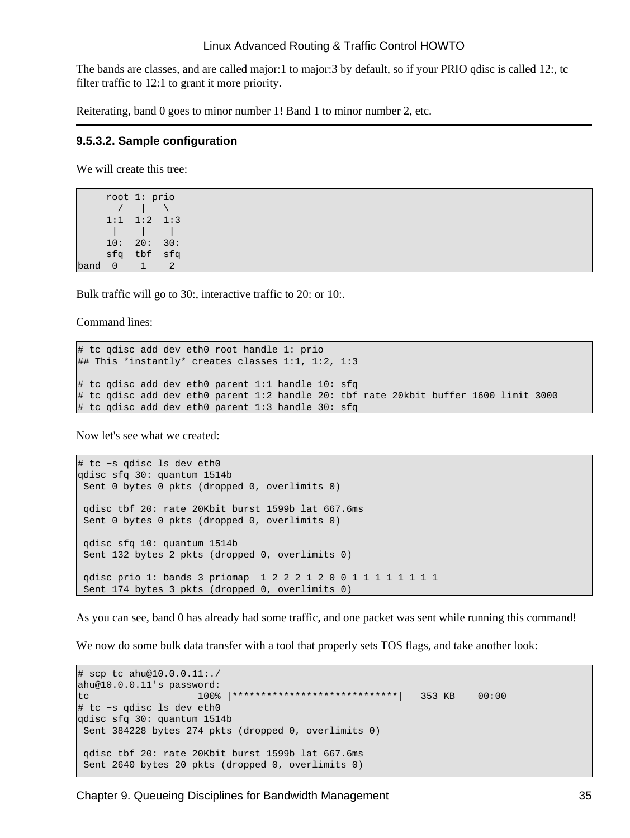The bands are classes, and are called major:1 to major:3 by default, so if your PRIO qdisc is called 12:, tc filter traffic to 12:1 to grant it more priority.

Reiterating, band 0 goes to minor number 1! Band 1 to minor number 2, etc.

#### **9.5.3.2. Sample configuration**

We will create this tree:

 root 1: prio / | \ 1:1 1:2 1:3 | | | 10: 20: 30: sfq tbf sfq band 0 1 2

Bulk traffic will go to 30:, interactive traffic to 20: or 10:.

Command lines:

```
# tc qdisc add dev eth0 root handle 1: prio 
## This *instantly* creates classes 1:1, 1:2, 1:3
# tc qdisc add dev eth0 parent 1:1 handle 10: sfq
# tc qdisc add dev eth0 parent 1:2 handle 20: tbf rate 20kbit buffer 1600 limit 3000
# tc qdisc add dev eth0 parent 1:3 handle 30: sfq
```
Now let's see what we created:

# tc −s qdisc ls dev eth0 qdisc sfq 30: quantum 1514b Sent 0 bytes 0 pkts (dropped 0, overlimits 0) qdisc tbf 20: rate 20Kbit burst 1599b lat 667.6ms Sent 0 bytes 0 pkts (dropped 0, overlimits 0) qdisc sfq 10: quantum 1514b Sent 132 bytes 2 pkts (dropped 0, overlimits 0) qdisc prio 1: bands 3 priomap 1 2 2 2 1 2 0 0 1 1 1 1 1 1 1 1 Sent 174 bytes 3 pkts (dropped 0, overlimits 0)

As you can see, band 0 has already had some traffic, and one packet was sent while running this command!

We now do some bulk data transfer with a tool that properly sets TOS flags, and take another look:

```
# scp tc ahu@10.0.0.11:./
ahu@10.0.0.11's password: 
tc 100% |*****************************| 353 KB 00:00 
# tc −s qdisc ls dev eth0
qdisc sfq 30: quantum 1514b 
 Sent 384228 bytes 274 pkts (dropped 0, overlimits 0) 
 qdisc tbf 20: rate 20Kbit burst 1599b lat 667.6ms 
 Sent 2640 bytes 20 pkts (dropped 0, overlimits 0)
```
Chapter 9. Queueing Disciplines for Bandwidth Management 35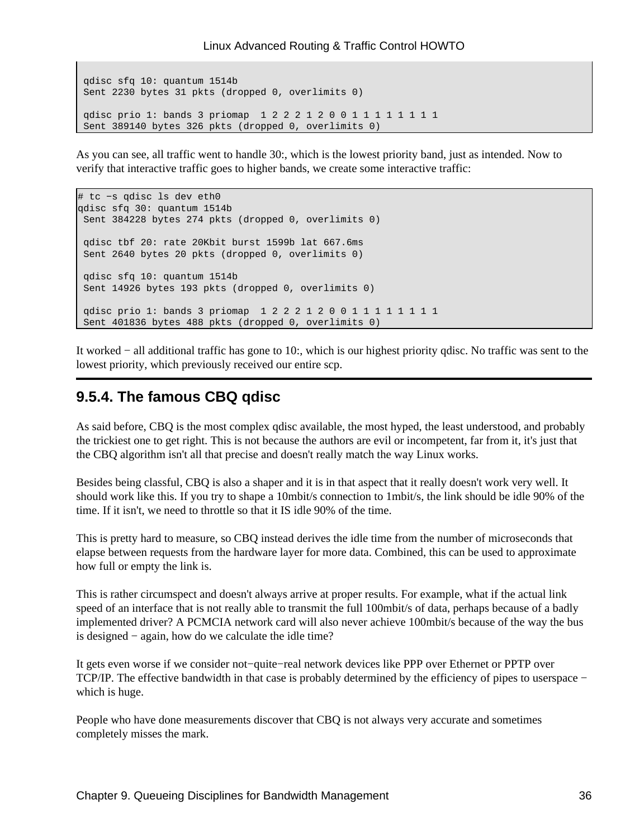```
 qdisc sfq 10: quantum 1514b 
 Sent 2230 bytes 31 pkts (dropped 0, overlimits 0) 
 qdisc prio 1: bands 3 priomap 1 2 2 2 1 2 0 0 1 1 1 1 1 1 1 1
 Sent 389140 bytes 326 pkts (dropped 0, overlimits 0)
```
As you can see, all traffic went to handle 30:, which is the lowest priority band, just as intended. Now to verify that interactive traffic goes to higher bands, we create some interactive traffic:

```
# tc −s qdisc ls dev eth0
qdisc sfq 30: quantum 1514b 
 Sent 384228 bytes 274 pkts (dropped 0, overlimits 0) 
 qdisc tbf 20: rate 20Kbit burst 1599b lat 667.6ms 
 Sent 2640 bytes 20 pkts (dropped 0, overlimits 0) 
 qdisc sfq 10: quantum 1514b 
 Sent 14926 bytes 193 pkts (dropped 0, overlimits 0) 
 qdisc prio 1: bands 3 priomap 1 2 2 2 1 2 0 0 1 1 1 1 1 1 1 1
 Sent 401836 bytes 488 pkts (dropped 0, overlimits 0)
```
It worked − all additional traffic has gone to 10:, which is our highest priority qdisc. No traffic was sent to the lowest priority, which previously received our entire scp.

## **9.5.4. The famous CBQ qdisc**

As said before, CBQ is the most complex qdisc available, the most hyped, the least understood, and probably the trickiest one to get right. This is not because the authors are evil or incompetent, far from it, it's just that the CBQ algorithm isn't all that precise and doesn't really match the way Linux works.

Besides being classful, CBQ is also a shaper and it is in that aspect that it really doesn't work very well. It should work like this. If you try to shape a 10mbit/s connection to 1mbit/s, the link should be idle 90% of the time. If it isn't, we need to throttle so that it IS idle 90% of the time.

This is pretty hard to measure, so CBQ instead derives the idle time from the number of microseconds that elapse between requests from the hardware layer for more data. Combined, this can be used to approximate how full or empty the link is.

This is rather circumspect and doesn't always arrive at proper results. For example, what if the actual link speed of an interface that is not really able to transmit the full 100mbit/s of data, perhaps because of a badly implemented driver? A PCMCIA network card will also never achieve 100mbit/s because of the way the bus is designed − again, how do we calculate the idle time?

It gets even worse if we consider not−quite−real network devices like PPP over Ethernet or PPTP over TCP/IP. The effective bandwidth in that case is probably determined by the efficiency of pipes to userspace − which is huge.

People who have done measurements discover that CBQ is not always very accurate and sometimes completely misses the mark.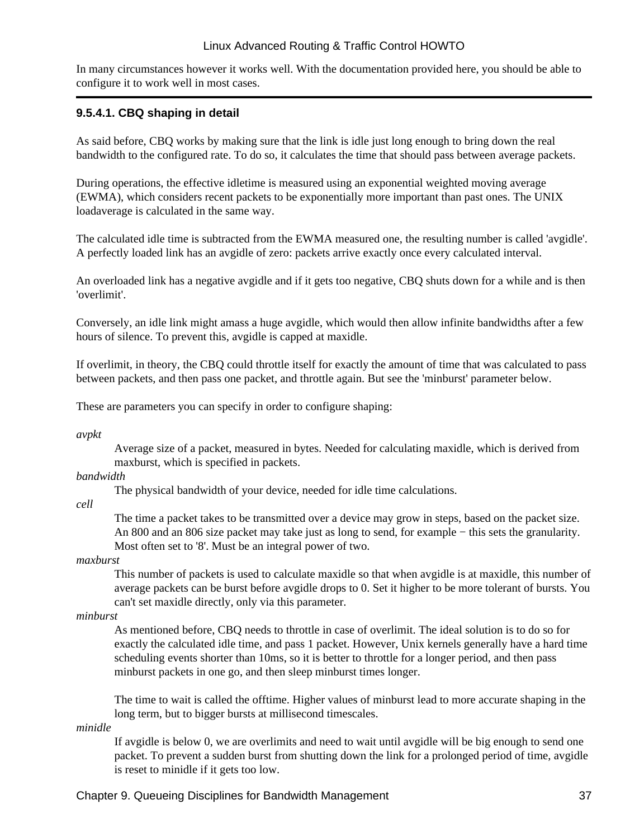In many circumstances however it works well. With the documentation provided here, you should be able to configure it to work well in most cases.

#### **9.5.4.1. CBQ shaping in detail**

As said before, CBQ works by making sure that the link is idle just long enough to bring down the real bandwidth to the configured rate. To do so, it calculates the time that should pass between average packets.

During operations, the effective idletime is measured using an exponential weighted moving average (EWMA), which considers recent packets to be exponentially more important than past ones. The UNIX loadaverage is calculated in the same way.

The calculated idle time is subtracted from the EWMA measured one, the resulting number is called 'avgidle'. A perfectly loaded link has an avgidle of zero: packets arrive exactly once every calculated interval.

An overloaded link has a negative avgidle and if it gets too negative, CBQ shuts down for a while and is then 'overlimit'.

Conversely, an idle link might amass a huge avgidle, which would then allow infinite bandwidths after a few hours of silence. To prevent this, avgidle is capped at maxidle.

If overlimit, in theory, the CBQ could throttle itself for exactly the amount of time that was calculated to pass between packets, and then pass one packet, and throttle again. But see the 'minburst' parameter below.

These are parameters you can specify in order to configure shaping:

*avpkt*

Average size of a packet, measured in bytes. Needed for calculating maxidle, which is derived from maxburst, which is specified in packets.

#### *bandwidth*

The physical bandwidth of your device, needed for idle time calculations.

*cell*

The time a packet takes to be transmitted over a device may grow in steps, based on the packet size. An 800 and an 806 size packet may take just as long to send, for example − this sets the granularity. Most often set to '8'. Must be an integral power of two.

#### *maxburst*

This number of packets is used to calculate maxidle so that when avgidle is at maxidle, this number of average packets can be burst before avgidle drops to 0. Set it higher to be more tolerant of bursts. You can't set maxidle directly, only via this parameter.

#### *minburst*

As mentioned before, CBQ needs to throttle in case of overlimit. The ideal solution is to do so for exactly the calculated idle time, and pass 1 packet. However, Unix kernels generally have a hard time scheduling events shorter than 10ms, so it is better to throttle for a longer period, and then pass minburst packets in one go, and then sleep minburst times longer.

The time to wait is called the offtime. Higher values of minburst lead to more accurate shaping in the long term, but to bigger bursts at millisecond timescales.

*minidle*

If avgidle is below 0, we are overlimits and need to wait until avgidle will be big enough to send one packet. To prevent a sudden burst from shutting down the link for a prolonged period of time, avgidle is reset to minidle if it gets too low.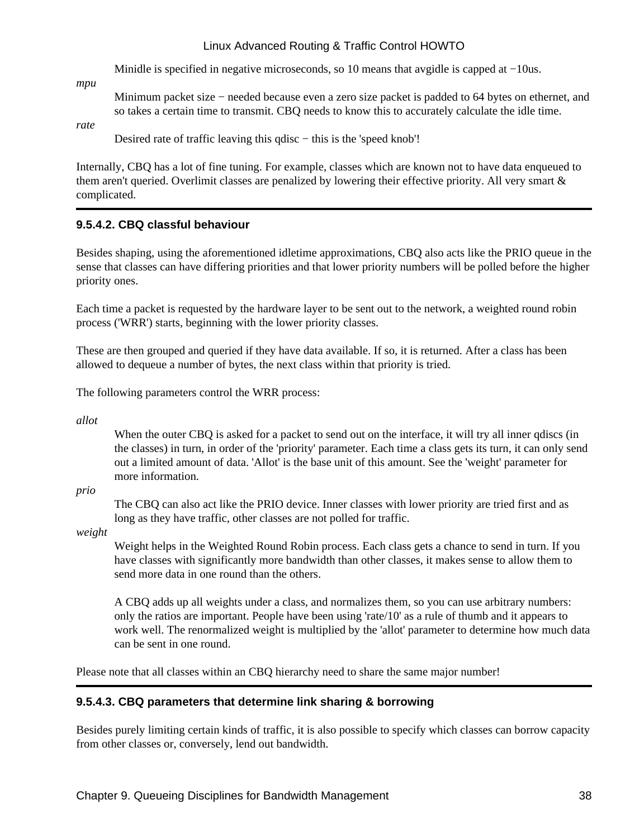Minidle is specified in negative microseconds, so 10 means that avgidle is capped at −10us.

*mpu*

Minimum packet size − needed because even a zero size packet is padded to 64 bytes on ethernet, and so takes a certain time to transmit. CBQ needs to know this to accurately calculate the idle time.

*rate*

Desired rate of traffic leaving this qdisc − this is the 'speed knob'!

Internally, CBQ has a lot of fine tuning. For example, classes which are known not to have data enqueued to them aren't queried. Overlimit classes are penalized by lowering their effective priority. All very smart & complicated.

## **9.5.4.2. CBQ classful behaviour**

Besides shaping, using the aforementioned idletime approximations, CBQ also acts like the PRIO queue in the sense that classes can have differing priorities and that lower priority numbers will be polled before the higher priority ones.

Each time a packet is requested by the hardware layer to be sent out to the network, a weighted round robin process ('WRR') starts, beginning with the lower priority classes.

These are then grouped and queried if they have data available. If so, it is returned. After a class has been allowed to dequeue a number of bytes, the next class within that priority is tried.

The following parameters control the WRR process:

*allot*

When the outer CBQ is asked for a packet to send out on the interface, it will try all inner qdiscs (in the classes) in turn, in order of the 'priority' parameter. Each time a class gets its turn, it can only send out a limited amount of data. 'Allot' is the base unit of this amount. See the 'weight' parameter for more information.

*prio*

The CBQ can also act like the PRIO device. Inner classes with lower priority are tried first and as long as they have traffic, other classes are not polled for traffic.

*weight*

Weight helps in the Weighted Round Robin process. Each class gets a chance to send in turn. If you have classes with significantly more bandwidth than other classes, it makes sense to allow them to send more data in one round than the others.

A CBQ adds up all weights under a class, and normalizes them, so you can use arbitrary numbers: only the ratios are important. People have been using 'rate/10' as a rule of thumb and it appears to work well. The renormalized weight is multiplied by the 'allot' parameter to determine how much data can be sent in one round.

Please note that all classes within an CBQ hierarchy need to share the same major number!

### **9.5.4.3. CBQ parameters that determine link sharing & borrowing**

Besides purely limiting certain kinds of traffic, it is also possible to specify which classes can borrow capacity from other classes or, conversely, lend out bandwidth.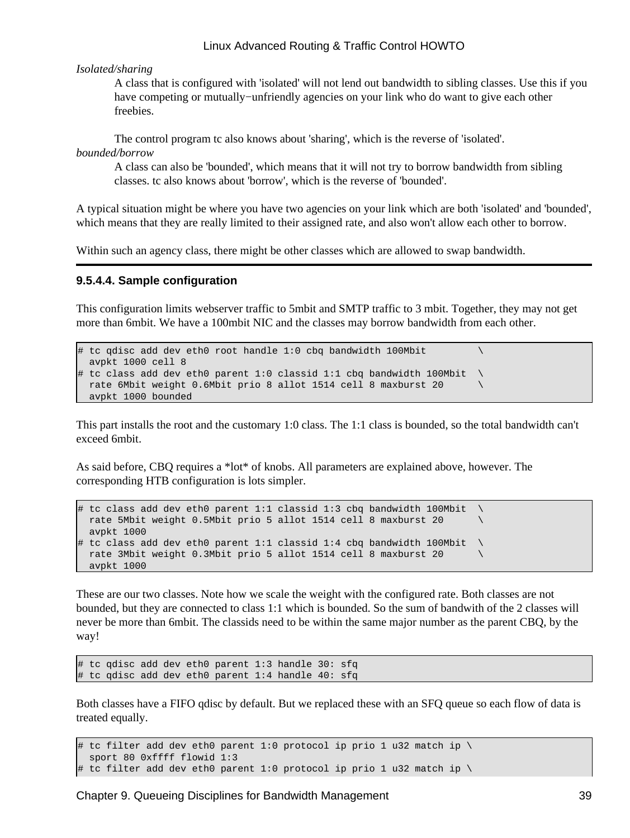#### *Isolated/sharing*

A class that is configured with 'isolated' will not lend out bandwidth to sibling classes. Use this if you have competing or mutually−unfriendly agencies on your link who do want to give each other freebies.

The control program tc also knows about 'sharing', which is the reverse of 'isolated'.

*bounded/borrow*

A class can also be 'bounded', which means that it will not try to borrow bandwidth from sibling classes. tc also knows about 'borrow', which is the reverse of 'bounded'.

A typical situation might be where you have two agencies on your link which are both 'isolated' and 'bounded', which means that they are really limited to their assigned rate, and also won't allow each other to borrow.

Within such an agency class, there might be other classes which are allowed to swap bandwidth.

#### **9.5.4.4. Sample configuration**

This configuration limits webserver traffic to 5mbit and SMTP traffic to 3 mbit. Together, they may not get more than 6mbit. We have a 100mbit NIC and the classes may borrow bandwidth from each other.

```
\# tc qdisc add dev eth0 root handle 1:0 cbq bandwidth 100Mbit
  avpkt 1000 cell 8
# tc class add dev eth0 parent 1:0 classid 1:1 cbq bandwidth 100Mbit \
 rate 6Mbit weight 0.6Mbit prio 8 allot 1514 cell 8 maxburst 20
  avpkt 1000 bounded
```
This part installs the root and the customary 1:0 class. The 1:1 class is bounded, so the total bandwidth can't exceed 6mbit.

As said before, CBQ requires a \*lot\* of knobs. All parameters are explained above, however. The corresponding HTB configuration is lots simpler.

```
\# tc class add dev eth0 parent 1:1 classid 1:3 cbq bandwidth 100Mbit
  rate 5Mbit weight 0.5Mbit prio 5 allot 1514 cell 8 maxburst 20 \
  avpkt 1000 
# tc class add dev eth0 parent 1:1 classid 1:4 cbq bandwidth 100Mbit \
   rate 3Mbit weight 0.3Mbit prio 5 allot 1514 cell 8 maxburst 20 \
   avpkt 1000
```
These are our two classes. Note how we scale the weight with the configured rate. Both classes are not bounded, but they are connected to class 1:1 which is bounded. So the sum of bandwith of the 2 classes will never be more than 6mbit. The classids need to be within the same major number as the parent CBQ, by the way!

```
# tc qdisc add dev eth0 parent 1:3 handle 30: sfq
# tc qdisc add dev eth0 parent 1:4 handle 40: sfq
```
Both classes have a FIFO qdisc by default. But we replaced these with an SFQ queue so each flow of data is treated equally.

```
# tc filter add dev eth0 parent 1:0 protocol ip prio 1 u32 match ip \setminus sport 80 0xffff flowid 1:3
# tc filter add dev eth0 parent 1:0 protocol ip prio 1 u32 match ip \
```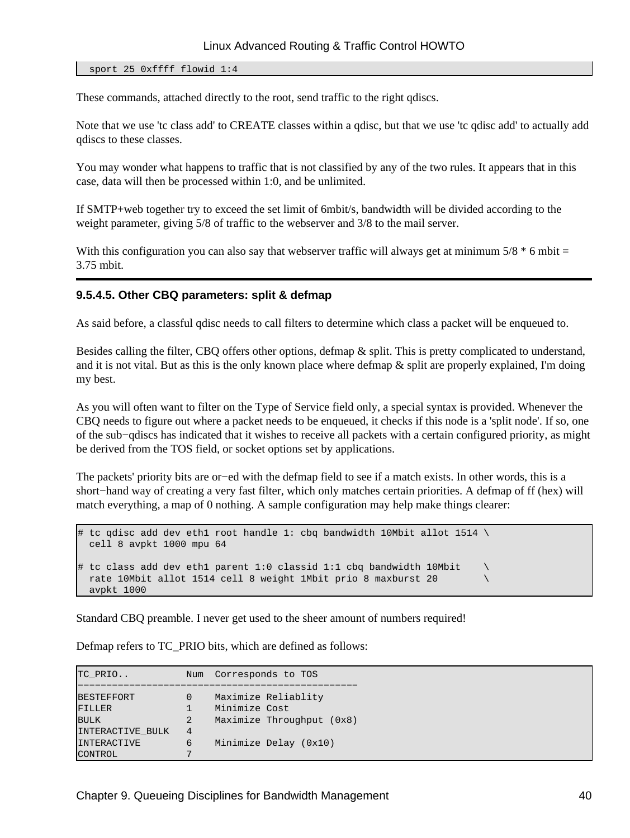#### sport 25 0xffff flowid 1:4

These commands, attached directly to the root, send traffic to the right qdiscs.

Note that we use 'tc class add' to CREATE classes within a qdisc, but that we use 'tc qdisc add' to actually add qdiscs to these classes.

You may wonder what happens to traffic that is not classified by any of the two rules. It appears that in this case, data will then be processed within 1:0, and be unlimited.

If SMTP+web together try to exceed the set limit of 6mbit/s, bandwidth will be divided according to the weight parameter, giving 5/8 of traffic to the webserver and 3/8 to the mail server.

With this configuration you can also say that webserver traffic will always get at minimum  $5/8 * 6$  mbit = 3.75 mbit.

#### **9.5.4.5. Other CBQ parameters: split & defmap**

As said before, a classful qdisc needs to call filters to determine which class a packet will be enqueued to.

Besides calling the filter, CBQ offers other options, defmap & split. This is pretty complicated to understand, and it is not vital. But as this is the only known place where defmap  $\&$  split are properly explained, I'm doing my best.

As you will often want to filter on the Type of Service field only, a special syntax is provided. Whenever the CBQ needs to figure out where a packet needs to be enqueued, it checks if this node is a 'split node'. If so, one of the sub−qdiscs has indicated that it wishes to receive all packets with a certain configured priority, as might be derived from the TOS field, or socket options set by applications.

The packets' priority bits are or−ed with the defmap field to see if a match exists. In other words, this is a short−hand way of creating a very fast filter, which only matches certain priorities. A defmap of ff (hex) will match everything, a map of 0 nothing. A sample configuration may help make things clearer:

```
\# tc qdisc add dev ethl root handle 1: cbq bandwidth 10Mbit allot 1514 \
   cell 8 avpkt 1000 mpu 64
# tc class add dev eth1 parent 1:0 classid 1:1 cbq bandwidth 10Mbit \qquad \setminus rate 10Mbit allot 1514 cell 8 weight 1Mbit prio 8 maxburst 20 \
   avpkt 1000
```
Standard CBQ preamble. I never get used to the sheer amount of numbers required!

Defmap refers to TC\_PRIO bits, which are defined as follows:

| TC PRIO                 | Num            | Corresponds to TOS        |
|-------------------------|----------------|---------------------------|
|                         |                |                           |
| <b>BESTEFFORT</b>       | $\Omega$       | Maximize Reliablity       |
| FILLER                  |                | Minimize Cost             |
| <b>BULK</b>             | 2              | Maximize Throughput (0x8) |
| <b>INTERACTIVE BULK</b> | $\overline{4}$ |                           |
| <b>INTERACTIVE</b>      | 6              | Minimize Delay (0x10)     |
| CONTROL                 |                |                           |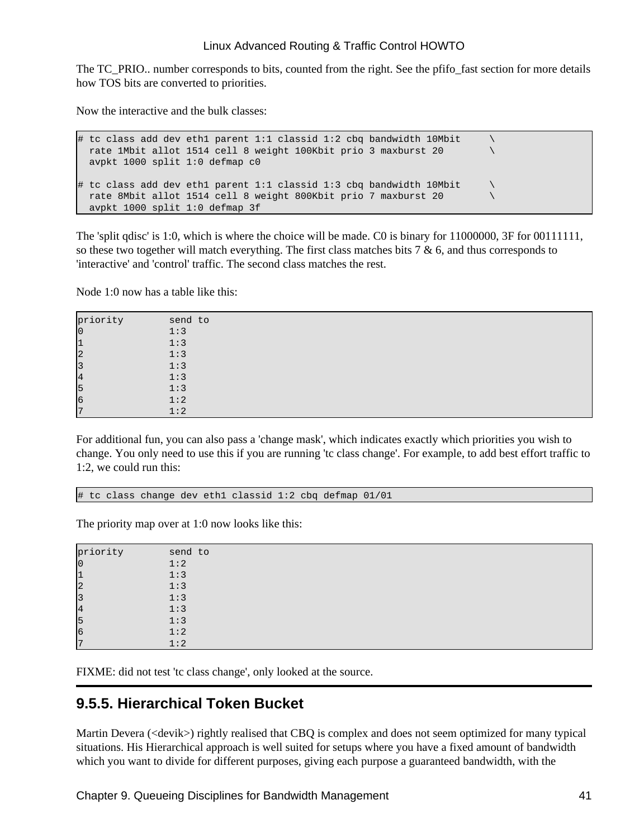The TC\_PRIO.. number corresponds to bits, counted from the right. See the pfifo\_fast section for more details how TOS bits are converted to priorities.

Now the interactive and the bulk classes:

```
# tc class add dev eth1 parent 1:1 classid 1:2 cbq bandwidth 10Mbit
  rate 1Mbit allot 1514 cell 8 weight 100Kbit prio 3 maxburst 20 \
  avpkt 1000 split 1:0 defmap c0
# tc class add dev eth1 parent 1:1 classid 1:3 cbq bandwidth 10Mbit \
  rate 8Mbit allot 1514 cell 8 weight 800Kbit prio 7 maxburst 20 \
  avpkt 1000 split 1:0 defmap 3f
```
The 'split qdisc' is 1:0, which is where the choice will be made. C0 is binary for 11000000, 3F for 00111111, so these two together will match everything. The first class matches bits 7 & 6, and thus corresponds to 'interactive' and 'control' traffic. The second class matches the rest.

Node 1:0 now has a table like this:

| priority       | send to |
|----------------|---------|
| $\overline{0}$ | 1:3     |
| $\mathbf{1}$   | 1:3     |
| $\overline{2}$ | 1:3     |
| $\overline{3}$ | 1:3     |
| $\overline{4}$ | 1:3     |
| 5              | 1:3     |
| 6              | 1:2     |
| $\overline{7}$ | 1:2     |

For additional fun, you can also pass a 'change mask', which indicates exactly which priorities you wish to change. You only need to use this if you are running 'tc class change'. For example, to add best effort traffic to 1:2, we could run this:

# tc class change dev eth1 classid 1:2 cbq defmap 01/01

The priority map over at 1:0 now looks like this:

| priority       | send to |
|----------------|---------|
| $\overline{0}$ | 1:2     |
| $\mathbf{1}$   | 1:3     |
| $\overline{2}$ | 1:3     |
| $\overline{3}$ | 1:3     |
| $\overline{4}$ | 1:3     |
| 5              | 1:3     |
| 6              | 1:2     |
| $\overline{ }$ | 1:2     |

FIXME: did not test 'tc class change', only looked at the source.

## **9.5.5. Hierarchical Token Bucket**

Martin Devera (<devik>) rightly realised that CBQ is complex and does not seem optimized for many typical situations. His Hierarchical approach is well suited for setups where you have a fixed amount of bandwidth which you want to divide for different purposes, giving each purpose a guaranteed bandwidth, with the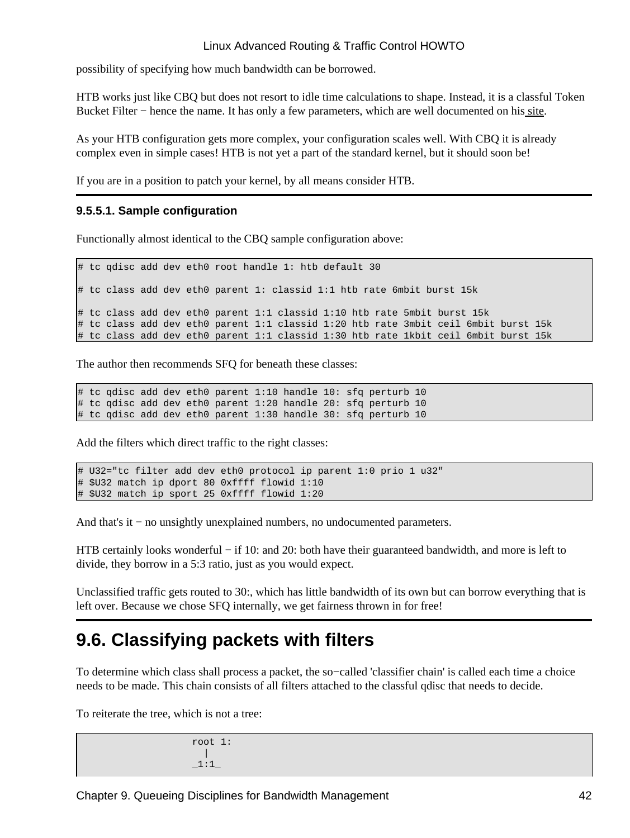possibility of specifying how much bandwidth can be borrowed.

HTB works just like CBQ but does not resort to idle time calculations to shape. Instead, it is a classful Token Bucket Filter – hence the name. It has only a few parameters, which are well documented on his <u>site</u>.

As your HTB configuration gets more complex, your configuration scales well. With CBQ it is already complex even in simple cases! HTB is not yet a part of the standard kernel, but it should soon be!

If you are in a position to patch your kernel, by all means consider HTB.

### **9.5.5.1. Sample configuration**

Functionally almost identical to the CBQ sample configuration above:

# tc qdisc add dev eth0 root handle 1: htb default 30 # tc class add dev eth0 parent 1: classid 1:1 htb rate 6mbit burst 15k # tc class add dev eth0 parent 1:1 classid 1:10 htb rate 5mbit burst 15k # tc class add dev eth0 parent 1:1 classid 1:20 htb rate 3mbit ceil 6mbit burst 15k # tc class add dev eth0 parent 1:1 classid 1:30 htb rate 1kbit ceil 6mbit burst 15k

The author then recommends SFQ for beneath these classes:

# tc qdisc add dev eth0 parent 1:10 handle 10: sfq perturb 10 # tc qdisc add dev eth0 parent 1:20 handle 20: sfq perturb 10 # tc qdisc add dev eth0 parent 1:30 handle 30: sfq perturb 10

Add the filters which direct traffic to the right classes:

```
# U32="tc filter add dev eth0 protocol ip parent 1:0 prio 1 u32"
# $U32 match ip dport 80 0xffff flowid 1:10
# $U32 match ip sport 25 0xffff flowid 1:20
```
And that's it − no unsightly unexplained numbers, no undocumented parameters.

HTB certainly looks wonderful − if 10: and 20: both have their guaranteed bandwidth, and more is left to divide, they borrow in a 5:3 ratio, just as you would expect.

Unclassified traffic gets routed to 30:, which has little bandwidth of its own but can borrow everything that is left over. Because we chose SFQ internally, we get fairness thrown in for free!

## **9.6. Classifying packets with filters**

To determine which class shall process a packet, the so−called 'classifier chain' is called each time a choice needs to be made. This chain consists of all filters attached to the classful qdisc that needs to decide.

To reiterate the tree, which is not a tree:

 root 1: |  $\_1:1\_$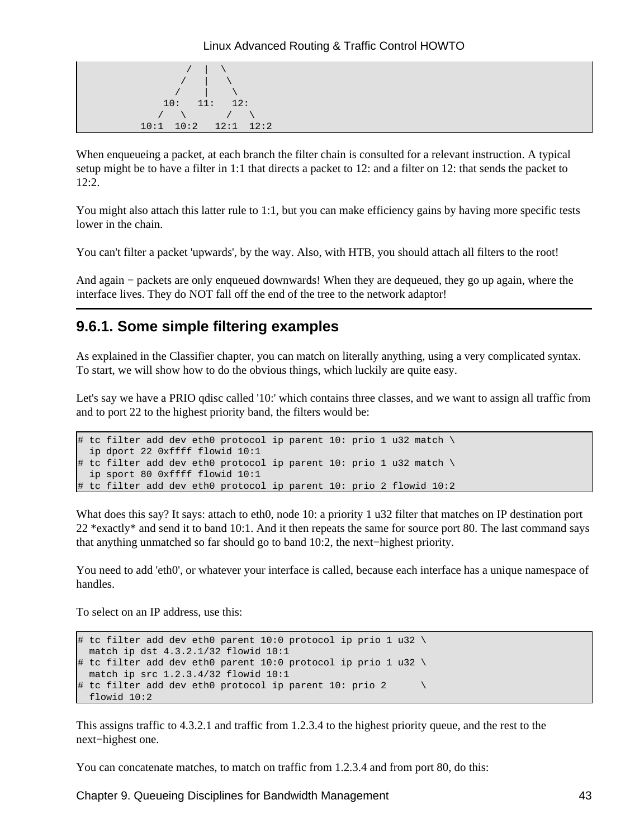

When enqueueing a packet, at each branch the filter chain is consulted for a relevant instruction. A typical setup might be to have a filter in 1:1 that directs a packet to 12: and a filter on 12: that sends the packet to 12:2.

You might also attach this latter rule to 1:1, but you can make efficiency gains by having more specific tests lower in the chain.

You can't filter a packet 'upwards', by the way. Also, with HTB, you should attach all filters to the root!

And again − packets are only enqueued downwards! When they are dequeued, they go up again, where the interface lives. They do NOT fall off the end of the tree to the network adaptor!

## **9.6.1. Some simple filtering examples**

As explained in the Classifier chapter, you can match on literally anything, using a very complicated syntax. To start, we will show how to do the obvious things, which luckily are quite easy.

Let's say we have a PRIO qdisc called '10:' which contains three classes, and we want to assign all traffic from and to port 22 to the highest priority band, the filters would be:

```
# tc filter add dev eth0 protocol ip parent 10: prio 1 u32 match \
  ip dport 22 0xffff flowid 10:1
# tc filter add dev eth0 protocol ip parent 10: prio 1 u32 match \
   ip sport 80 0xffff flowid 10:1
# tc filter add dev eth0 protocol ip parent 10: prio 2 flowid 10:2
```
What does this say? It says: attach to eth0, node 10: a priority 1 u32 filter that matches on IP destination port 22 \*exactly\* and send it to band 10:1. And it then repeats the same for source port 80. The last command says that anything unmatched so far should go to band 10:2, the next−highest priority.

You need to add 'eth0', or whatever your interface is called, because each interface has a unique namespace of handles.

To select on an IP address, use this:

```
# tc filter add dev eth0 parent 10:0 protocol ip prio 1 u32 \
  match ip dst 4.3.2.1/32 flowid 10:1
# tc filter add dev eth0 parent 10:0 protocol ip prio 1 u32 \
  match ip src 1.2.3.4/32 flowid 10:1
# tc filter add dev eth0 protocol ip parent 10: prio 2
   flowid 10:2
```
This assigns traffic to 4.3.2.1 and traffic from 1.2.3.4 to the highest priority queue, and the rest to the next−highest one.

You can concatenate matches, to match on traffic from 1.2.3.4 and from port 80, do this:

Chapter 9. Queueing Disciplines for Bandwidth Management 43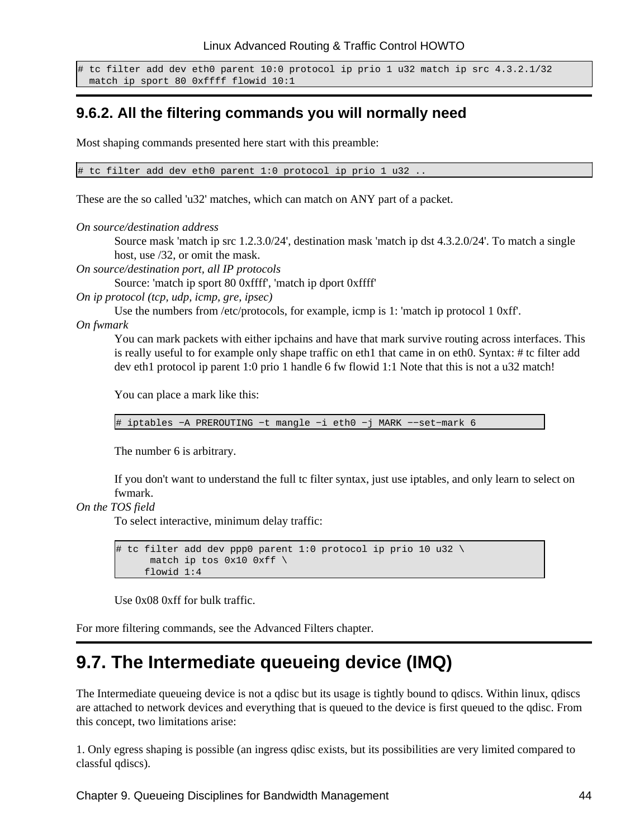```
# tc filter add dev eth0 parent 10:0 protocol ip prio 1 u32 match ip src 4.3.2.1/32
  match ip sport 80 0xffff flowid 10:1
```
## **9.6.2. All the filtering commands you will normally need**

Most shaping commands presented here start with this preamble:

# tc filter add dev eth0 parent 1:0 protocol ip prio 1 u32 ..

These are the so called 'u32' matches, which can match on ANY part of a packet.

*On source/destination address*

Source mask 'match ip src 1.2.3.0/24', destination mask 'match ip dst 4.3.2.0/24'. To match a single host, use /32, or omit the mask.

*On source/destination port, all IP protocols*

Source: 'match ip sport 80 0xffff', 'match ip dport 0xffff'

*On ip protocol (tcp, udp, icmp, gre, ipsec)*

Use the numbers from /etc/protocols, for example, icmp is 1: 'match ip protocol 1 0xff'.

*On fwmark*

You can mark packets with either ipchains and have that mark survive routing across interfaces. This is really useful to for example only shape traffic on eth1 that came in on eth0. Syntax: # tc filter add dev eth1 protocol ip parent 1:0 prio 1 handle 6 fw flowid 1:1 Note that this is not a u32 match!

You can place a mark like this:

# iptables −A PREROUTING −t mangle −i eth0 −j MARK −−set−mark 6

The number 6 is arbitrary.

If you don't want to understand the full tc filter syntax, just use iptables, and only learn to select on fwmark.

#### *On the TOS field*

To select interactive, minimum delay traffic:

```
# tc filter add dev ppp0 parent 1:0 protocol ip prio 10 u32 \
      match ip tos 0x10 0xff \setminus flowid 1:4
```
Use 0x08 0xff for bulk traffic.

For more filtering commands, see the Advanced Filters chapter.

## **9.7. The Intermediate queueing device (IMQ)**

The Intermediate queueing device is not a qdisc but its usage is tightly bound to qdiscs. Within linux, qdiscs are attached to network devices and everything that is queued to the device is first queued to the qdisc. From this concept, two limitations arise:

1. Only egress shaping is possible (an ingress qdisc exists, but its possibilities are very limited compared to classful qdiscs).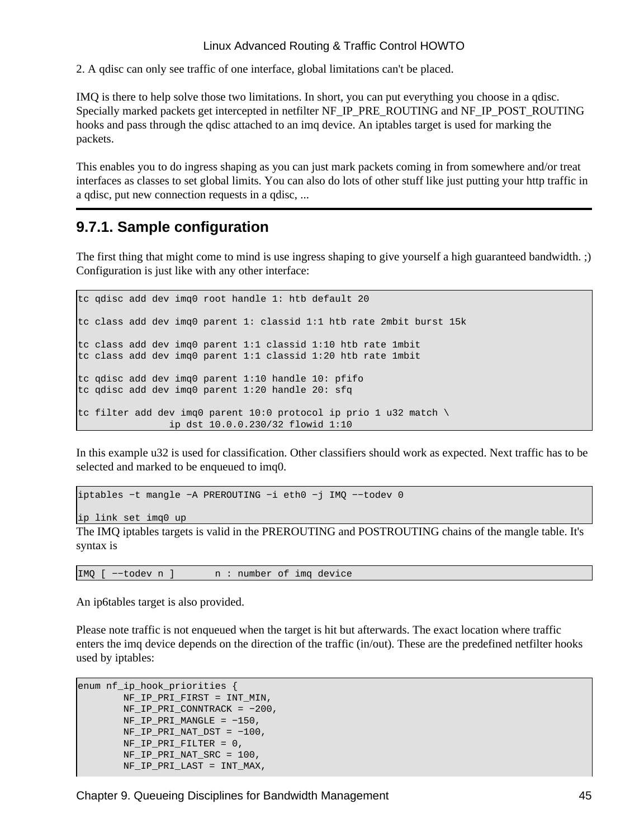2. A qdisc can only see traffic of one interface, global limitations can't be placed.

IMQ is there to help solve those two limitations. In short, you can put everything you choose in a qdisc. Specially marked packets get intercepted in netfilter NF\_IP\_PRE\_ROUTING and NF\_IP\_POST\_ROUTING hooks and pass through the qdisc attached to an imq device. An iptables target is used for marking the packets.

This enables you to do ingress shaping as you can just mark packets coming in from somewhere and/or treat interfaces as classes to set global limits. You can also do lots of other stuff like just putting your http traffic in a qdisc, put new connection requests in a qdisc, ...

## **9.7.1. Sample configuration**

The first thing that might come to mind is use ingress shaping to give yourself a high guaranteed bandwidth. ;) Configuration is just like with any other interface:

tc qdisc add dev imq0 root handle 1: htb default 20 tc class add dev imq0 parent 1: classid 1:1 htb rate 2mbit burst 15k tc class add dev imq0 parent 1:1 classid 1:10 htb rate 1mbit tc class add dev imq0 parent 1:1 classid 1:20 htb rate 1mbit tc qdisc add dev imq0 parent 1:10 handle 10: pfifo tc qdisc add dev imq0 parent 1:20 handle 20: sfq tc filter add dev imq0 parent 10:0 protocol ip prio 1 u32 match  $\setminus$ ip dst 10.0.0.230/32 flowid 1:10

In this example u32 is used for classification. Other classifiers should work as expected. Next traffic has to be selected and marked to be enqueued to imq0.

iptables −t mangle −A PREROUTING −i eth0 −j IMQ −−todev 0

ip link set imq0 up

The IMQ iptables targets is valid in the PREROUTING and POSTROUTING chains of the mangle table. It's syntax is

IMQ [ −−todev n ] n : number of imq device

An ip6tables target is also provided.

Please note traffic is not enqueued when the target is hit but afterwards. The exact location where traffic enters the imq device depends on the direction of the traffic (in/out). These are the predefined netfilter hooks used by iptables:

```
enum nf_ip_hook_priorities {
         NF_IP_PRI_FIRST = INT_MIN,
         NF_IP_PRI_CONNTRACK = −200,
        NF\_IP\_PRI MANGLE = -150,
        NF_IP_PRI_NAT_DST = -100,
         NF_IP_PRI_FILTER = 0,
         NF_IP_PRI_NAT_SRC = 100,
        NF_IP_PRI_LAST = INT_MAX,
```
Chapter 9. Queueing Disciplines for Bandwidth Management 45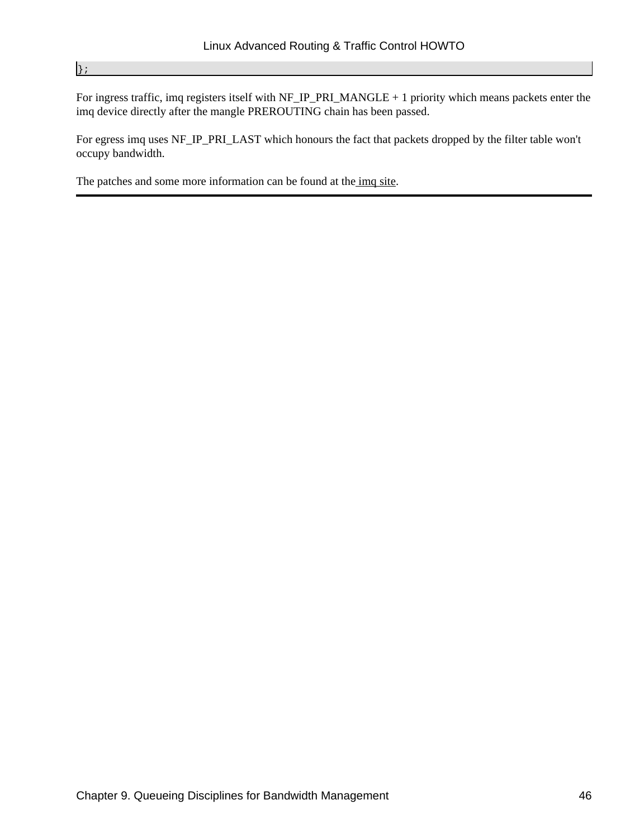#### };

For ingress traffic, imq registers itself with NF\_IP\_PRI\_MANGLE + 1 priority which means packets enter the imq device directly after the mangle PREROUTING chain has been passed.

For egress imq uses NF\_IP\_PRI\_LAST which honours the fact that packets dropped by the filter table won't occupy bandwidth.

The patches and some more information can be found at the [imq site.](http://luxik.cdi.cz/~patrick/imq/)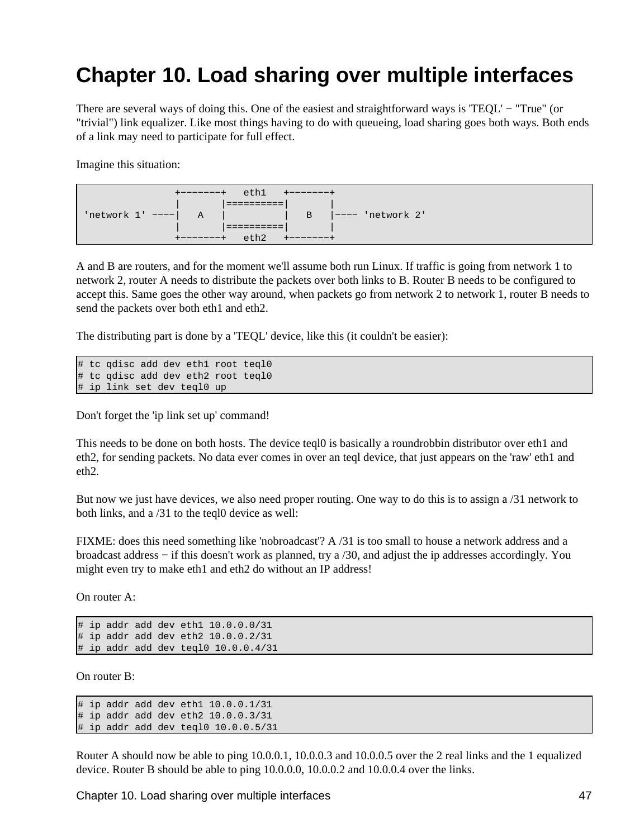# **Chapter 10. Load sharing over multiple interfaces**

There are several ways of doing this. One of the easiest and straightforward ways is 'TEQL' − "True" (or "trivial") link equalizer. Like most things having to do with queueing, load sharing goes both ways. Both ends of a link may need to participate for full effect.

Imagine this situation:

| e <sub>th1</sub><br>$+ - - - - - - +$<br>$+ - - - - - - +$                       |
|----------------------------------------------------------------------------------|
|                                                                                  |
| $'$ network 1' ---- $\vert$ A $\vert$<br>$\overline{B}$ $\vert$ ---- 'network 2' |
|                                                                                  |
| $e$ th2<br>$+ - - - - - - +$<br>$+ - - - - - - +$                                |

A and B are routers, and for the moment we'll assume both run Linux. If traffic is going from network 1 to network 2, router A needs to distribute the packets over both links to B. Router B needs to be configured to accept this. Same goes the other way around, when packets go from network 2 to network 1, router B needs to send the packets over both eth1 and eth2.

The distributing part is done by a 'TEQL' device, like this (it couldn't be easier):

# tc qdisc add dev eth1 root teql0 # tc qdisc add dev eth2 root teql0 # ip link set dev teql0 up

Don't forget the 'ip link set up' command!

This needs to be done on both hosts. The device teql0 is basically a roundrobbin distributor over eth1 and eth2, for sending packets. No data ever comes in over an teql device, that just appears on the 'raw' eth1 and eth2.

But now we just have devices, we also need proper routing. One way to do this is to assign a /31 network to both links, and a /31 to the teql0 device as well:

FIXME: does this need something like 'nobroadcast'? A /31 is too small to house a network address and a broadcast address − if this doesn't work as planned, try a /30, and adjust the ip addresses accordingly. You might even try to make eth1 and eth2 do without an IP address!

On router A:

# ip addr add dev eth1 10.0.0.0/31 # ip addr add dev eth2 10.0.0.2/31 # ip addr add dev teql0 10.0.0.4/31

On router B:

# ip addr add dev eth1  $10.0.0.1/31$ # ip addr add dev eth2 10.0.0.3/31 # ip addr add dev teql0 10.0.0.5/31

Router A should now be able to ping 10.0.0.1, 10.0.0.3 and 10.0.0.5 over the 2 real links and the 1 equalized device. Router B should be able to ping 10.0.0.0, 10.0.0.2 and 10.0.0.4 over the links.

Chapter 10. Load sharing over multiple interfaces 47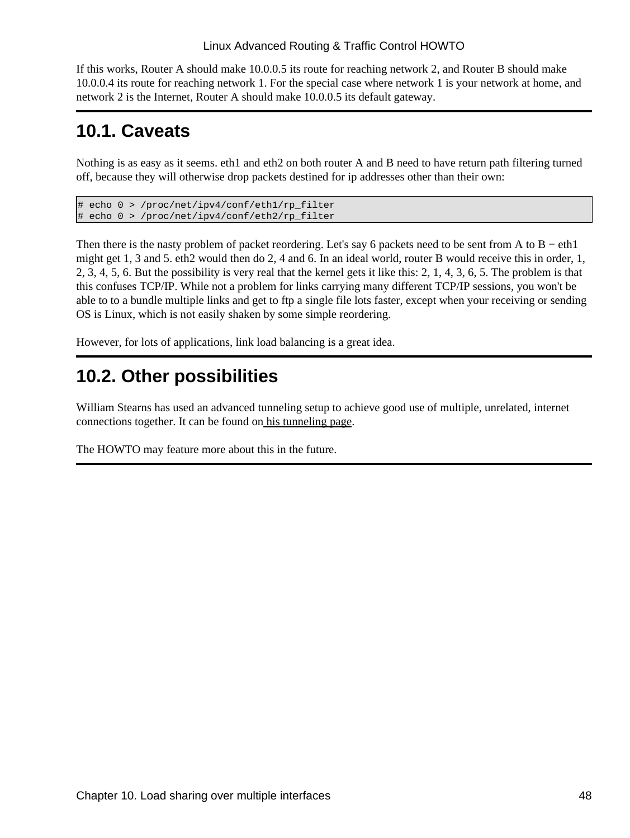If this works, Router A should make 10.0.0.5 its route for reaching network 2, and Router B should make 10.0.0.4 its route for reaching network 1. For the special case where network 1 is your network at home, and network 2 is the Internet, Router A should make 10.0.0.5 its default gateway.

## **10.1. Caveats**

Nothing is as easy as it seems. eth1 and eth2 on both router A and B need to have return path filtering turned off, because they will otherwise drop packets destined for ip addresses other than their own:

```
# echo 0 > /proc/net/ipv4/conf/eth1/rp_filter
# echo 0 > /proc/net/ipv4/conf/eth2/rp_filter
```
Then there is the nasty problem of packet reordering. Let's say 6 packets need to be sent from A to B – eth1 might get 1, 3 and 5. eth2 would then do 2, 4 and 6. In an ideal world, router B would receive this in order, 1, 2, 3, 4, 5, 6. But the possibility is very real that the kernel gets it like this: 2, 1, 4, 3, 6, 5. The problem is that this confuses TCP/IP. While not a problem for links carrying many different TCP/IP sessions, you won't be able to to a bundle multiple links and get to ftp a single file lots faster, except when your receiving or sending OS is Linux, which is not easily shaken by some simple reordering.

However, for lots of applications, link load balancing is a great idea.

## **10.2. Other possibilities**

William Stearns has used an advanced tunneling setup to achieve good use of multiple, unrelated, internet connections together. It can be found on [his tunneling page](http://www.stearns.org/tunnel/).

The HOWTO may feature more about this in the future.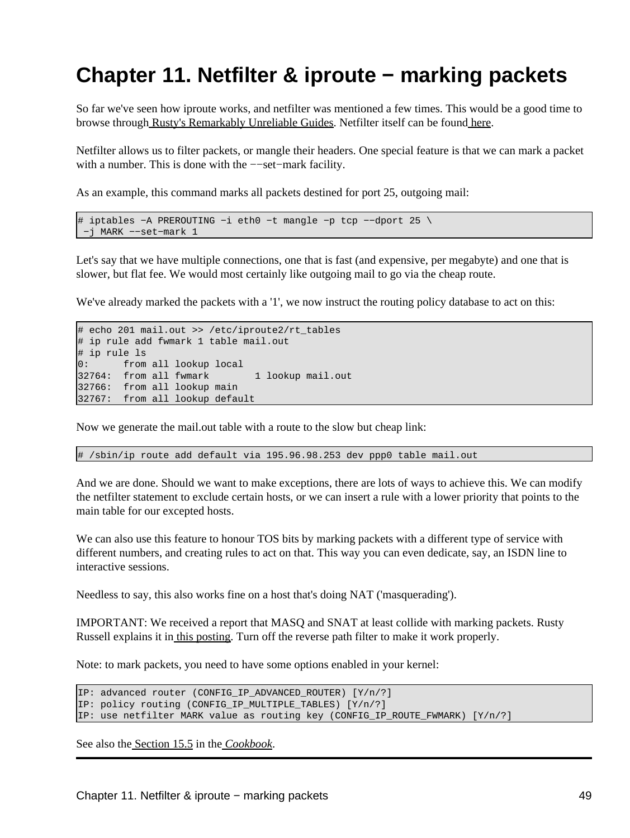# **Chapter 11. Netfilter & iproute − marking packets**

So far we've seen how iproute works, and netfilter was mentioned a few times. This would be a good time to browse through [Rusty's Remarkably Unreliable Guides](http://netfilter.samba.org/unreliable-guides/). Netfilter itself can be foun[d here.](http://netfilter.filewatcher.org/)

Netfilter allows us to filter packets, or mangle their headers. One special feature is that we can mark a packet with a number. This is done with the −−set−mark facility.

As an example, this command marks all packets destined for port 25, outgoing mail:

```
# iptables −A PREROUTING −i eth0 −t mangle −p tcp −−dport 25 \
 −j MARK −−set−mark 1
```
Let's say that we have multiple connections, one that is fast (and expensive, per megabyte) and one that is slower, but flat fee. We would most certainly like outgoing mail to go via the cheap route.

We've already marked the packets with a '1', we now instruct the routing policy database to act on this:

```
# echo 201 mail.out >> /etc/iproute2/rt_tables
# ip rule add fwmark 1 table mail.out
# ip rule ls
0: from all lookup local 
32764: from all fwmark 1 lookup mail.out
32766: from all lookup main 
32767: from all lookup default
```
Now we generate the mail.out table with a route to the slow but cheap link:

# /sbin/ip route add default via 195.96.98.253 dev ppp0 table mail.out

And we are done. Should we want to make exceptions, there are lots of ways to achieve this. We can modify the netfilter statement to exclude certain hosts, or we can insert a rule with a lower priority that points to the main table for our excepted hosts.

We can also use this feature to honour TOS bits by marking packets with a different type of service with different numbers, and creating rules to act on that. This way you can even dedicate, say, an ISDN line to interactive sessions.

Needless to say, this also works fine on a host that's doing NAT ('masquerading').

IMPORTANT: We received a report that MASQ and SNAT at least collide with marking packets. Rusty Russell explains it in [this posting.](http://lists.samba.org/pipermail/netfilter/2000-November/006089.html) Turn off the reverse path filter to make it work properly.

Note: to mark packets, you need to have some options enabled in your kernel:

```
IP: advanced router (CONFIG_IP_ADVANCED_ROUTER) [Y/n/?]
IP: policy routing (CONFIG_IP_MULTIPLE_TABLES) [Y/n/?]
IP: use netfilter MARK value as routing key (CONFIG_IP_ROUTE_FWMARK) [Y/n/?]
```
See also th[e Section 15.5](#page-80-0) in the *[Cookbook](#page-77-0)*.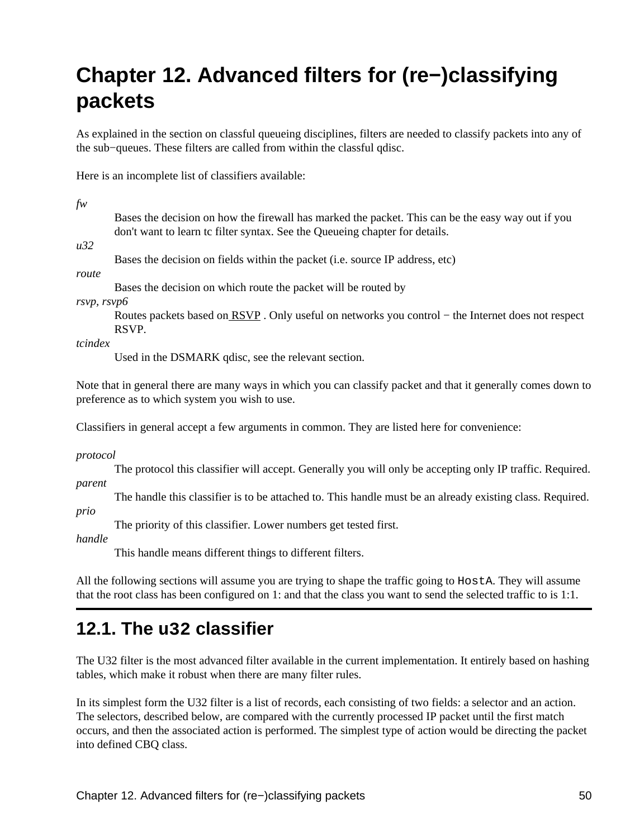# **Chapter 12. Advanced filters for (re−)classifying packets**

As explained in the section on classful queueing disciplines, filters are needed to classify packets into any of the sub−queues. These filters are called from within the classful qdisc.

Here is an incomplete list of classifiers available:

| fw          |                                                                                                                                                                 |
|-------------|-----------------------------------------------------------------------------------------------------------------------------------------------------------------|
|             | Bases the decision on how the firewall has marked the packet. This can be the easy way out if you                                                               |
|             | don't want to learn tc filter syntax. See the Queueing chapter for details.                                                                                     |
| u32         |                                                                                                                                                                 |
|             | Bases the decision on fields within the packet (i.e. source IP address, etc)                                                                                    |
| route       |                                                                                                                                                                 |
|             | Bases the decision on which route the packet will be routed by                                                                                                  |
| rsvp, rsvp6 |                                                                                                                                                                 |
|             | Routes packets based on RSVP. Only useful on networks you control - the Internet does not respect<br>RSVP.                                                      |
| tcindex     |                                                                                                                                                                 |
|             | Used in the DSMARK qdisc, see the relevant section.                                                                                                             |
|             | Note that in general there are many ways in which you can classify packet and that it generally comes down to<br>preference as to which system you wish to use. |
|             | Classifiers in general accept a few arguments in common. They are listed here for convenience:                                                                  |
| protocol    |                                                                                                                                                                 |
|             | The protocol this classifier will accept. Generally you will only be accepting only IP traffic. Required.                                                       |
| parent      |                                                                                                                                                                 |
|             | The handle this classifier is to be attached to. This handle must be an already existing class. Required.                                                       |
| prio        |                                                                                                                                                                 |
|             | The priority of this classifier. Lower numbers get tested first.                                                                                                |
| handle      |                                                                                                                                                                 |
|             | This handle means different things to different filters.                                                                                                        |
|             |                                                                                                                                                                 |

All the following sections will assume you are trying to shape the traffic going to HostA. They will assume that the root class has been configured on 1: and that the class you want to send the selected traffic to is 1:1.

## **12.1. The u32 classifier**

The U32 filter is the most advanced filter available in the current implementation. It entirely based on hashing tables, which make it robust when there are many filter rules.

In its simplest form the U32 filter is a list of records, each consisting of two fields: a selector and an action. The selectors, described below, are compared with the currently processed IP packet until the first match occurs, and then the associated action is performed. The simplest type of action would be directing the packet into defined CBQ class.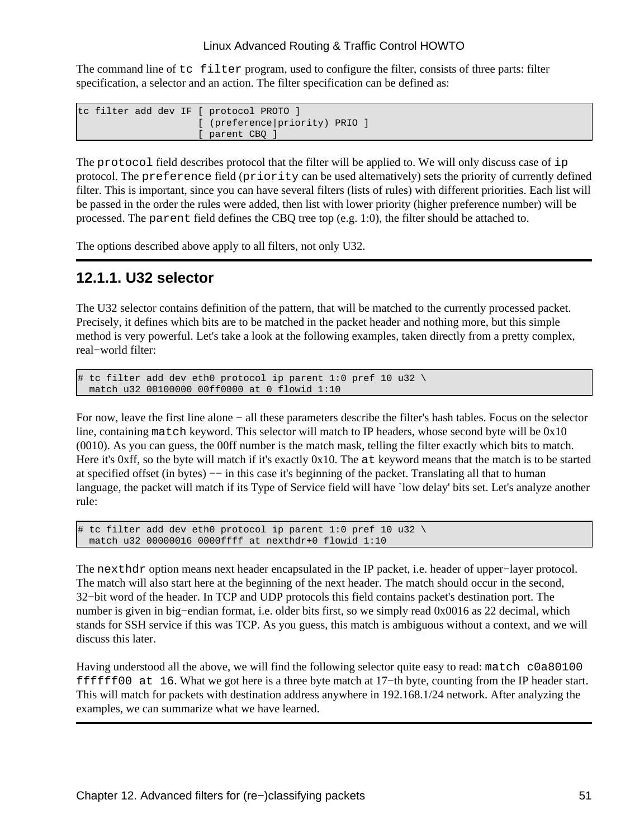The command line of tc filter program, used to configure the filter, consists of three parts: filter specification, a selector and an action. The filter specification can be defined as:

```
tc filter add dev IF [ protocol PROTO ]
                      [ (preference|priority) PRIO ]
                      [ parent CBQ ]
```
The protocol field describes protocol that the filter will be applied to. We will only discuss case of ip protocol. The preference field (priority can be used alternatively) sets the priority of currently defined filter. This is important, since you can have several filters (lists of rules) with different priorities. Each list will be passed in the order the rules were added, then list with lower priority (higher preference number) will be processed. The parent field defines the CBQ tree top (e.g. 1:0), the filter should be attached to.

The options described above apply to all filters, not only U32.

## **12.1.1. U32 selector**

The U32 selector contains definition of the pattern, that will be matched to the currently processed packet. Precisely, it defines which bits are to be matched in the packet header and nothing more, but this simple method is very powerful. Let's take a look at the following examples, taken directly from a pretty complex, real−world filter:

```
# tc filter add dev eth0 protocol ip parent 1:0 pref 10 u32 \
  match u32 00100000 00ff0000 at 0 flowid 1:10
```
For now, leave the first line alone − all these parameters describe the filter's hash tables. Focus on the selector line, containing match keyword. This selector will match to IP headers, whose second byte will be 0x10 (0010). As you can guess, the 00ff number is the match mask, telling the filter exactly which bits to match. Here it's 0xff, so the byte will match if it's exactly 0x10. The at keyword means that the match is to be started at specified offset (in bytes) −− in this case it's beginning of the packet. Translating all that to human language, the packet will match if its Type of Service field will have `low delay' bits set. Let's analyze another rule:

```
# tc filter add dev eth0 protocol ip parent 1:0 pref 10 u32 \
  match u32 00000016 0000ffff at nexthdr+0 flowid 1:10
```
The nexthdr option means next header encapsulated in the IP packet, i.e. header of upper–layer protocol. The match will also start here at the beginning of the next header. The match should occur in the second, 32−bit word of the header. In TCP and UDP protocols this field contains packet's destination port. The number is given in big−endian format, i.e. older bits first, so we simply read 0x0016 as 22 decimal, which stands for SSH service if this was TCP. As you guess, this match is ambiguous without a context, and we will discuss this later.

Having understood all the above, we will find the following selector quite easy to read: match c0a80100 ffffff00 at 16. What we got here is a three byte match at 17−th byte, counting from the IP header start. This will match for packets with destination address anywhere in 192.168.1/24 network. After analyzing the examples, we can summarize what we have learned.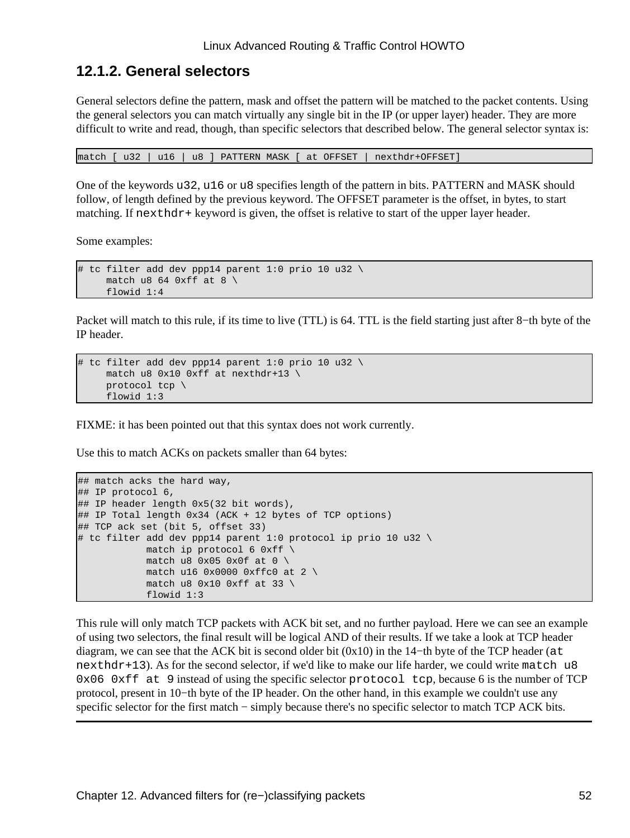## **12.1.2. General selectors**

General selectors define the pattern, mask and offset the pattern will be matched to the packet contents. Using the general selectors you can match virtually any single bit in the IP (or upper layer) header. They are more difficult to write and read, though, than specific selectors that described below. The general selector syntax is:

match [ u32 | u16 | u8 ] PATTERN MASK [ at OFFSET | nexthdr+OFFSET]

One of the keywords u32, u16 or u8 specifies length of the pattern in bits. PATTERN and MASK should follow, of length defined by the previous keyword. The OFFSET parameter is the offset, in bytes, to start matching. If next hdr + keyword is given, the offset is relative to start of the upper layer header.

Some examples:

```
# tc filter add dev ppp14 parent 1:0 prio 10 u32 \
     match u8 64 0xff at 8 \setminus flowid 1:4
```
Packet will match to this rule, if its time to live (TTL) is 64. TTL is the field starting just after 8−th byte of the IP header.

```
# tc filter add dev ppp14 parent 1:0 prio 10 u32 \
      match u8 0x10 0xff at nexthdr+13 \
      protocol tcp \
      flowid 1:3
```
FIXME: it has been pointed out that this syntax does not work currently.

Use this to match ACKs on packets smaller than 64 bytes:

```
## match acks the hard way,
## IP protocol 6,
## IP header length 0x5(32 bit words),
## IP Total length 0x34 (ACK + 12 bytes of TCP options)
## TCP ack set (bit 5, offset 33)
# tc filter add dev ppp14 parent 1:0 protocol ip prio 10 u32 \
           match ip protocol 6 0xff \setminusmatch u8 0x05 0x0f at 0 \setminusmatch u16 0x0000 0xffc0 at 2 \setminusmatch u8 0x10 0xff at 33 \
             flowid 1:3
```
This rule will only match TCP packets with ACK bit set, and no further payload. Here we can see an example of using two selectors, the final result will be logical AND of their results. If we take a look at TCP header diagram, we can see that the ACK bit is second older bit (0x10) in the 14−th byte of the TCP header (at  $nexthdr+13)$ . As for the second selector, if we'd like to make our life harder, we could write match u8  $0x06$  0xff at 9 instead of using the specific selector protocol tcp, because 6 is the number of TCP protocol, present in 10−th byte of the IP header. On the other hand, in this example we couldn't use any specific selector for the first match – simply because there's no specific selector to match TCP ACK bits.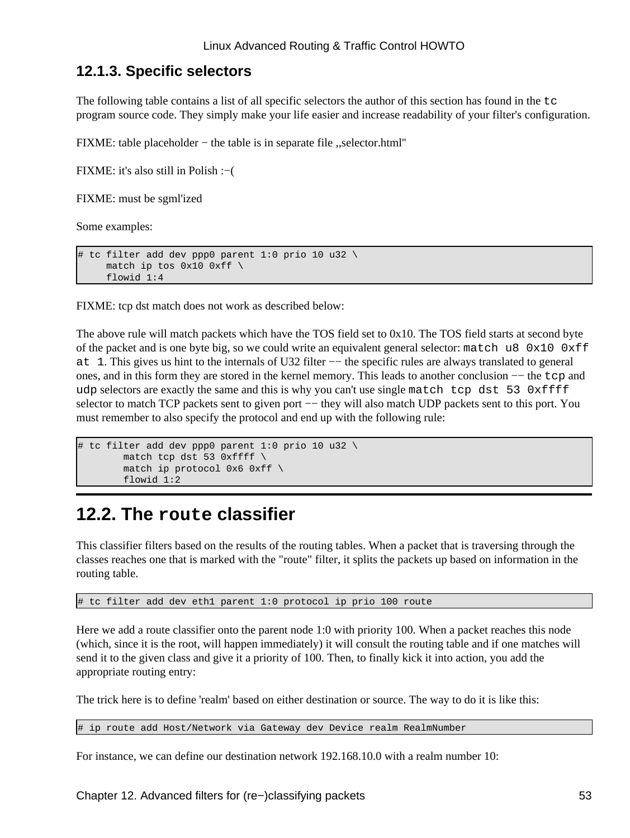## **12.1.3. Specific selectors**

The following table contains a list of all specific selectors the author of this section has found in the  $\pm c$ program source code. They simply make your life easier and increase readability of your filter's configuration.

FIXME: table placeholder − the table is in separate file ,,selector.html''

FIXME: it's also still in Polish :−(

FIXME: must be sgml'ized

Some examples:

```
tc filter add dev ppp0 parent 1:0 prio 10 u32 \
    match ip tos 0x10 0xff \
    flowid 1:4
```
FIXME: tcp dst match does not work as described below:

The above rule will match packets which have the TOS field set to 0x10. The TOS field starts at second byte of the packet and is one byte big, so we could write an equivalent general selector: match u8  $0x10$   $0xff$ at 1. This gives us hint to the internals of U32 filter –− the specific rules are always translated to general ones, and in this form they are stored in the kernel memory. This leads to another conclusion −− the tcp and udp selectors are exactly the same and this is why you can't use single match tcp dst 53 0xffff selector to match TCP packets sent to given port — they will also match UDP packets sent to this port. You must remember to also specify the protocol and end up with the following rule:

```
# tc filter add dev ppp0 parent 1:0 prio 10 u32 \
         match tcp dst 53 0xffff \
         match ip protocol 0x6 0xff \
         flowid 1:2
```
## **12.2. The route classifier**

This classifier filters based on the results of the routing tables. When a packet that is traversing through the classes reaches one that is marked with the "route" filter, it splits the packets up based on information in the routing table.

# tc filter add dev eth1 parent 1:0 protocol ip prio 100 route

Here we add a route classifier onto the parent node 1:0 with priority 100. When a packet reaches this node (which, since it is the root, will happen immediately) it will consult the routing table and if one matches will send it to the given class and give it a priority of 100. Then, to finally kick it into action, you add the appropriate routing entry:

The trick here is to define 'realm' based on either destination or source. The way to do it is like this:

# ip route add Host/Network via Gateway dev Device realm RealmNumber

For instance, we can define our destination network 192.168.10.0 with a realm number 10: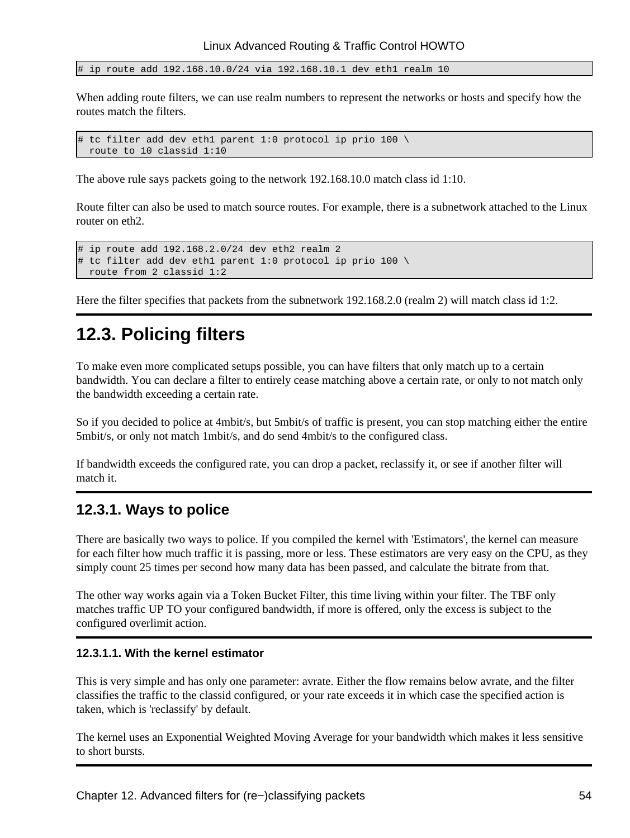# ip route add 192.168.10.0/24 via 192.168.10.1 dev eth1 realm 10

When adding route filters, we can use realm numbers to represent the networks or hosts and specify how the routes match the filters.

```
# tc filter add dev eth1 parent 1:0 protocol ip prio 100 \
  route to 10 classid 1:10
```
The above rule says packets going to the network 192.168.10.0 match class id 1:10.

Route filter can also be used to match source routes. For example, there is a subnetwork attached to the Linux router on eth2.

```
# ip route add 192.168.2.0/24 dev eth2 realm 2
# tc filter add dev eth1 parent 1:0 protocol ip prio 100 \
  route from 2 classid 1:2
```
Here the filter specifies that packets from the subnetwork 192.168.2.0 (realm 2) will match class id 1:2.

## **12.3. Policing filters**

To make even more complicated setups possible, you can have filters that only match up to a certain bandwidth. You can declare a filter to entirely cease matching above a certain rate, or only to not match only the bandwidth exceeding a certain rate.

So if you decided to police at 4mbit/s, but 5mbit/s of traffic is present, you can stop matching either the entire 5mbit/s, or only not match 1mbit/s, and do send 4mbit/s to the configured class.

If bandwidth exceeds the configured rate, you can drop a packet, reclassify it, or see if another filter will match it.

## **12.3.1. Ways to police**

There are basically two ways to police. If you compiled the kernel with 'Estimators', the kernel can measure for each filter how much traffic it is passing, more or less. These estimators are very easy on the CPU, as they simply count 25 times per second how many data has been passed, and calculate the bitrate from that.

The other way works again via a Token Bucket Filter, this time living within your filter. The TBF only matches traffic UP TO your configured bandwidth, if more is offered, only the excess is subject to the configured overlimit action.

### **12.3.1.1. With the kernel estimator**

This is very simple and has only one parameter: avrate. Either the flow remains below avrate, and the filter classifies the traffic to the classid configured, or your rate exceeds it in which case the specified action is taken, which is 'reclassify' by default.

The kernel uses an Exponential Weighted Moving Average for your bandwidth which makes it less sensitive to short bursts.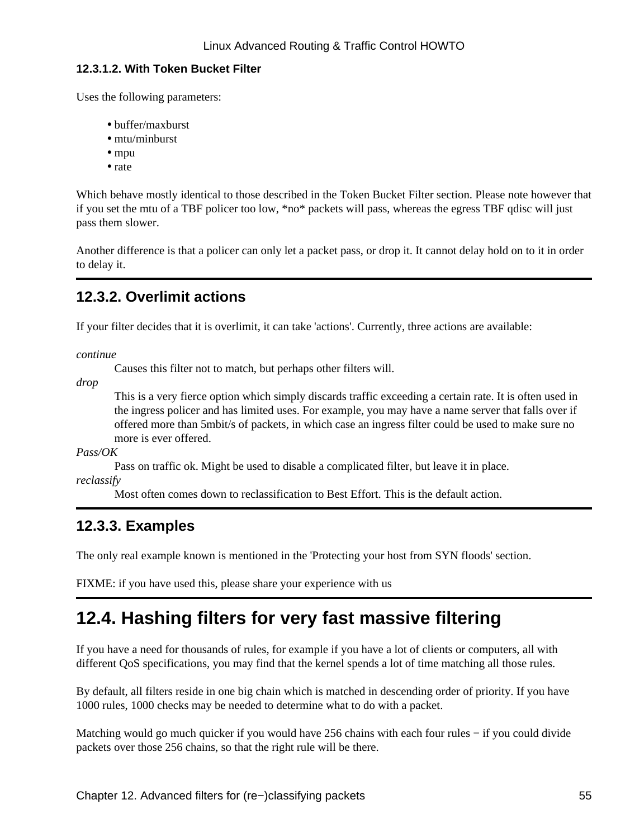### **12.3.1.2. With Token Bucket Filter**

Uses the following parameters:

- buffer/maxburst
- mtu/minburst
- mpu
- rate

Which behave mostly identical to those described in the Token Bucket Filter section. Please note however that if you set the mtu of a TBF policer too low, \*no\* packets will pass, whereas the egress TBF qdisc will just pass them slower.

Another difference is that a policer can only let a packet pass, or drop it. It cannot delay hold on to it in order to delay it.

## **12.3.2. Overlimit actions**

If your filter decides that it is overlimit, it can take 'actions'. Currently, three actions are available:

*continue*

Causes this filter not to match, but perhaps other filters will.

*drop*

This is a very fierce option which simply discards traffic exceeding a certain rate. It is often used in the ingress policer and has limited uses. For example, you may have a name server that falls over if offered more than 5mbit/s of packets, in which case an ingress filter could be used to make sure no more is ever offered.

*Pass/OK*

Pass on traffic ok. Might be used to disable a complicated filter, but leave it in place.

*reclassify*

Most often comes down to reclassification to Best Effort. This is the default action.

## **12.3.3. Examples**

The only real example known is mentioned in the 'Protecting your host from SYN floods' section.

FIXME: if you have used this, please share your experience with us

## **12.4. Hashing filters for very fast massive filtering**

If you have a need for thousands of rules, for example if you have a lot of clients or computers, all with different QoS specifications, you may find that the kernel spends a lot of time matching all those rules.

By default, all filters reside in one big chain which is matched in descending order of priority. If you have 1000 rules, 1000 checks may be needed to determine what to do with a packet.

Matching would go much quicker if you would have 256 chains with each four rules – if you could divide packets over those 256 chains, so that the right rule will be there.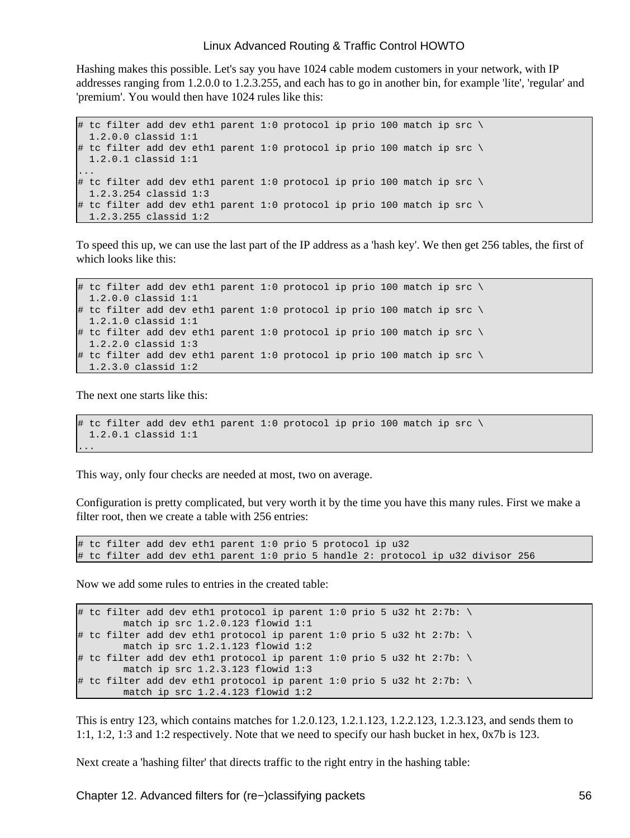Hashing makes this possible. Let's say you have 1024 cable modem customers in your network, with IP addresses ranging from 1.2.0.0 to 1.2.3.255, and each has to go in another bin, for example 'lite', 'regular' and 'premium'. You would then have 1024 rules like this:

```
# tc filter add dev ethl parent 1:0 protocol ip prio 100 match ip src \setminus 1.2.0.0 classid 1:1
# tc filter add dev eth1 parent 1:0 protocol ip prio 100 match ip src \setminus 1.2.0.1 classid 1:1
...
# tc filter add dev ethl parent 1:0 protocol ip prio 100 match ip src \setminus 1.2.3.254 classid 1:3
# tc filter add dev eth1 parent 1:0 protocol ip prio 100 match ip src \
  1.2.3.255 classid 1:2
```
To speed this up, we can use the last part of the IP address as a 'hash key'. We then get 256 tables, the first of which looks like this:

```
# tc filter add dev eth1 parent 1:0 protocol ip prio 100 match ip src \
 1.2.0.0 classid 1:1
# tc filter add dev eth1 parent 1:0 protocol ip prio 100 match ip src \
 1.2.1.0 classid 1:1
# tc filter add dev eth1 parent 1:0 protocol ip prio 100 match ip src \
 1.2.2.0 classid 1:3
# tc filter add dev eth1 parent 1:0 protocol ip prio 100 match ip src \
  1.2.3.0 classid 1:2
```
The next one starts like this:

```
# tc filter add dev ethl parent 1:0 protocol ip prio 100 match ip src \
  1.2.0.1 classid 1:1
...
```
This way, only four checks are needed at most, two on average.

Configuration is pretty complicated, but very worth it by the time you have this many rules. First we make a filter root, then we create a table with 256 entries:

 $\#$  tc filter add dev ethl parent 1:0 prio 5 protocol ip u32 # tc filter add dev eth1 parent 1:0 prio 5 handle 2: protocol ip u32 divisor 256

Now we add some rules to entries in the created table:

```
# tc filter add dev eth1 protocol ip parent 1:0 prio 5 u32 ht 2:7b: \
        match ip src 1.2.0.123 flowid 1:1
# tc filter add dev eth1 protocol ip parent 1:0 prio 5 u32 ht 2:7b: \
        match ip src 1.2.1.123 flowid 1:2
# tc filter add dev eth1 protocol ip parent 1:0 prio 5 u32 ht 2:7b: \
        match ip src 1.2.3.123 flowid 1:3
# tc filter add dev eth1 protocol ip parent 1:0 prio 5 u32 ht 2:7b: \
        match ip src 1.2.4.123 flowid 1:2
```
This is entry 123, which contains matches for 1.2.0.123, 1.2.1.123, 1.2.2.123, 1.2.3.123, and sends them to 1:1, 1:2, 1:3 and 1:2 respectively. Note that we need to specify our hash bucket in hex, 0x7b is 123.

Next create a 'hashing filter' that directs traffic to the right entry in the hashing table: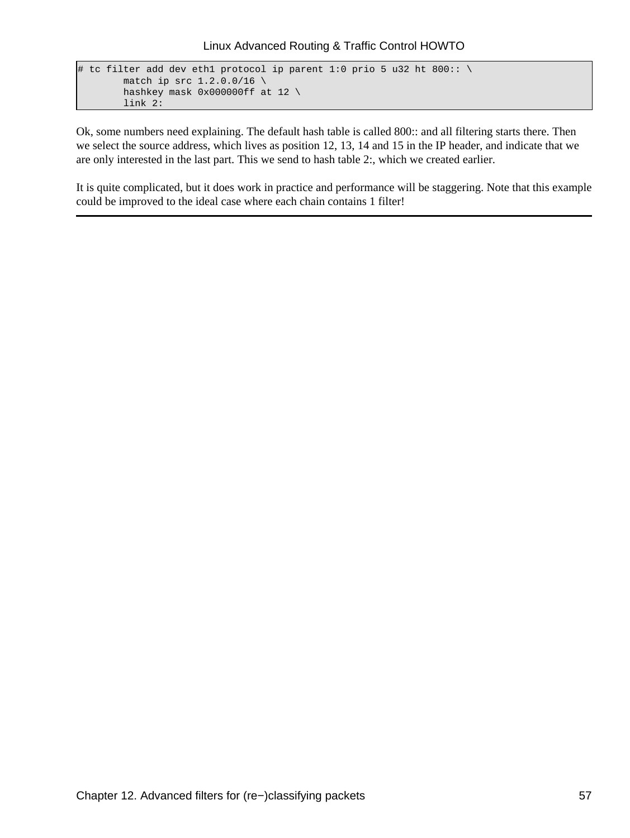```
# tc filter add dev eth1 protocol ip parent 1:0 prio 5 u32 ht 800:: \
       match ip src 1.2.0.0/16 hashkey mask 0x000000ff at 12 \
        link 2:
```
Ok, some numbers need explaining. The default hash table is called 800:: and all filtering starts there. Then we select the source address, which lives as position 12, 13, 14 and 15 in the IP header, and indicate that we are only interested in the last part. This we send to hash table 2:, which we created earlier.

It is quite complicated, but it does work in practice and performance will be staggering. Note that this example could be improved to the ideal case where each chain contains 1 filter!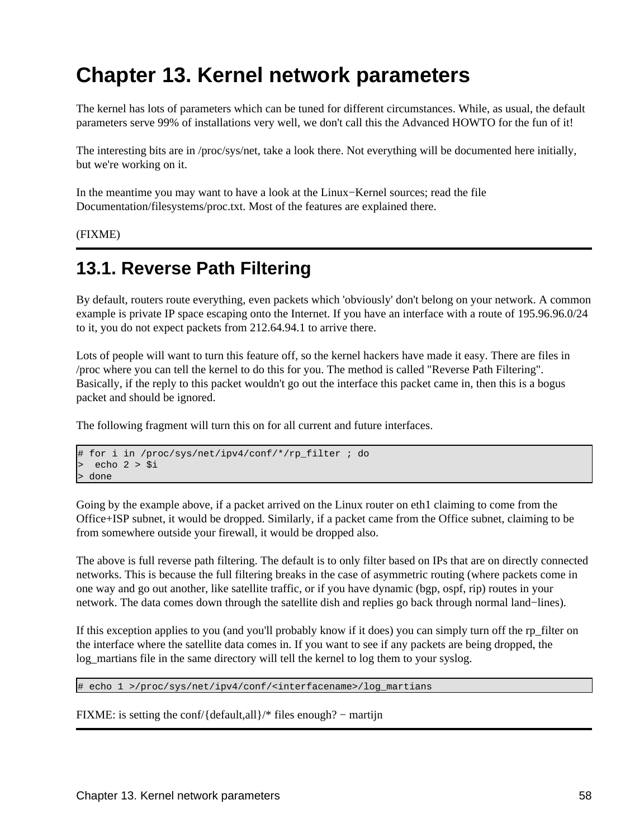# **Chapter 13. Kernel network parameters**

The kernel has lots of parameters which can be tuned for different circumstances. While, as usual, the default parameters serve 99% of installations very well, we don't call this the Advanced HOWTO for the fun of it!

The interesting bits are in /proc/sys/net, take a look there. Not everything will be documented here initially, but we're working on it.

In the meantime you may want to have a look at the Linux−Kernel sources; read the file Documentation/filesystems/proc.txt. Most of the features are explained there.

(FIXME)

## <span id="page-61-0"></span>**13.1. Reverse Path Filtering**

By default, routers route everything, even packets which 'obviously' don't belong on your network. A common example is private IP space escaping onto the Internet. If you have an interface with a route of 195.96.96.0/24 to it, you do not expect packets from 212.64.94.1 to arrive there.

Lots of people will want to turn this feature off, so the kernel hackers have made it easy. There are files in /proc where you can tell the kernel to do this for you. The method is called "Reverse Path Filtering". Basically, if the reply to this packet wouldn't go out the interface this packet came in, then this is a bogus packet and should be ignored.

The following fragment will turn this on for all current and future interfaces.

```
# for i in /proc/sys/net/ipv4/conf/*/rp_filter ; do
 echo 2 > $i> done
```
Going by the example above, if a packet arrived on the Linux router on eth1 claiming to come from the Office+ISP subnet, it would be dropped. Similarly, if a packet came from the Office subnet, claiming to be from somewhere outside your firewall, it would be dropped also.

The above is full reverse path filtering. The default is to only filter based on IPs that are on directly connected networks. This is because the full filtering breaks in the case of asymmetric routing (where packets come in one way and go out another, like satellite traffic, or if you have dynamic (bgp, ospf, rip) routes in your network. The data comes down through the satellite dish and replies go back through normal land−lines).

If this exception applies to you (and you'll probably know if it does) you can simply turn off the rp\_filter on the interface where the satellite data comes in. If you want to see if any packets are being dropped, the log\_martians file in the same directory will tell the kernel to log them to your syslog.

# echo 1 >/proc/sys/net/ipv4/conf/<interfacename>/log\_martians

FIXME: is setting the conf/{default,all}/\* files enough? − martijn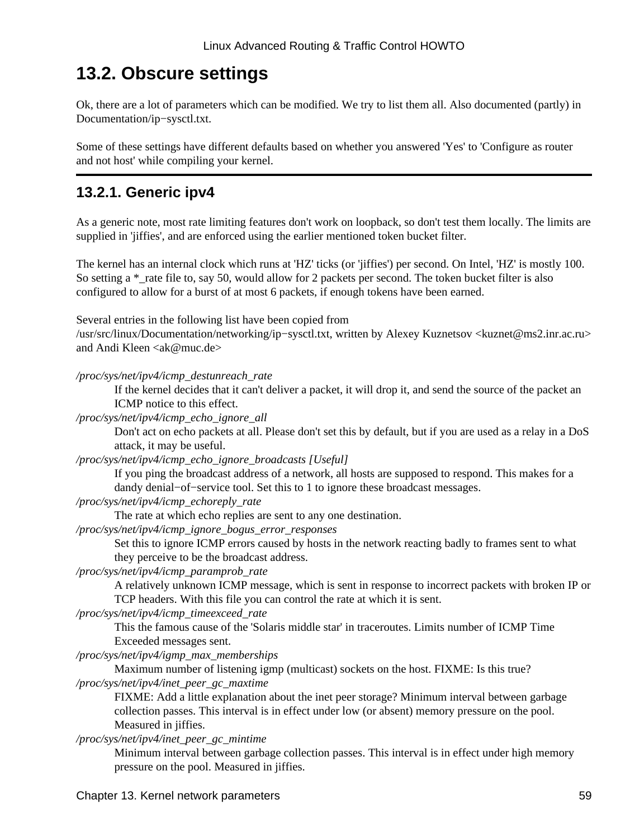## **13.2. Obscure settings**

Ok, there are a lot of parameters which can be modified. We try to list them all. Also documented (partly) in Documentation/ip−sysctl.txt.

Some of these settings have different defaults based on whether you answered 'Yes' to 'Configure as router and not host' while compiling your kernel.

## **13.2.1. Generic ipv4**

As a generic note, most rate limiting features don't work on loopback, so don't test them locally. The limits are supplied in 'jiffies', and are enforced using the earlier mentioned token bucket filter.

The kernel has an internal clock which runs at 'HZ' ticks (or 'jiffies') per second. On Intel, 'HZ' is mostly 100. So setting a \*\_rate file to, say 50, would allow for 2 packets per second. The token bucket filter is also configured to allow for a burst of at most 6 packets, if enough tokens have been earned.

Several entries in the following list have been copied from

/usr/src/linux/Documentation/networking/ip−sysctl.txt, written by Alexey Kuznetsov <kuznet@ms2.inr.ac.ru> and Andi Kleen  $\langle a \rangle$ ak@muc.de>

*/proc/sys/net/ipv4/icmp\_destunreach\_rate*

If the kernel decides that it can't deliver a packet, it will drop it, and send the source of the packet an ICMP notice to this effect.

*/proc/sys/net/ipv4/icmp\_echo\_ignore\_all*

Don't act on echo packets at all. Please don't set this by default, but if you are used as a relay in a DoS attack, it may be useful.

*/proc/sys/net/ipv4/icmp\_echo\_ignore\_broadcasts [Useful]*

If you ping the broadcast address of a network, all hosts are supposed to respond. This makes for a dandy denial−of−service tool. Set this to 1 to ignore these broadcast messages.

*/proc/sys/net/ipv4/icmp\_echoreply\_rate*

The rate at which echo replies are sent to any one destination.

*/proc/sys/net/ipv4/icmp\_ignore\_bogus\_error\_responses*

Set this to ignore ICMP errors caused by hosts in the network reacting badly to frames sent to what they perceive to be the broadcast address.

*/proc/sys/net/ipv4/icmp\_paramprob\_rate*

A relatively unknown ICMP message, which is sent in response to incorrect packets with broken IP or TCP headers. With this file you can control the rate at which it is sent.

*/proc/sys/net/ipv4/icmp\_timeexceed\_rate*

This the famous cause of the 'Solaris middle star' in traceroutes. Limits number of ICMP Time Exceeded messages sent.

*/proc/sys/net/ipv4/igmp\_max\_memberships*

Maximum number of listening igmp (multicast) sockets on the host. FIXME: Is this true? */proc/sys/net/ipv4/inet\_peer\_gc\_maxtime*

FIXME: Add a little explanation about the inet peer storage? Minimum interval between garbage collection passes. This interval is in effect under low (or absent) memory pressure on the pool. Measured in jiffies.

*/proc/sys/net/ipv4/inet\_peer\_gc\_mintime*

Minimum interval between garbage collection passes. This interval is in effect under high memory pressure on the pool. Measured in jiffies.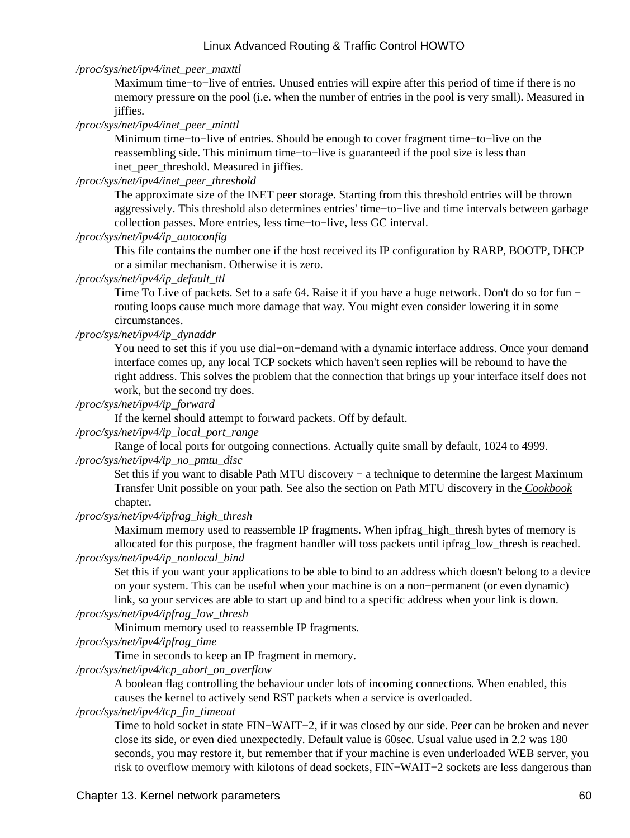*/proc/sys/net/ipv4/inet\_peer\_maxttl*

Maximum time−to−live of entries. Unused entries will expire after this period of time if there is no memory pressure on the pool (i.e. when the number of entries in the pool is very small). Measured in jiffies.

*/proc/sys/net/ipv4/inet\_peer\_minttl*

Minimum time−to−live of entries. Should be enough to cover fragment time−to−live on the reassembling side. This minimum time−to−live is guaranteed if the pool size is less than inet peer threshold. Measured in jiffies.

*/proc/sys/net/ipv4/inet\_peer\_threshold*

The approximate size of the INET peer storage. Starting from this threshold entries will be thrown aggressively. This threshold also determines entries' time−to−live and time intervals between garbage collection passes. More entries, less time−to−live, less GC interval.

#### */proc/sys/net/ipv4/ip\_autoconfig*

This file contains the number one if the host received its IP configuration by RARP, BOOTP, DHCP or a similar mechanism. Otherwise it is zero.

*/proc/sys/net/ipv4/ip\_default\_ttl*

Time To Live of packets. Set to a safe 64. Raise it if you have a huge network. Don't do so for fun − routing loops cause much more damage that way. You might even consider lowering it in some circumstances.

*/proc/sys/net/ipv4/ip\_dynaddr*

You need to set this if you use dial−on−demand with a dynamic interface address. Once your demand interface comes up, any local TCP sockets which haven't seen replies will be rebound to have the right address. This solves the problem that the connection that brings up your interface itself does not work, but the second try does.

#### */proc/sys/net/ipv4/ip\_forward*

If the kernel should attempt to forward packets. Off by default.

*/proc/sys/net/ipv4/ip\_local\_port\_range*

Range of local ports for outgoing connections. Actually quite small by default, 1024 to 4999. */proc/sys/net/ipv4/ip\_no\_pmtu\_disc*

Set this if you want to disable Path MTU discovery – a technique to determine the largest Maximum Transfer Unit possible on your path. See also the section on Path MTU discovery in the *[Cookbook](#page-77-0)* chapter.

*/proc/sys/net/ipv4/ipfrag\_high\_thresh*

Maximum memory used to reassemble IP fragments. When ipfrag\_high\_thresh bytes of memory is allocated for this purpose, the fragment handler will toss packets until ipfrag\_low\_thresh is reached.

*/proc/sys/net/ipv4/ip\_nonlocal\_bind*

Set this if you want your applications to be able to bind to an address which doesn't belong to a device on your system. This can be useful when your machine is on a non−permanent (or even dynamic) link, so your services are able to start up and bind to a specific address when your link is down.

*/proc/sys/net/ipv4/ipfrag\_low\_thresh*

Minimum memory used to reassemble IP fragments.

*/proc/sys/net/ipv4/ipfrag\_time*

Time in seconds to keep an IP fragment in memory.

*/proc/sys/net/ipv4/tcp\_abort\_on\_overflow*

A boolean flag controlling the behaviour under lots of incoming connections. When enabled, this causes the kernel to actively send RST packets when a service is overloaded.

#### */proc/sys/net/ipv4/tcp\_fin\_timeout*

Time to hold socket in state FIN−WAIT−2, if it was closed by our side. Peer can be broken and never close its side, or even died unexpectedly. Default value is 60sec. Usual value used in 2.2 was 180 seconds, you may restore it, but remember that if your machine is even underloaded WEB server, you risk to overflow memory with kilotons of dead sockets, FIN−WAIT−2 sockets are less dangerous than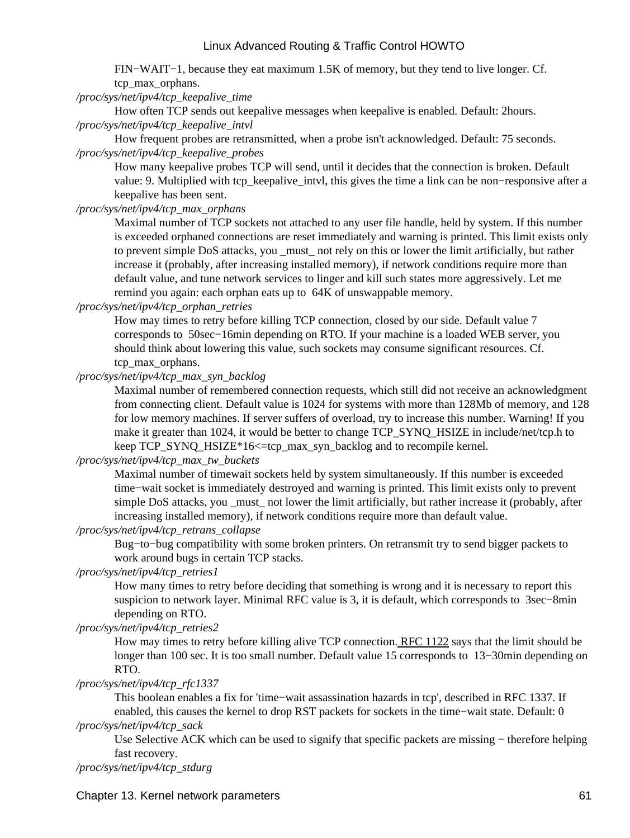FIN−WAIT−1, because they eat maximum 1.5K of memory, but they tend to live longer. Cf. tcp\_max\_orphans.

*/proc/sys/net/ipv4/tcp\_keepalive\_time*

How often TCP sends out keepalive messages when keepalive is enabled. Default: 2hours. */proc/sys/net/ipv4/tcp\_keepalive\_intvl*

How frequent probes are retransmitted, when a probe isn't acknowledged. Default: 75 seconds. */proc/sys/net/ipv4/tcp\_keepalive\_probes*

How many keepalive probes TCP will send, until it decides that the connection is broken. Default value: 9. Multiplied with tcp\_keepalive\_intvl, this gives the time a link can be non−responsive after a keepalive has been sent.

*/proc/sys/net/ipv4/tcp\_max\_orphans*

Maximal number of TCP sockets not attached to any user file handle, held by system. If this number is exceeded orphaned connections are reset immediately and warning is printed. This limit exists only to prevent simple DoS attacks, you must not rely on this or lower the limit artificially, but rather increase it (probably, after increasing installed memory), if network conditions require more than default value, and tune network services to linger and kill such states more aggressively. Let me remind you again: each orphan eats up to 64K of unswappable memory.

*/proc/sys/net/ipv4/tcp\_orphan\_retries*

How may times to retry before killing TCP connection, closed by our side. Default value 7 corresponds to 50sec−16min depending on RTO. If your machine is a loaded WEB server, you should think about lowering this value, such sockets may consume significant resources. Cf. tcp\_max\_orphans.

*/proc/sys/net/ipv4/tcp\_max\_syn\_backlog*

Maximal number of remembered connection requests, which still did not receive an acknowledgment from connecting client. Default value is 1024 for systems with more than 128Mb of memory, and 128 for low memory machines. If server suffers of overload, try to increase this number. Warning! If you make it greater than 1024, it would be better to change TCP\_SYNQ\_HSIZE in include/net/tcp.h to keep TCP\_SYNQ\_HSIZE\*16<=tcp\_max\_syn\_backlog and to recompile kernel.

*/proc/sys/net/ipv4/tcp\_max\_tw\_buckets*

Maximal number of timewait sockets held by system simultaneously. If this number is exceeded time−wait socket is immediately destroyed and warning is printed. This limit exists only to prevent simple DoS attacks, you must not lower the limit artificially, but rather increase it (probably, after increasing installed memory), if network conditions require more than default value.

*/proc/sys/net/ipv4/tcp\_retrans\_collapse*

Bug−to−bug compatibility with some broken printers. On retransmit try to send bigger packets to work around bugs in certain TCP stacks.

### */proc/sys/net/ipv4/tcp\_retries1*

How many times to retry before deciding that something is wrong and it is necessary to report this suspicion to network layer. Minimal RFC value is 3, it is default, which corresponds to 3sec−8min depending on RTO.

*/proc/sys/net/ipv4/tcp\_retries2*

How may times to retry before killing alive TCP connection. [RFC 1122](http://www.ietf.org/rfc/rfc1122.txt) says that the limit should be longer than 100 sec. It is too small number. Default value 15 corresponds to 13−30min depending on RTO.

#### */proc/sys/net/ipv4/tcp\_rfc1337*

This boolean enables a fix for 'time−wait assassination hazards in tcp', described in RFC 1337. If enabled, this causes the kernel to drop RST packets for sockets in the time−wait state. Default: 0 */proc/sys/net/ipv4/tcp\_sack*

Use Selective ACK which can be used to signify that specific packets are missing − therefore helping fast recovery.

*/proc/sys/net/ipv4/tcp\_stdurg*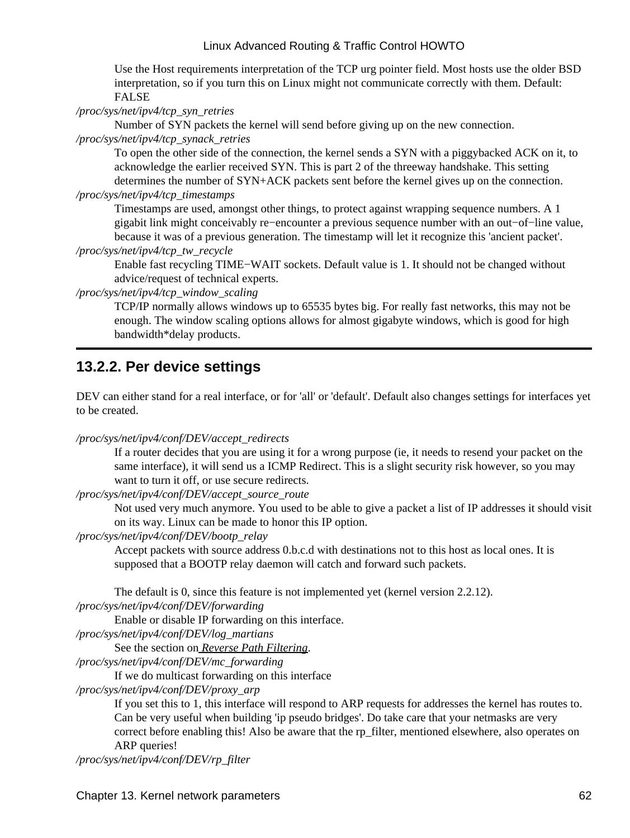Use the Host requirements interpretation of the TCP urg pointer field. Most hosts use the older BSD interpretation, so if you turn this on Linux might not communicate correctly with them. Default: FALSE

*/proc/sys/net/ipv4/tcp\_syn\_retries*

Number of SYN packets the kernel will send before giving up on the new connection.

*/proc/sys/net/ipv4/tcp\_synack\_retries*

To open the other side of the connection, the kernel sends a SYN with a piggybacked ACK on it, to acknowledge the earlier received SYN. This is part 2 of the threeway handshake. This setting determines the number of SYN+ACK packets sent before the kernel gives up on the connection. */proc/sys/net/ipv4/tcp\_timestamps*

Timestamps are used, amongst other things, to protect against wrapping sequence numbers. A 1 gigabit link might conceivably re−encounter a previous sequence number with an out−of−line value, because it was of a previous generation. The timestamp will let it recognize this 'ancient packet'.

*/proc/sys/net/ipv4/tcp\_tw\_recycle*

Enable fast recycling TIME−WAIT sockets. Default value is 1. It should not be changed without advice/request of technical experts.

*/proc/sys/net/ipv4/tcp\_window\_scaling*

TCP/IP normally allows windows up to 65535 bytes big. For really fast networks, this may not be enough. The window scaling options allows for almost gigabyte windows, which is good for high bandwidth\*delay products.

## **13.2.2. Per device settings**

DEV can either stand for a real interface, or for 'all' or 'default'. Default also changes settings for interfaces yet to be created.

*/proc/sys/net/ipv4/conf/DEV/accept\_redirects*

If a router decides that you are using it for a wrong purpose (ie, it needs to resend your packet on the same interface), it will send us a ICMP Redirect. This is a slight security risk however, so you may want to turn it off, or use secure redirects.

*/proc/sys/net/ipv4/conf/DEV/accept\_source\_route*

Not used very much anymore. You used to be able to give a packet a list of IP addresses it should visit on its way. Linux can be made to honor this IP option.

*/proc/sys/net/ipv4/conf/DEV/bootp\_relay*

Accept packets with source address 0.b.c.d with destinations not to this host as local ones. It is supposed that a BOOTP relay daemon will catch and forward such packets.

The default is 0, since this feature is not implemented yet (kernel version 2.2.12).

*/proc/sys/net/ipv4/conf/DEV/forwarding*

Enable or disable IP forwarding on this interface.

*/proc/sys/net/ipv4/conf/DEV/log\_martians*

See the section on *[Reverse Path Filtering](#page-61-0)*.

*/proc/sys/net/ipv4/conf/DEV/mc\_forwarding*

If we do multicast forwarding on this interface

*/proc/sys/net/ipv4/conf/DEV/proxy\_arp*

If you set this to 1, this interface will respond to ARP requests for addresses the kernel has routes to. Can be very useful when building 'ip pseudo bridges'. Do take care that your netmasks are very correct before enabling this! Also be aware that the rp\_filter, mentioned elsewhere, also operates on ARP queries!

```
/proc/sys/net/ipv4/conf/DEV/rp_filter
```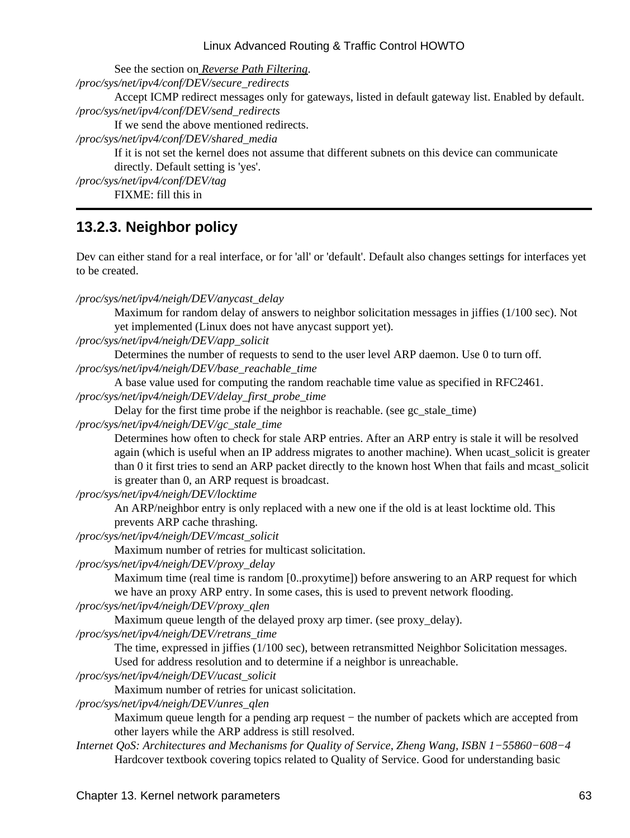See the section on *[Reverse Path Filtering](#page-61-0)*. */proc/sys/net/ipv4/conf/DEV/secure\_redirects* Accept ICMP redirect messages only for gateways, listed in default gateway list. Enabled by default. */proc/sys/net/ipv4/conf/DEV/send\_redirects* If we send the above mentioned redirects. */proc/sys/net/ipv4/conf/DEV/shared\_media* If it is not set the kernel does not assume that different subnets on this device can communicate directly. Default setting is 'yes'. */proc/sys/net/ipv4/conf/DEV/tag*

FIXME: fill this in

## **13.2.3. Neighbor policy**

Dev can either stand for a real interface, or for 'all' or 'default'. Default also changes settings for interfaces yet to be created.

*/proc/sys/net/ipv4/neigh/DEV/anycast\_delay*

Maximum for random delay of answers to neighbor solicitation messages in jiffies (1/100 sec). Not yet implemented (Linux does not have anycast support yet).

*/proc/sys/net/ipv4/neigh/DEV/app\_solicit*

Determines the number of requests to send to the user level ARP daemon. Use 0 to turn off. */proc/sys/net/ipv4/neigh/DEV/base\_reachable\_time*

A base value used for computing the random reachable time value as specified in RFC2461. */proc/sys/net/ipv4/neigh/DEV/delay\_first\_probe\_time*

Delay for the first time probe if the neighbor is reachable. (see gc\_stale\_time)

*/proc/sys/net/ipv4/neigh/DEV/gc\_stale\_time*

Determines how often to check for stale ARP entries. After an ARP entry is stale it will be resolved again (which is useful when an IP address migrates to another machine). When ucast\_solicit is greater than 0 it first tries to send an ARP packet directly to the known host When that fails and mcast\_solicit is greater than 0, an ARP request is broadcast.

*/proc/sys/net/ipv4/neigh/DEV/locktime*

An ARP/neighbor entry is only replaced with a new one if the old is at least locktime old. This prevents ARP cache thrashing.

*/proc/sys/net/ipv4/neigh/DEV/mcast\_solicit*

Maximum number of retries for multicast solicitation.

*/proc/sys/net/ipv4/neigh/DEV/proxy\_delay*

Maximum time (real time is random [0..proxytime]) before answering to an ARP request for which we have an proxy ARP entry. In some cases, this is used to prevent network flooding.

*/proc/sys/net/ipv4/neigh/DEV/proxy\_qlen*

Maximum queue length of the delayed proxy arp timer. (see proxy\_delay).

*/proc/sys/net/ipv4/neigh/DEV/retrans\_time*

The time, expressed in jiffies (1/100 sec), between retransmitted Neighbor Solicitation messages. Used for address resolution and to determine if a neighbor is unreachable.

*/proc/sys/net/ipv4/neigh/DEV/ucast\_solicit*

Maximum number of retries for unicast solicitation.

*/proc/sys/net/ipv4/neigh/DEV/unres\_qlen*

Maximum queue length for a pending arp request – the number of packets which are accepted from other layers while the ARP address is still resolved.

*Internet QoS: Architectures and Mechanisms for Quality of Service, Zheng Wang, ISBN 1−55860−608−4* Hardcover textbook covering topics related to Quality of Service. Good for understanding basic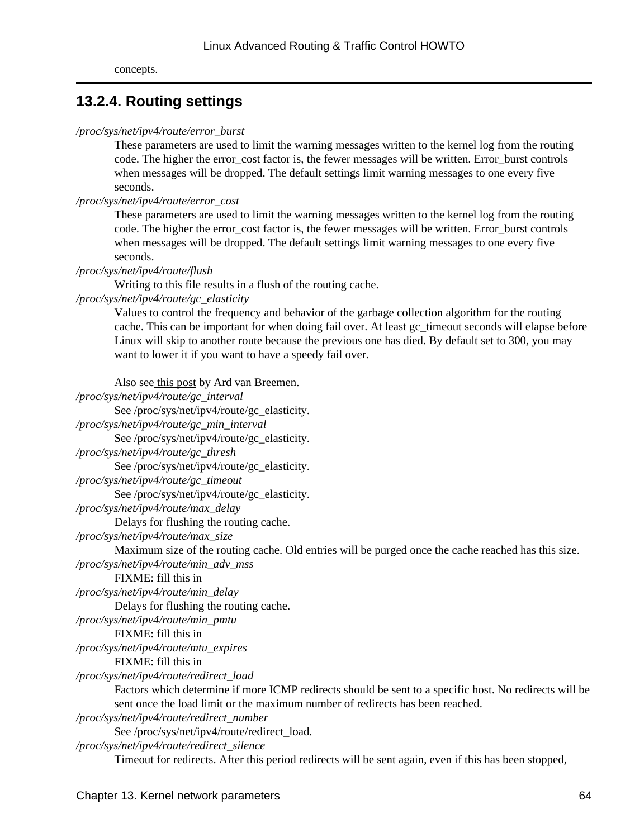## **13.2.4. Routing settings**

#### */proc/sys/net/ipv4/route/error\_burst*

These parameters are used to limit the warning messages written to the kernel log from the routing code. The higher the error cost factor is, the fewer messages will be written. Error burst controls when messages will be dropped. The default settings limit warning messages to one every five seconds.

#### */proc/sys/net/ipv4/route/error\_cost*

These parameters are used to limit the warning messages written to the kernel log from the routing code. The higher the error cost factor is, the fewer messages will be written. Error burst controls when messages will be dropped. The default settings limit warning messages to one every five seconds.

#### */proc/sys/net/ipv4/route/flush*

Writing to this file results in a flush of the routing cache.

*/proc/sys/net/ipv4/route/gc\_elasticity*

Values to control the frequency and behavior of the garbage collection algorithm for the routing cache. This can be important for when doing fail over. At least gc\_timeout seconds will elapse before Linux will skip to another route because the previous one has died. By default set to 300, you may want to lower it if you want to have a speedy fail over.

Also see [this post](http://mailman.ds9a.nl/pipermail/lartc/2002q1/002667.html) by Ard van Breemen.

| /proc/sys/net/ipv4/route/gc_interval                                                                   |
|--------------------------------------------------------------------------------------------------------|
| See /proc/sys/net/ipv4/route/gc_elasticity.                                                            |
| /proc/sys/net/ipv4/route/gc_min_interval                                                               |
| See /proc/sys/net/ipv4/route/gc_elasticity.                                                            |
| /proc/sys/net/ipv4/route/gc_thresh                                                                     |
| See /proc/sys/net/ipv4/route/gc_elasticity.                                                            |
| /proc/sys/net/ipv4/route/gc_timeout                                                                    |
| See /proc/sys/net/ipv4/route/gc_elasticity.                                                            |
| /proc/sys/net/ipv4/route/max_delay                                                                     |
| Delays for flushing the routing cache.                                                                 |
| /proc/sys/net/ipv4/route/max_size                                                                      |
| Maximum size of the routing cache. Old entries will be purged once the cache reached has this size.    |
| /proc/sys/net/ipv4/route/min_adv_mss                                                                   |
| FIXME: fill this in                                                                                    |
| /proc/sys/net/ipv4/route/min_delay                                                                     |
| Delays for flushing the routing cache.                                                                 |
| /proc/sys/net/ipv4/route/min_pmtu                                                                      |
| FIXME: fill this in                                                                                    |
| /proc/sys/net/ipv4/route/mtu_expires                                                                   |
| FIXME: fill this in                                                                                    |
| /proc/sys/net/ipv4/route/redirect_load                                                                 |
| Factors which determine if more ICMP redirects should be sent to a specific host. No redirects will be |
| sent once the load limit or the maximum number of redirects has been reached.                          |
| /proc/sys/net/ipv4/route/redirect_number                                                               |
| See /proc/sys/net/ipv4/route/redirect_load.                                                            |
| /proc/sys/net/ipv4/route/redirect_silence                                                              |
|                                                                                                        |

Timeout for redirects. After this period redirects will be sent again, even if this has been stopped,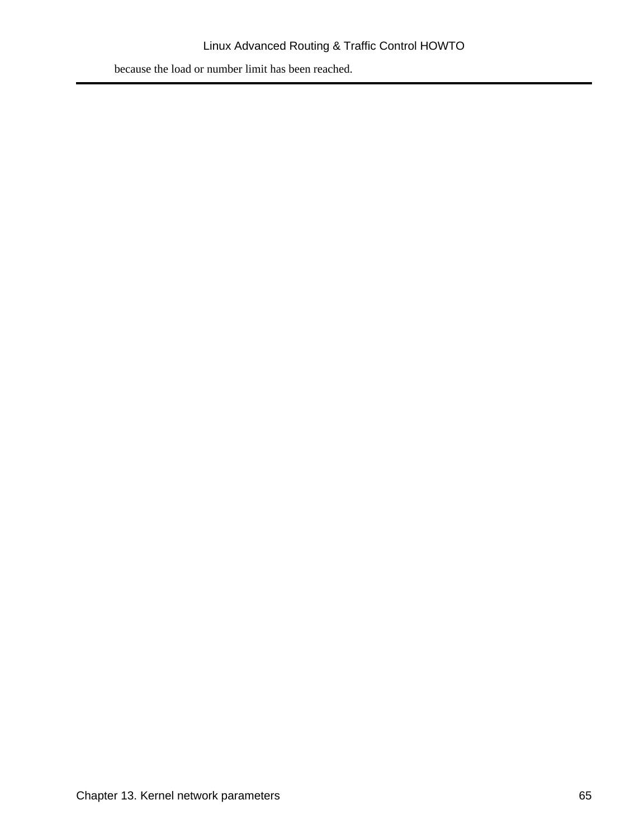because the load or number limit has been reached.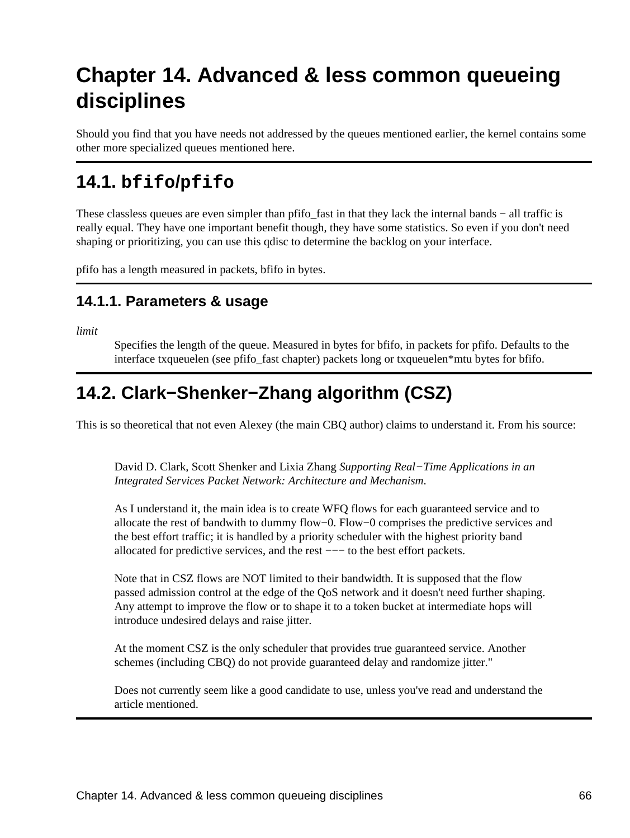# **Chapter 14. Advanced & less common queueing disciplines**

Should you find that you have needs not addressed by the queues mentioned earlier, the kernel contains some other more specialized queues mentioned here.

## **14.1. bfifo/pfifo**

These classless queues are even simpler than pfifo fast in that they lack the internal bands − all traffic is really equal. They have one important benefit though, they have some statistics. So even if you don't need shaping or prioritizing, you can use this qdisc to determine the backlog on your interface.

pfifo has a length measured in packets, bfifo in bytes.

## **14.1.1. Parameters & usage**

*limit*

Specifies the length of the queue. Measured in bytes for bfifo, in packets for pfifo. Defaults to the interface txqueuelen (see pfifo\_fast chapter) packets long or txqueuelen\*mtu bytes for bfifo.

## **14.2. Clark−Shenker−Zhang algorithm (CSZ)**

This is so theoretical that not even Alexey (the main CBQ author) claims to understand it. From his source:

David D. Clark, Scott Shenker and Lixia Zhang *Supporting Real−Time Applications in an Integrated Services Packet Network: Architecture and Mechanism*.

As I understand it, the main idea is to create WFQ flows for each guaranteed service and to allocate the rest of bandwith to dummy flow−0. Flow−0 comprises the predictive services and the best effort traffic; it is handled by a priority scheduler with the highest priority band allocated for predictive services, and the rest −−− to the best effort packets.

Note that in CSZ flows are NOT limited to their bandwidth. It is supposed that the flow passed admission control at the edge of the QoS network and it doesn't need further shaping. Any attempt to improve the flow or to shape it to a token bucket at intermediate hops will introduce undesired delays and raise jitter.

At the moment CSZ is the only scheduler that provides true guaranteed service. Another schemes (including CBQ) do not provide guaranteed delay and randomize jitter."

Does not currently seem like a good candidate to use, unless you've read and understand the article mentioned.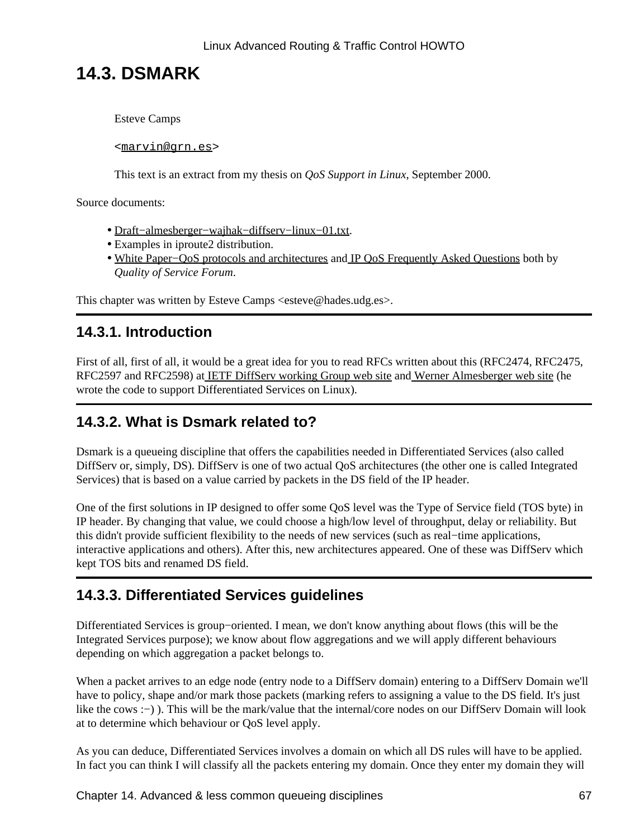## **14.3. DSMARK**

Esteve Camps

<[marvin@grn.es](mailto:marvin@grn.es)>

This text is an extract from my thesis on *QoS Support in Linux*, September 2000.

Source documents:

- [Draft−almesberger−wajhak−diffserv−linux−01.txt.](ftp://icaftp.epfl.ch/pub/linux/diffserv/misc/dsid-01.txt.gz)
- Examples in iproute2 distribution.
- White Paper–QoS protocols and architectures an[d IP QoS Frequently Asked Questions](http://www.qosforum.com/docs/faq) both by *Quality of Service Forum*.

This chapter was written by Esteve Camps <esteve@hades.udg.es>.

## **14.3.1. Introduction**

First of all, first of all, it would be a great idea for you to read RFCs written about this (RFC2474, RFC2475, RFC2597 and RFC2598) a[t IETF DiffServ working Group web site](http://www.ietf.org/html.charters/diffserv-charter.html) an[d Werner Almesberger web site](http://diffserv.sf.net/) (he wrote the code to support Differentiated Services on Linux).

## **14.3.2. What is Dsmark related to?**

Dsmark is a queueing discipline that offers the capabilities needed in Differentiated Services (also called DiffServ or, simply, DS). DiffServ is one of two actual QoS architectures (the other one is called Integrated Services) that is based on a value carried by packets in the DS field of the IP header.

One of the first solutions in IP designed to offer some QoS level was the Type of Service field (TOS byte) in IP header. By changing that value, we could choose a high/low level of throughput, delay or reliability. But this didn't provide sufficient flexibility to the needs of new services (such as real−time applications, interactive applications and others). After this, new architectures appeared. One of these was DiffServ which kept TOS bits and renamed DS field.

## **14.3.3. Differentiated Services guidelines**

Differentiated Services is group−oriented. I mean, we don't know anything about flows (this will be the Integrated Services purpose); we know about flow aggregations and we will apply different behaviours depending on which aggregation a packet belongs to.

When a packet arrives to an edge node (entry node to a DiffServ domain) entering to a DiffServ Domain we'll have to policy, shape and/or mark those packets (marking refers to assigning a value to the DS field. It's just like the cows :−) ). This will be the mark/value that the internal/core nodes on our DiffServ Domain will look at to determine which behaviour or QoS level apply.

As you can deduce, Differentiated Services involves a domain on which all DS rules will have to be applied. In fact you can think I will classify all the packets entering my domain. Once they enter my domain they will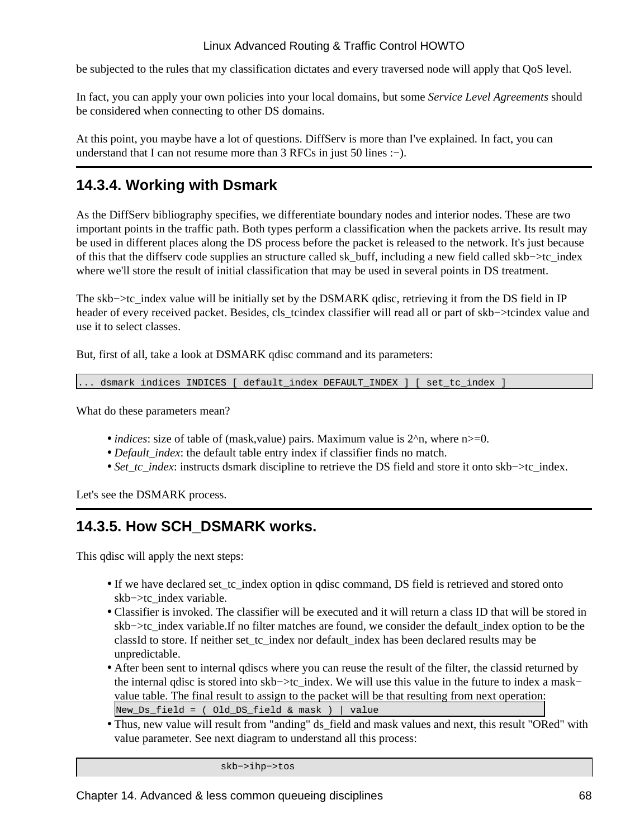be subjected to the rules that my classification dictates and every traversed node will apply that QoS level.

In fact, you can apply your own policies into your local domains, but some *Service Level Agreements* should be considered when connecting to other DS domains.

At this point, you maybe have a lot of questions. DiffServ is more than I've explained. In fact, you can understand that I can not resume more than 3 RFCs in just 50 lines :−).

## **14.3.4. Working with Dsmark**

As the DiffServ bibliography specifies, we differentiate boundary nodes and interior nodes. These are two important points in the traffic path. Both types perform a classification when the packets arrive. Its result may be used in different places along the DS process before the packet is released to the network. It's just because of this that the diffserv code supplies an structure called sk\_buff, including a new field called skb−>tc\_index where we'll store the result of initial classification that may be used in several points in DS treatment.

The skb–>tc\_index value will be initially set by the DSMARK qdisc, retrieving it from the DS field in IP header of every received packet. Besides, cls\_tcindex classifier will read all or part of skb−>tcindex value and use it to select classes.

But, first of all, take a look at DSMARK qdisc command and its parameters:

. dsmark indices INDICES [ default index DEFAULT INDEX ] [ set tc index ]

What do these parameters mean?

- *indices*: size of table of (mask, value) pairs. Maximum value is  $2^n$ , where n  $> = 0$ .
- *Default\_index*: the default table entry index if classifier finds no match.
- *Set\_tc\_index*: instructs dsmark discipline to retrieve the DS field and store it onto skb–>tc\_index.

Let's see the DSMARK process.

## **14.3.5. How SCH\_DSMARK works.**

This qdisc will apply the next steps:

- If we have declared set\_tc\_index option in qdisc command, DS field is retrieved and stored onto skb−>tc\_index variable.
- Classifier is invoked. The classifier will be executed and it will return a class ID that will be stored in skb−>tc\_index variable.If no filter matches are found, we consider the default\_index option to be the classId to store. If neither set\_tc\_index nor default\_index has been declared results may be unpredictable.
- After been sent to internal qdiscs where you can reuse the result of the filter, the classid returned by the internal qdisc is stored into skb−>tc\_index. We will use this value in the future to index a mask− value table. The final result to assign to the packet will be that resulting from next operation:  $New\_Ds\_field = ( Old\_DS\_field & mask )$  | value
- Thus, new value will result from "anding" ds\_field and mask values and next, this result "ORed" with value parameter. See next diagram to understand all this process:

skb−>ihp−>tos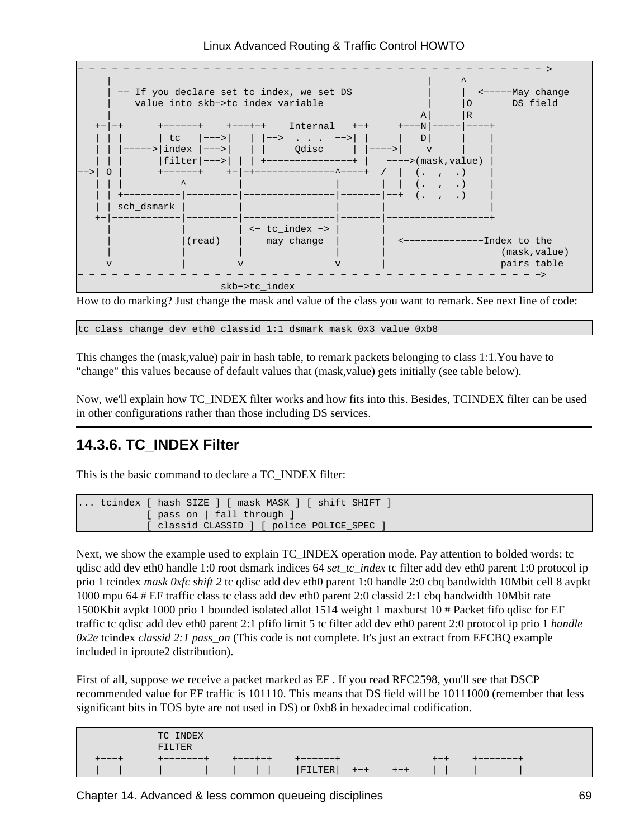

How to do marking? Just change the mask and value of the class you want to remark. See next line of code:

tc class change dev eth0 classid 1:1 dsmark mask 0x3 value 0xb8

This changes the (mask,value) pair in hash table, to remark packets belonging to class 1:1.You have to "change" this values because of default values that (mask,value) gets initially (see table below).

Now, we'll explain how TC\_INDEX filter works and how fits into this. Besides, TCINDEX filter can be used in other configurations rather than those including DS services.

### **14.3.6. TC\_INDEX Filter**

This is the basic command to declare a TC\_INDEX filter:

```
... tcindex [ hash SIZE ] [ mask MASK ] [ shift SHIFT ]
           [ pass_on | fall_through ]
           [ classid CLASSID ] [ police POLICE_SPEC ]
```
Next, we show the example used to explain TC\_INDEX operation mode. Pay attention to bolded words: tc qdisc add dev eth0 handle 1:0 root dsmark indices 64 *set\_tc\_index* tc filter add dev eth0 parent 1:0 protocol ip prio 1 tcindex *mask 0xfc shift 2* tc qdisc add dev eth0 parent 1:0 handle 2:0 cbq bandwidth 10Mbit cell 8 avpkt 1000 mpu 64 # EF traffic class tc class add dev eth0 parent 2:0 classid 2:1 cbq bandwidth 10Mbit rate 1500Kbit avpkt 1000 prio 1 bounded isolated allot 1514 weight 1 maxburst 10 # Packet fifo qdisc for EF traffic tc qdisc add dev eth0 parent 2:1 pfifo limit 5 tc filter add dev eth0 parent 2:0 protocol ip prio 1 *handle 0x2e* tcindex *classid 2:1 pass\_on* (This code is not complete. It's just an extract from EFCBQ example included in iproute2 distribution).

First of all, suppose we receive a packet marked as EF . If you read RFC2598, you'll see that DSCP recommended value for EF traffic is 101110. This means that DS field will be 10111000 (remember that less significant bits in TOS byte are not used in DS) or 0xb8 in hexadecimal codification.

| TC INDEX<br>FILTER |  |         |  |  |          |
|--------------------|--|---------|--|--|----------|
|                    |  | ------+ |  |  | -------+ |
|                    |  |         |  |  |          |

Chapter 14. Advanced & less common queueing disciplines 69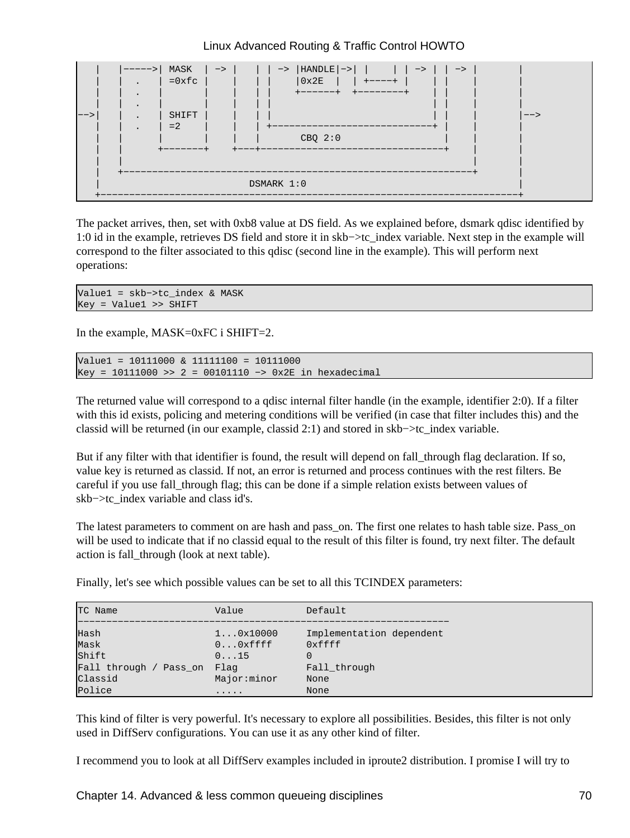

The packet arrives, then, set with 0xb8 value at DS field. As we explained before, dsmark qdisc identified by 1:0 id in the example, retrieves DS field and store it in skb−>tc\_index variable. Next step in the example will correspond to the filter associated to this qdisc (second line in the example). This will perform next operations:

```
Value1 = skb−>tc_index & MASK
Key = Value1 >> SHIFT
```
In the example, MASK=0xFC i SHIFT=2.

```
Value1 = 10111000 & 11111100 = 10111000
Key = 10111000 >> 2 = 00101110 −> 0x2E in hexadecimal
```
The returned value will correspond to a qdisc internal filter handle (in the example, identifier 2:0). If a filter with this id exists, policing and metering conditions will be verified (in case that filter includes this) and the classid will be returned (in our example, classid 2:1) and stored in skb−>tc\_index variable.

But if any filter with that identifier is found, the result will depend on fall through flag declaration. If so, value key is returned as classid. If not, an error is returned and process continues with the rest filters. Be careful if you use fall\_through flag; this can be done if a simple relation exists between values of skb−>tc\_index variable and class id's.

The latest parameters to comment on are hash and pass on. The first one relates to hash table size. Pass on will be used to indicate that if no classid equal to the result of this filter is found, try next filter. The default action is fall\_through (look at next table).

Finally, let's see which possible values can be set to all this TCINDEX parameters:

| TC Name                   | Value                     | Default                  |
|---------------------------|---------------------------|--------------------------|
| Hash                      | $1 \ldots 0 \times 10000$ | Implementation dependent |
| Mask                      | $0 \ldots 0$ xffff        | 0xffff                   |
| Shift                     | 0.15                      | 0                        |
| Fall through /<br>Pass on | Flag                      | Fall through             |
| Classid                   | Major:minor               | None                     |
| Police                    | .                         | None                     |

This kind of filter is very powerful. It's necessary to explore all possibilities. Besides, this filter is not only used in DiffServ configurations. You can use it as any other kind of filter.

I recommend you to look at all DiffServ examples included in iproute2 distribution. I promise I will try to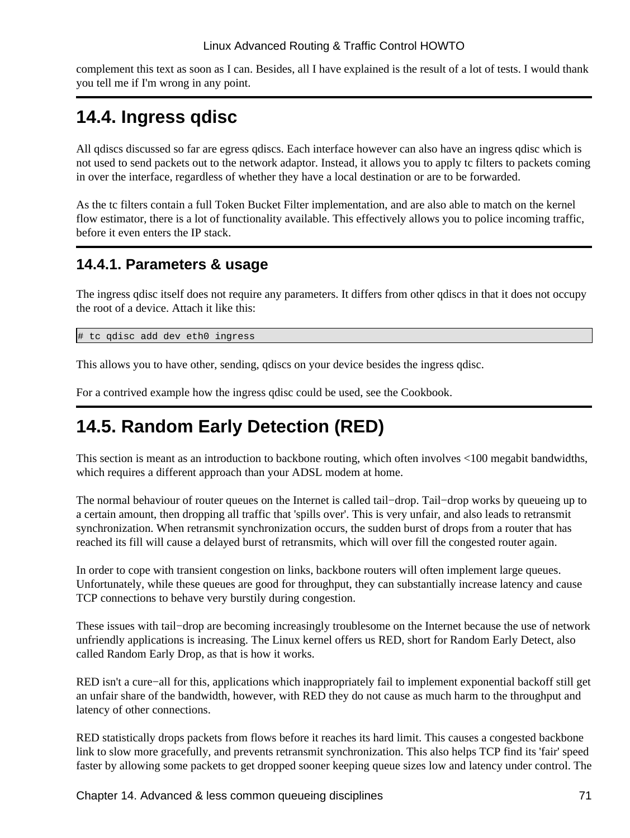complement this text as soon as I can. Besides, all I have explained is the result of a lot of tests. I would thank you tell me if I'm wrong in any point.

## **14.4. Ingress qdisc**

All qdiscs discussed so far are egress qdiscs. Each interface however can also have an ingress qdisc which is not used to send packets out to the network adaptor. Instead, it allows you to apply tc filters to packets coming in over the interface, regardless of whether they have a local destination or are to be forwarded.

As the tc filters contain a full Token Bucket Filter implementation, and are also able to match on the kernel flow estimator, there is a lot of functionality available. This effectively allows you to police incoming traffic, before it even enters the IP stack.

### **14.4.1. Parameters & usage**

The ingress qdisc itself does not require any parameters. It differs from other qdiscs in that it does not occupy the root of a device. Attach it like this:

# tc qdisc add dev eth0 ingress

This allows you to have other, sending, qdiscs on your device besides the ingress qdisc.

For a contrived example how the ingress qdisc could be used, see the Cookbook.

## **14.5. Random Early Detection (RED)**

This section is meant as an introduction to backbone routing, which often involves <100 megabit bandwidths, which requires a different approach than your ADSL modem at home.

The normal behaviour of router queues on the Internet is called tail−drop. Tail−drop works by queueing up to a certain amount, then dropping all traffic that 'spills over'. This is very unfair, and also leads to retransmit synchronization. When retransmit synchronization occurs, the sudden burst of drops from a router that has reached its fill will cause a delayed burst of retransmits, which will over fill the congested router again.

In order to cope with transient congestion on links, backbone routers will often implement large queues. Unfortunately, while these queues are good for throughput, they can substantially increase latency and cause TCP connections to behave very burstily during congestion.

These issues with tail−drop are becoming increasingly troublesome on the Internet because the use of network unfriendly applications is increasing. The Linux kernel offers us RED, short for Random Early Detect, also called Random Early Drop, as that is how it works.

RED isn't a cure−all for this, applications which inappropriately fail to implement exponential backoff still get an unfair share of the bandwidth, however, with RED they do not cause as much harm to the throughput and latency of other connections.

RED statistically drops packets from flows before it reaches its hard limit. This causes a congested backbone link to slow more gracefully, and prevents retransmit synchronization. This also helps TCP find its 'fair' speed faster by allowing some packets to get dropped sooner keeping queue sizes low and latency under control. The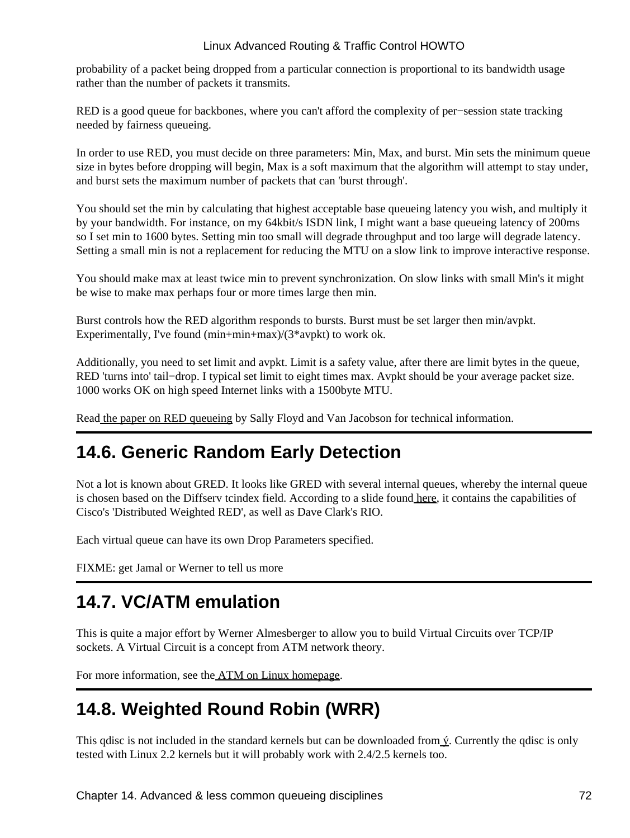probability of a packet being dropped from a particular connection is proportional to its bandwidth usage rather than the number of packets it transmits.

RED is a good queue for backbones, where you can't afford the complexity of per−session state tracking needed by fairness queueing.

In order to use RED, you must decide on three parameters: Min, Max, and burst. Min sets the minimum queue size in bytes before dropping will begin, Max is a soft maximum that the algorithm will attempt to stay under, and burst sets the maximum number of packets that can 'burst through'.

You should set the min by calculating that highest acceptable base queueing latency you wish, and multiply it by your bandwidth. For instance, on my 64kbit/s ISDN link, I might want a base queueing latency of 200ms so I set min to 1600 bytes. Setting min too small will degrade throughput and too large will degrade latency. Setting a small min is not a replacement for reducing the MTU on a slow link to improve interactive response.

You should make max at least twice min to prevent synchronization. On slow links with small Min's it might be wise to make max perhaps four or more times large then min.

Burst controls how the RED algorithm responds to bursts. Burst must be set larger then min/avpkt. Experimentally, I've found (min+min+max)/(3\*avpkt) to work ok.

Additionally, you need to set limit and avpkt. Limit is a safety value, after there are limit bytes in the queue, RED 'turns into' tail−drop. I typical set limit to eight times max. Avpkt should be your average packet size. 1000 works OK on high speed Internet links with a 1500byte MTU.

Read [the paper on RED queueing](http://www.aciri.org/floyd/papers/red/red.html) by Sally Floyd and Van Jacobson for technical information.

## **14.6. Generic Random Early Detection**

Not a lot is known about GRED. It looks like GRED with several internal queues, whereby the internal queue is chosen based on the Diffserv tcindex field. According to a slide found [here](http://www.davin.ottawa.on.ca/ols/img22.htm), it contains the capabilities of Cisco's 'Distributed Weighted RED', as well as Dave Clark's RIO.

Each virtual queue can have its own Drop Parameters specified.

FIXME: get Jamal or Werner to tell us more

## **14.7. VC/ATM emulation**

This is quite a major effort by Werner Almesberger to allow you to build Virtual Circuits over TCP/IP sockets. A Virtual Circuit is a concept from ATM network theory.

For more information, see th[e ATM on Linux homepage.](http://linux-atm.sourceforge.net/)

# **14.8. Weighted Round Robin (WRR)**

This qdisc is not included in the standard kernels but can be downloaded from  $\acute{v}$ . Currently the qdisc is only tested with Linux 2.2 kernels but it will probably work with 2.4/2.5 kernels too.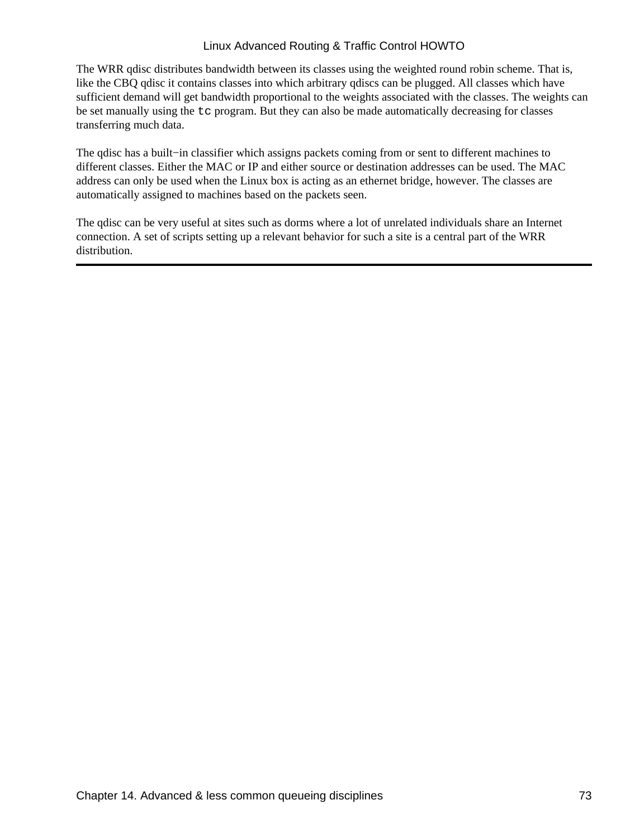The WRR qdisc distributes bandwidth between its classes using the weighted round robin scheme. That is, like the CBQ qdisc it contains classes into which arbitrary qdiscs can be plugged. All classes which have sufficient demand will get bandwidth proportional to the weights associated with the classes. The weights can be set manually using the tc program. But they can also be made automatically decreasing for classes transferring much data.

The qdisc has a built−in classifier which assigns packets coming from or sent to different machines to different classes. Either the MAC or IP and either source or destination addresses can be used. The MAC address can only be used when the Linux box is acting as an ethernet bridge, however. The classes are automatically assigned to machines based on the packets seen.

The qdisc can be very useful at sites such as dorms where a lot of unrelated individuals share an Internet connection. A set of scripts setting up a relevant behavior for such a site is a central part of the WRR distribution.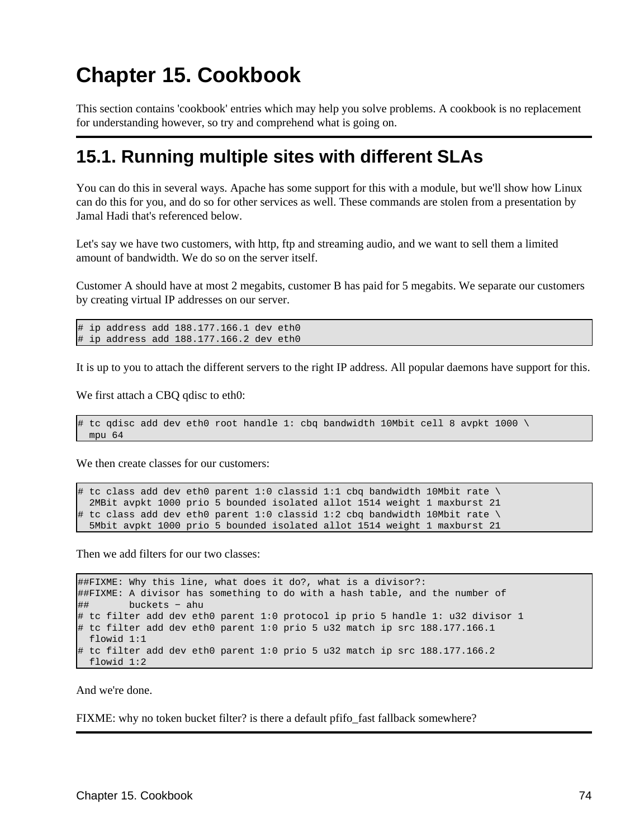# **Chapter 15. Cookbook**

This section contains 'cookbook' entries which may help you solve problems. A cookbook is no replacement for understanding however, so try and comprehend what is going on.

### **15.1. Running multiple sites with different SLAs**

You can do this in several ways. Apache has some support for this with a module, but we'll show how Linux can do this for you, and do so for other services as well. These commands are stolen from a presentation by Jamal Hadi that's referenced below.

Let's say we have two customers, with http, ftp and streaming audio, and we want to sell them a limited amount of bandwidth. We do so on the server itself.

Customer A should have at most 2 megabits, customer B has paid for 5 megabits. We separate our customers by creating virtual IP addresses on our server.

```
# ip address add 188.177.166.1 dev eth0
# ip address add 188.177.166.2 dev eth0
```
It is up to you to attach the different servers to the right IP address. All popular daemons have support for this.

We first attach a CBQ qdisc to eth0:

```
# tc qdisc add dev eth0 root handle 1: cbq bandwidth 10Mbit cell 8 avpkt 1000 \
  mpu 64
```
We then create classes for our customers:

```
# tc class add dev eth0 parent 1:0 classid 1:1 cbq bandwidth 10Mbit rate \
   2MBit avpkt 1000 prio 5 bounded isolated allot 1514 weight 1 maxburst 21
# tc class add dev eth0 parent 1:0 classid 1:2 cbq bandwidth 10Mbit rate \
  5Mbit avpkt 1000 prio 5 bounded isolated allot 1514 weight 1 maxburst 21
```
Then we add filters for our two classes:

```
##FIXME: Why this line, what does it do?, what is a divisor?:
##FIXME: A divisor has something to do with a hash table, and the number of
## buckets − ahu
# tc filter add dev eth0 parent 1:0 protocol ip prio 5 handle 1: u32 divisor 1
# tc filter add dev eth0 parent 1:0 prio 5 u32 match ip src 188.177.166.1
  flowid 1:1
# tc filter add dev eth0 parent 1:0 prio 5 u32 match ip src 188.177.166.2
  flowid 1:2
```
And we're done.

FIXME: why no token bucket filter? is there a default pfifo fast fallback somewhere?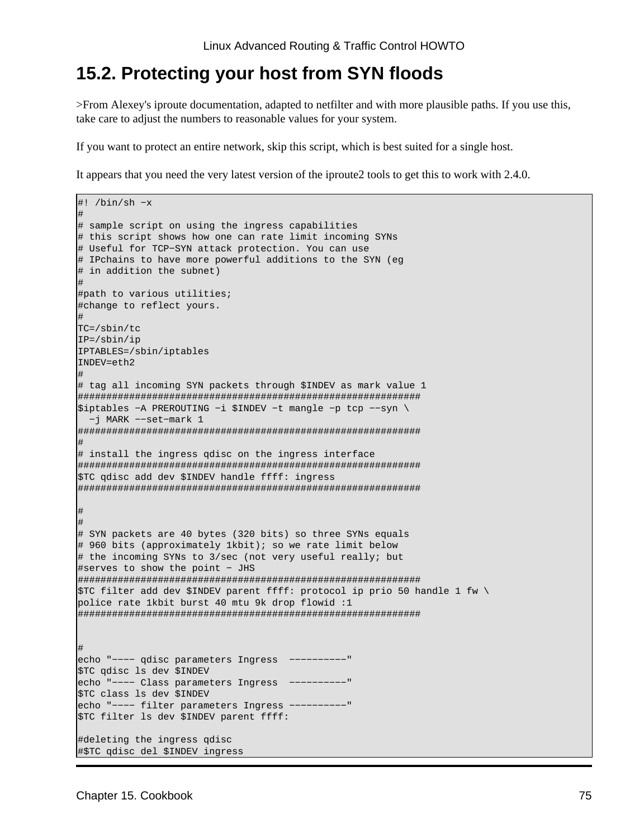### **15.2. Protecting your host from SYN floods**

>From Alexey's iproute documentation, adapted to netfilter and with more plausible paths. If you use this, take care to adjust the numbers to reasonable values for your system.

If you want to protect an entire network, skip this script, which is best suited for a single host.

It appears that you need the very latest version of the iproute2 tools to get this to work with 2.4.0.

```
#! /bin/sh −x
#
# sample script on using the ingress capabilities
# this script shows how one can rate limit incoming SYNs
# Useful for TCP−SYN attack protection. You can use
# IPchains to have more powerful additions to the SYN (eg 
# in addition the subnet)
#
#path to various utilities;
#change to reflect yours.
#
TC=/sbin/tc
IP=/sbin/ip
IPTABLES=/sbin/iptables
INDEV=eth2
#
# tag all incoming SYN packets through $INDEV as mark value 1
############################################################ 
$iptables −A PREROUTING −i $INDEV −t mangle −p tcp −−syn \
   −j MARK −−set−mark 1
############################################################ 
#
# install the ingress qdisc on the ingress interface
############################################################ 
$TC qdisc add dev $INDEV handle ffff: ingress
############################################################ 
#
# 
# SYN packets are 40 bytes (320 bits) so three SYNs equals
# 960 bits (approximately 1kbit); so we rate limit below
# the incoming SYNs to 3/sec (not very useful really; but
#serves to show the point − JHS
############################################################ 
$TC filter add dev $INDEV parent ffff: protocol ip prio 50 handle 1 fw \
police rate 1kbit burst 40 mtu 9k drop flowid :1
############################################################ 
#
echo "−−−− qdisc parameters Ingress −−−−−−−−−−"
$TC qdisc ls dev $INDEV
echo "−−−− Class parameters Ingress −−−−−−−−−−"
$TC class ls dev $INDEV
echo "−−−− filter parameters Ingress −−−−−−−−−−"
$TC filter ls dev $INDEV parent ffff:
#deleting the ingress qdisc
#$TC qdisc del $INDEV ingress
```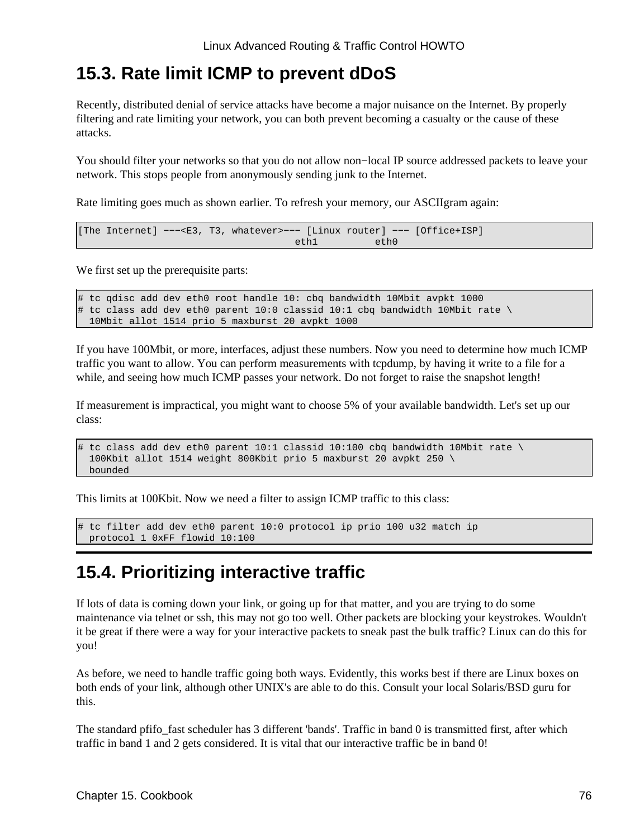### **15.3. Rate limit ICMP to prevent dDoS**

Recently, distributed denial of service attacks have become a major nuisance on the Internet. By properly filtering and rate limiting your network, you can both prevent becoming a casualty or the cause of these attacks.

You should filter your networks so that you do not allow non−local IP source addressed packets to leave your network. This stops people from anonymously sending junk to the Internet.

Rate limiting goes much as shown earlier. To refresh your memory, our ASCIIgram again:

[The Internet] −−−<E3, T3, whatever>−−− [Linux router] −−− [Office+ISP] eth1 eth0

We first set up the prerequisite parts:

```
# tc qdisc add dev eth0 root handle 10: cbq bandwidth 10Mbit avpkt 1000
# tc class add dev eth0 parent 10:0 classid 10:1 cbq bandwidth 10Mbit rate \
  10Mbit allot 1514 prio 5 maxburst 20 avpkt 1000
```
If you have 100Mbit, or more, interfaces, adjust these numbers. Now you need to determine how much ICMP traffic you want to allow. You can perform measurements with tcpdump, by having it write to a file for a while, and seeing how much ICMP passes your network. Do not forget to raise the snapshot length!

If measurement is impractical, you might want to choose 5% of your available bandwidth. Let's set up our class:

```
# tc class add dev eth0 parent 10:1 classid 10:100 cbq bandwidth 10Mbit rate \
  100Kbit allot 1514 weight 800Kbit prio 5 maxburst 20 avpkt 250 \
  bounded
```
This limits at 100Kbit. Now we need a filter to assign ICMP traffic to this class:

# tc filter add dev eth0 parent 10:0 protocol ip prio 100 u32 match ip protocol 1 0xFF flowid 10:100

### **15.4. Prioritizing interactive traffic**

If lots of data is coming down your link, or going up for that matter, and you are trying to do some maintenance via telnet or ssh, this may not go too well. Other packets are blocking your keystrokes. Wouldn't it be great if there were a way for your interactive packets to sneak past the bulk traffic? Linux can do this for you!

As before, we need to handle traffic going both ways. Evidently, this works best if there are Linux boxes on both ends of your link, although other UNIX's are able to do this. Consult your local Solaris/BSD guru for this.

The standard pfifo\_fast scheduler has 3 different 'bands'. Traffic in band 0 is transmitted first, after which traffic in band 1 and 2 gets considered. It is vital that our interactive traffic be in band 0!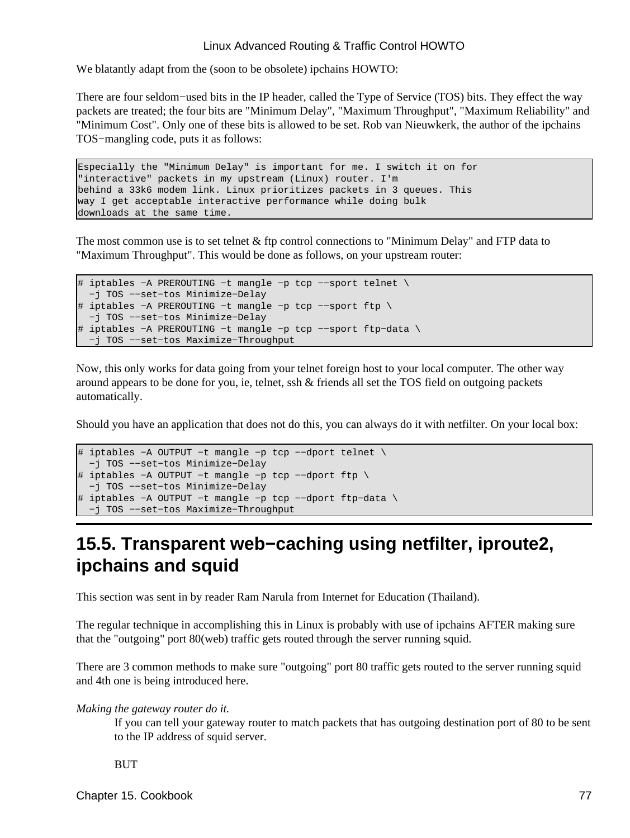We blatantly adapt from the (soon to be obsolete) ipchains HOWTO:

There are four seldom−used bits in the IP header, called the Type of Service (TOS) bits. They effect the way packets are treated; the four bits are "Minimum Delay", "Maximum Throughput", "Maximum Reliability" and "Minimum Cost". Only one of these bits is allowed to be set. Rob van Nieuwkerk, the author of the ipchains TOS−mangling code, puts it as follows:

Especially the "Minimum Delay" is important for me. I switch it on for "interactive" packets in my upstream (Linux) router. I'm behind a 33k6 modem link. Linux prioritizes packets in 3 queues. This way I get acceptable interactive performance while doing bulk downloads at the same time.

The most common use is to set telnet & ftp control connections to "Minimum Delay" and FTP data to "Maximum Throughput". This would be done as follows, on your upstream router:

```
# iptables −A PREROUTING −t mangle −p tcp −−sport telnet \
  −j TOS −−set−tos Minimize−Delay
# iptables −A PREROUTING −t mangle −p tcp −−sport ftp \
 −j TOS −−set−tos Minimize−Delay
# iptables −A PREROUTING −t mangle −p tcp −−sport ftp−data \
  −j TOS −−set−tos Maximize−Throughput
```
Now, this only works for data going from your telnet foreign host to your local computer. The other way around appears to be done for you, ie, telnet, ssh & friends all set the TOS field on outgoing packets automatically.

Should you have an application that does not do this, you can always do it with netfilter. On your local box:

```
# iptables −A OUTPUT −t mangle −p tcp −−dport telnet \
  −j TOS −−set−tos Minimize−Delay
# iptables −A OUTPUT −t mangle −p tcp −−dport ftp \
  −j TOS −−set−tos Minimize−Delay
# iptables −A OUTPUT −t mangle −p tcp −−dport ftp−data \
  −j TOS −−set−tos Maximize−Throughput
```
## **15.5. Transparent web−caching using netfilter, iproute2, ipchains and squid**

This section was sent in by reader Ram Narula from Internet for Education (Thailand).

The regular technique in accomplishing this in Linux is probably with use of ipchains AFTER making sure that the "outgoing" port 80(web) traffic gets routed through the server running squid.

There are 3 common methods to make sure "outgoing" port 80 traffic gets routed to the server running squid and 4th one is being introduced here.

#### *Making the gateway router do it.*

If you can tell your gateway router to match packets that has outgoing destination port of 80 to be sent to the IP address of squid server.

#### BUT

Chapter 15. Cookbook 77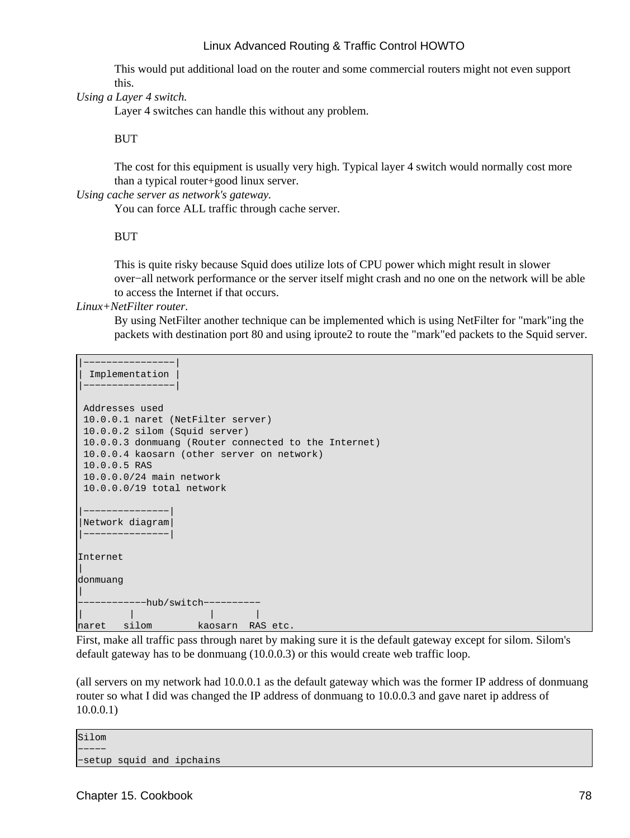This would put additional load on the router and some commercial routers might not even support this.

*Using a Layer 4 switch.*

Layer 4 switches can handle this without any problem.

BUT

The cost for this equipment is usually very high. Typical layer 4 switch would normally cost more than a typical router+good linux server.

*Using cache server as network's gateway.*

You can force ALL traffic through cache server.

#### **BUT**

This is quite risky because Squid does utilize lots of CPU power which might result in slower over−all network performance or the server itself might crash and no one on the network will be able to access the Internet if that occurs.

*Linux+NetFilter router.*

By using NetFilter another technique can be implemented which is using NetFilter for "mark"ing the packets with destination port 80 and using iproute2 to route the "mark"ed packets to the Squid server.

```
|−−−−−−−−−−−−−−−−|
 | Implementation |
```

```
|−−−−−−−−−−−−−−−−|
 Addresses used
 10.0.0.1 naret (NetFilter server)
 10.0.0.2 silom (Squid server)
 10.0.0.3 donmuang (Router connected to the Internet)
  10.0.0.4 kaosarn (other server on network)
 10.0.0.5 RAS
 10.0.0.0/24 main network
 10.0.0.0/19 total network
|−−−−−−−−−−−−−−−|
|Network diagram|
|−−−−−−−−−−−−−−−|
Internet
|
donmuang
|
  −−−−−−−−−−−−hub/switch−−−−−−−−−−
            | | | |
naret silom kaosarn RAS etc.
```
First, make all traffic pass through naret by making sure it is the default gateway except for silom. Silom's default gateway has to be donmuang (10.0.0.3) or this would create web traffic loop.

(all servers on my network had 10.0.0.1 as the default gateway which was the former IP address of donmuang router so what I did was changed the IP address of donmuang to 10.0.0.3 and gave naret ip address of 10.0.0.1)

Silom −−−−− −setup squid and ipchains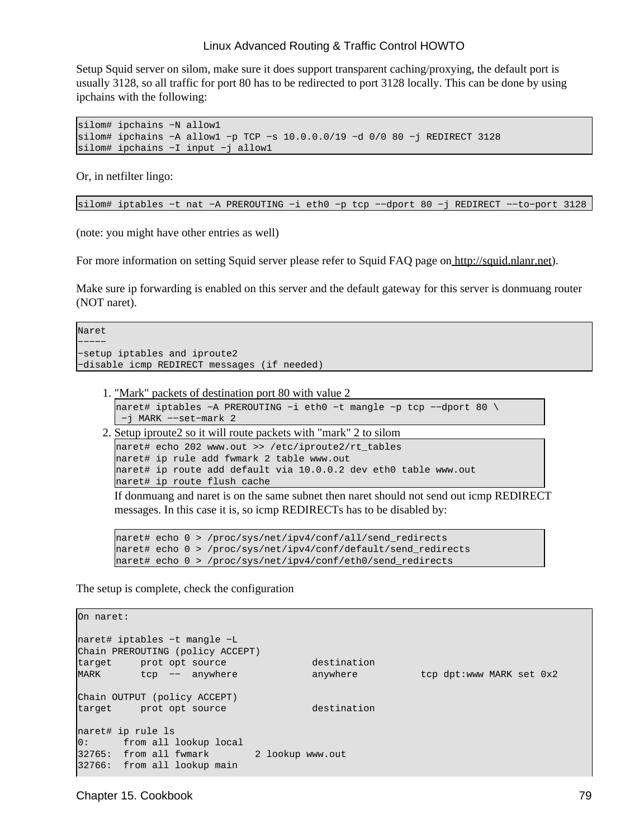Setup Squid server on silom, make sure it does support transparent caching/proxying, the default port is usually 3128, so all traffic for port 80 has to be redirected to port 3128 locally. This can be done by using ipchains with the following:

```
silom# ipchains −N allow1
silom# ipchains −A allow1 −p TCP −s 10.0.0.0/19 −d 0/0 80 −j REDIRECT 3128
silom# ipchains −I input −j allow1
```
Or, in netfilter lingo:

silom# iptables −t nat −A PREROUTING −i eth0 −p tcp −−dport 80 −j REDIRECT −−to−port 3128

(note: you might have other entries as well)

For more information on setting Squid server please refer to Squid FAQ page on<http://squid.nlanr.net>).

Make sure ip forwarding is enabled on this server and the default gateway for this server is donmuang router (NOT naret).

Naret

```
−−−−−
−setup iptables and iproute2
−disable icmp REDIRECT messages (if needed)
```
1. "Mark" packets of destination port 80 with value 2

```
naret# iptables −A PREROUTING −i eth0 −t mangle −p tcp −−dport 80 \
 −j MARK −−set−mark 2
```
2. Setup iproute2 so it will route packets with "mark" 2 to silom

```
naret# echo 202 www.out >> /etc/iproute2/rt_tables
naret# ip rule add fwmark 2 table www.out
naret# ip route add default via 10.0.0.2 dev eth0 table www.out
naret# ip route flush cache
```
If donmuang and naret is on the same subnet then naret should not send out icmp REDIRECT messages. In this case it is, so icmp REDIRECTs has to be disabled by:

```
naret# echo 0 > /proc/sys/net/ipv4/conf/all/send_redirects
naret# echo 0 > /proc/sys/net/ipv4/conf/default/send_redirects
naret# echo 0 > /proc/sys/net/ipv4/conf/eth0/send_redirects
```
The setup is complete, check the configuration

```
On naret:
naret# iptables −t mangle −L
Chain PREROUTING (policy ACCEPT)
target prot opt source in the destination
MARK tcp −− anywhere anywhere tcp dpt:www MARK set 0x2
Chain OUTPUT (policy ACCEPT)
target prot opt source destination 
naret# ip rule ls
0: from all lookup local<br>32765: from all fwmark 2 lookup www.out
32765: from all fwmark
32766: from all lookup main
```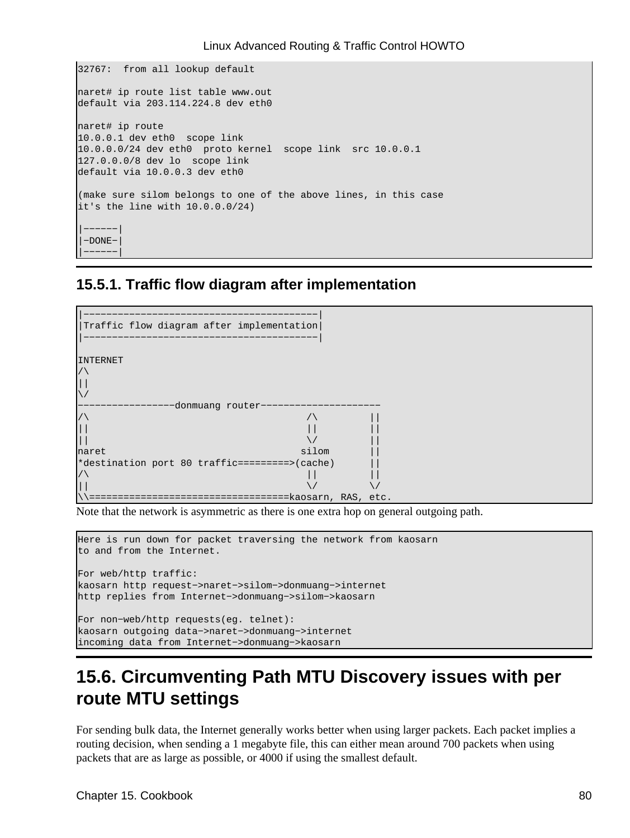```
32767: from all lookup default 
naret# ip route list table www.out
default via 203.114.224.8 dev eth0 
naret# ip route 
10.0.0.1 dev eth0 scope link 
10.0.0.0/24 dev eth0 proto kernel scope link src 10.0.0.1
127.0.0.0/8 dev lo scope link 
default via 10.0.0.3 dev eth0 
(make sure silom belongs to one of the above lines, in this case
it's the line with 10.0.0.0/24)
|−−−−−−|
|−DONE−|
 |−−−−−−|
```
### **15.5.1. Traffic flow diagram after implementation**



Note that the network is asymmetric as there is one extra hop on general outgoing path.

```
Here is run down for packet traversing the network from kaosarn
to and from the Internet.
For web/http traffic:
kaosarn http request−>naret−>silom−>donmuang−>internet
http replies from Internet−>donmuang−>silom−>kaosarn
For non−web/http requests(eg. telnet):
kaosarn outgoing data−>naret−>donmuang−>internet
incoming data from Internet−>donmuang−>kaosarn
```
# **15.6. Circumventing Path MTU Discovery issues with per route MTU settings**

For sending bulk data, the Internet generally works better when using larger packets. Each packet implies a routing decision, when sending a 1 megabyte file, this can either mean around 700 packets when using packets that are as large as possible, or 4000 if using the smallest default.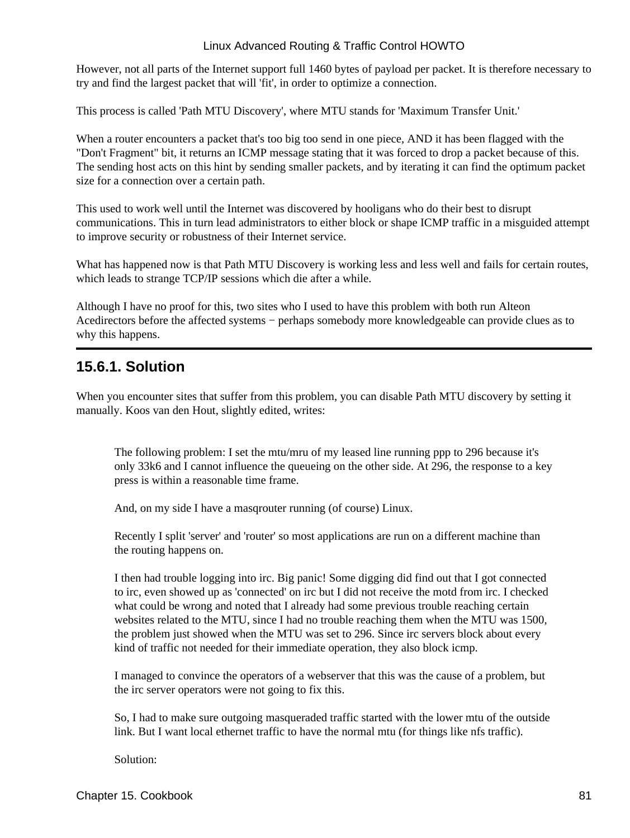However, not all parts of the Internet support full 1460 bytes of payload per packet. It is therefore necessary to try and find the largest packet that will 'fit', in order to optimize a connection.

This process is called 'Path MTU Discovery', where MTU stands for 'Maximum Transfer Unit.'

When a router encounters a packet that's too big too send in one piece, AND it has been flagged with the "Don't Fragment" bit, it returns an ICMP message stating that it was forced to drop a packet because of this. The sending host acts on this hint by sending smaller packets, and by iterating it can find the optimum packet size for a connection over a certain path.

This used to work well until the Internet was discovered by hooligans who do their best to disrupt communications. This in turn lead administrators to either block or shape ICMP traffic in a misguided attempt to improve security or robustness of their Internet service.

What has happened now is that Path MTU Discovery is working less and less well and fails for certain routes, which leads to strange TCP/IP sessions which die after a while.

Although I have no proof for this, two sites who I used to have this problem with both run Alteon Acedirectors before the affected systems − perhaps somebody more knowledgeable can provide clues as to why this happens.

### **15.6.1. Solution**

When you encounter sites that suffer from this problem, you can disable Path MTU discovery by setting it manually. Koos van den Hout, slightly edited, writes:

The following problem: I set the mtu/mru of my leased line running ppp to 296 because it's only 33k6 and I cannot influence the queueing on the other side. At 296, the response to a key press is within a reasonable time frame.

And, on my side I have a masqrouter running (of course) Linux.

Recently I split 'server' and 'router' so most applications are run on a different machine than the routing happens on.

I then had trouble logging into irc. Big panic! Some digging did find out that I got connected to irc, even showed up as 'connected' on irc but I did not receive the motd from irc. I checked what could be wrong and noted that I already had some previous trouble reaching certain websites related to the MTU, since I had no trouble reaching them when the MTU was 1500, the problem just showed when the MTU was set to 296. Since irc servers block about every kind of traffic not needed for their immediate operation, they also block icmp.

I managed to convince the operators of a webserver that this was the cause of a problem, but the irc server operators were not going to fix this.

So, I had to make sure outgoing masqueraded traffic started with the lower mtu of the outside link. But I want local ethernet traffic to have the normal mtu (for things like nfs traffic).

Solution: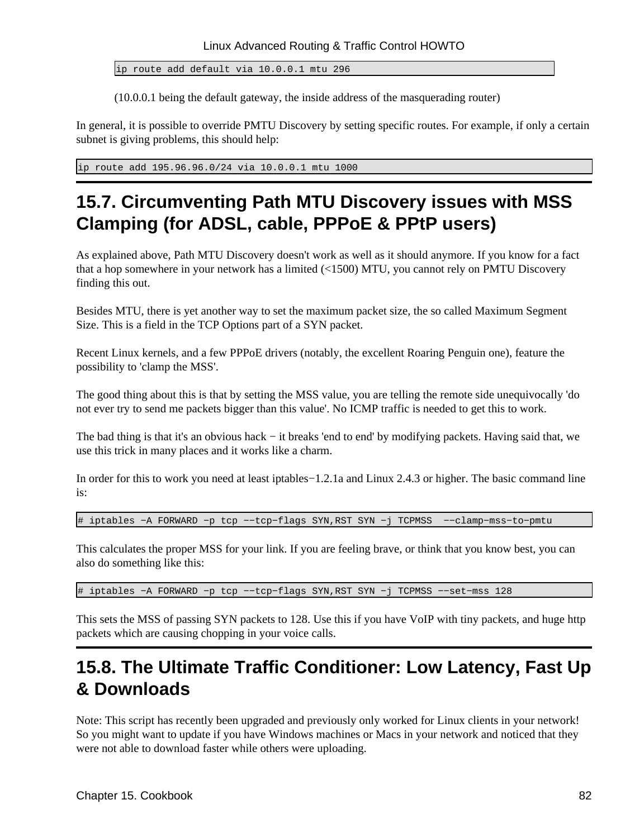ip route add default via 10.0.0.1 mtu 296

(10.0.0.1 being the default gateway, the inside address of the masquerading router)

In general, it is possible to override PMTU Discovery by setting specific routes. For example, if only a certain subnet is giving problems, this should help:

ip route add 195.96.96.0/24 via 10.0.0.1 mtu 1000

# **15.7. Circumventing Path MTU Discovery issues with MSS Clamping (for ADSL, cable, PPPoE & PPtP users)**

As explained above, Path MTU Discovery doesn't work as well as it should anymore. If you know for a fact that a hop somewhere in your network has a limited (<1500) MTU, you cannot rely on PMTU Discovery finding this out.

Besides MTU, there is yet another way to set the maximum packet size, the so called Maximum Segment Size. This is a field in the TCP Options part of a SYN packet.

Recent Linux kernels, and a few PPPoE drivers (notably, the excellent Roaring Penguin one), feature the possibility to 'clamp the MSS'.

The good thing about this is that by setting the MSS value, you are telling the remote side unequivocally 'do not ever try to send me packets bigger than this value'. No ICMP traffic is needed to get this to work.

The bad thing is that it's an obvious hack − it breaks 'end to end' by modifying packets. Having said that, we use this trick in many places and it works like a charm.

In order for this to work you need at least iptables−1.2.1a and Linux 2.4.3 or higher. The basic command line is:

# iptables −A FORWARD −p tcp −−tcp−flags SYN,RST SYN −j TCPMSS −−clamp−mss−to−pmtu

This calculates the proper MSS for your link. If you are feeling brave, or think that you know best, you can also do something like this:

# iptables −A FORWARD −p tcp −−tcp−flags SYN,RST SYN −j TCPMSS −−set−mss 128

This sets the MSS of passing SYN packets to 128. Use this if you have VoIP with tiny packets, and huge http packets which are causing chopping in your voice calls.

## **15.8. The Ultimate Traffic Conditioner: Low Latency, Fast Up & Downloads**

Note: This script has recently been upgraded and previously only worked for Linux clients in your network! So you might want to update if you have Windows machines or Macs in your network and noticed that they were not able to download faster while others were uploading.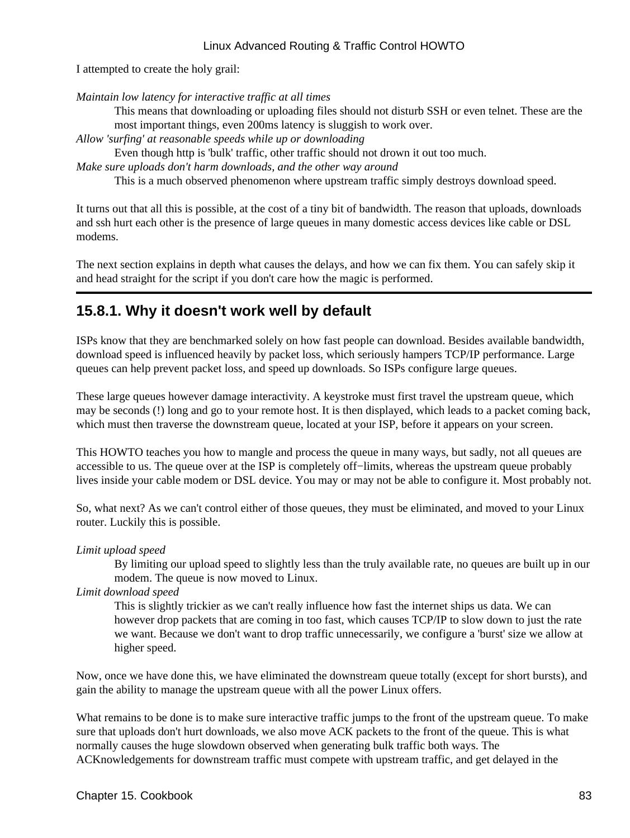I attempted to create the holy grail:

*Maintain low latency for interactive traffic at all times*

This means that downloading or uploading files should not disturb SSH or even telnet. These are the most important things, even 200ms latency is sluggish to work over.

*Allow 'surfing' at reasonable speeds while up or downloading*

Even though http is 'bulk' traffic, other traffic should not drown it out too much.

*Make sure uploads don't harm downloads, and the other way around*

This is a much observed phenomenon where upstream traffic simply destroys download speed.

It turns out that all this is possible, at the cost of a tiny bit of bandwidth. The reason that uploads, downloads and ssh hurt each other is the presence of large queues in many domestic access devices like cable or DSL modems.

The next section explains in depth what causes the delays, and how we can fix them. You can safely skip it and head straight for the script if you don't care how the magic is performed.

### **15.8.1. Why it doesn't work well by default**

ISPs know that they are benchmarked solely on how fast people can download. Besides available bandwidth, download speed is influenced heavily by packet loss, which seriously hampers TCP/IP performance. Large queues can help prevent packet loss, and speed up downloads. So ISPs configure large queues.

These large queues however damage interactivity. A keystroke must first travel the upstream queue, which may be seconds (!) long and go to your remote host. It is then displayed, which leads to a packet coming back, which must then traverse the downstream queue, located at your ISP, before it appears on your screen.

This HOWTO teaches you how to mangle and process the queue in many ways, but sadly, not all queues are accessible to us. The queue over at the ISP is completely off−limits, whereas the upstream queue probably lives inside your cable modem or DSL device. You may or may not be able to configure it. Most probably not.

So, what next? As we can't control either of those queues, they must be eliminated, and moved to your Linux router. Luckily this is possible.

#### *Limit upload speed*

By limiting our upload speed to slightly less than the truly available rate, no queues are built up in our modem. The queue is now moved to Linux.

*Limit download speed*

This is slightly trickier as we can't really influence how fast the internet ships us data. We can however drop packets that are coming in too fast, which causes TCP/IP to slow down to just the rate we want. Because we don't want to drop traffic unnecessarily, we configure a 'burst' size we allow at higher speed.

Now, once we have done this, we have eliminated the downstream queue totally (except for short bursts), and gain the ability to manage the upstream queue with all the power Linux offers.

What remains to be done is to make sure interactive traffic jumps to the front of the upstream queue. To make sure that uploads don't hurt downloads, we also move ACK packets to the front of the queue. This is what normally causes the huge slowdown observed when generating bulk traffic both ways. The ACKnowledgements for downstream traffic must compete with upstream traffic, and get delayed in the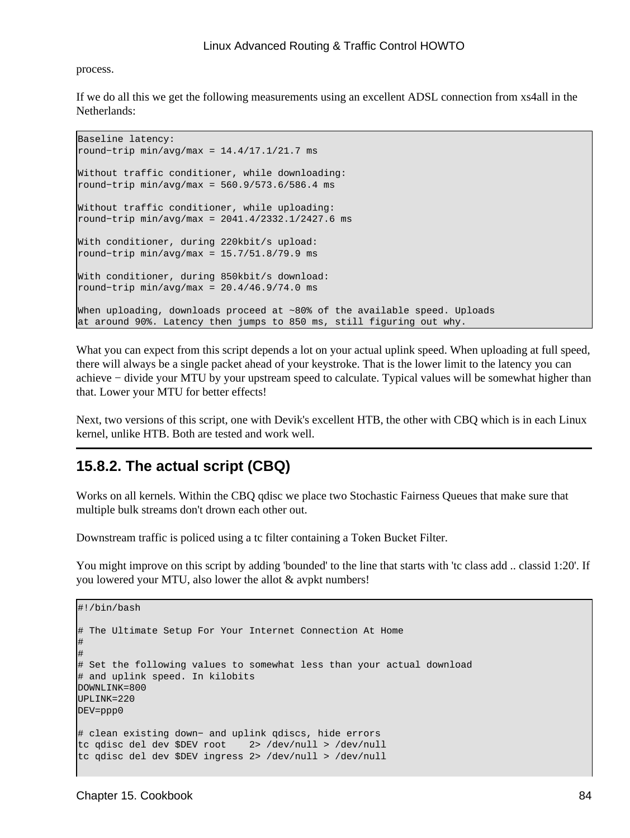#### process.

If we do all this we get the following measurements using an excellent ADSL connection from xs4all in the Netherlands:

```
Baseline latency:
round−trip min/avg/max = 14.4/17.1/21.7 ms
Without traffic conditioner, while downloading:
round−trip min/avg/max = 560.9/573.6/586.4 ms
Without traffic conditioner, while uploading:
round−trip min/avg/max = 2041.4/2332.1/2427.6 ms
With conditioner, during 220kbit/s upload:
round−trip min/avg/max = 15.7/51.8/79.9 ms
With conditioner, during 850kbit/s download:
round−trip min/avg/max = 20.4/46.9/74.0 ms
When uploading, downloads proceed at ~80% of the available speed. Uploads
at around 90%. Latency then jumps to 850 ms, still figuring out why.
```
What you can expect from this script depends a lot on your actual uplink speed. When uploading at full speed, there will always be a single packet ahead of your keystroke. That is the lower limit to the latency you can achieve − divide your MTU by your upstream speed to calculate. Typical values will be somewhat higher than that. Lower your MTU for better effects!

Next, two versions of this script, one with Devik's excellent HTB, the other with CBQ which is in each Linux kernel, unlike HTB. Both are tested and work well.

### **15.8.2. The actual script (CBQ)**

Works on all kernels. Within the CBQ qdisc we place two Stochastic Fairness Queues that make sure that multiple bulk streams don't drown each other out.

Downstream traffic is policed using a tc filter containing a Token Bucket Filter.

You might improve on this script by adding 'bounded' to the line that starts with 'tc class add .. classid 1:20'. If you lowered your MTU, also lower the allot & avpkt numbers!

```
#!/bin/bash 
# The Ultimate Setup For Your Internet Connection At Home
# 
#
# Set the following values to somewhat less than your actual download
# and uplink speed. In kilobits
DOWNLINK=800
UPLINK=220
DEV=ppp0
# clean existing down− and uplink qdiscs, hide errors
tc qdisc del dev $DEV root 2> /dev/null > /dev/null
tc qdisc del dev $DEV ingress 2> /dev/null > /dev/null
```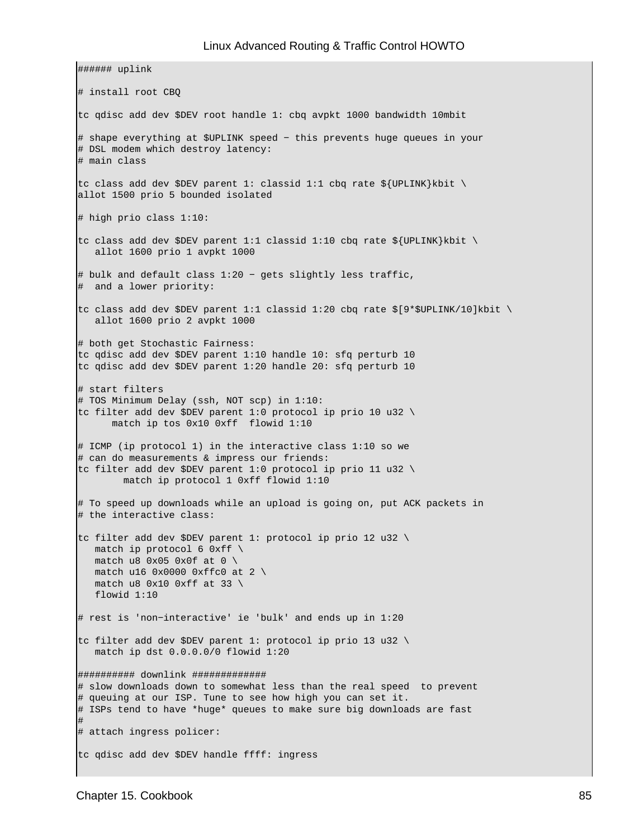###### uplink # install root CBQ tc qdisc add dev \$DEV root handle 1: cbq avpkt 1000 bandwidth 10mbit # shape everything at \$UPLINK speed − this prevents huge queues in your # DSL modem which destroy latency: # main class tc class add dev \$DEV parent 1: classid 1:1 cbq rate \${UPLINK}kbit \ allot 1500 prio 5 bounded isolated # high prio class 1:10: tc class add dev \$DEV parent 1:1 classid 1:10 cbq rate  $$$ {UPLINK}kbit \ allot 1600 prio 1 avpkt 1000 # bulk and default class 1:20 − gets slightly less traffic, # and a lower priority: tc class add dev \$DEV parent 1:1 classid 1:20 cbq rate \$[9\*\$UPLINK/10]kbit \ allot 1600 prio 2 avpkt 1000 # both get Stochastic Fairness: tc qdisc add dev \$DEV parent 1:10 handle 10: sfq perturb 10 tc qdisc add dev \$DEV parent 1:20 handle 20: sfq perturb 10 # start filters # TOS Minimum Delay (ssh, NOT scp) in 1:10: tc filter add dev \$DEV parent 1:0 protocol ip prio 10 u32 \ match ip tos 0x10 0xff flowid 1:10 # ICMP (ip protocol 1) in the interactive class 1:10 so we # can do measurements & impress our friends: tc filter add dev \$DEV parent 1:0 protocol ip prio 11 u32 \ match ip protocol 1 0xff flowid 1:10 # To speed up downloads while an upload is going on, put ACK packets in # the interactive class: tc filter add dev \$DEV parent 1: protocol ip prio 12 u32 \ match ip protocol 6 0xff  $\setminus$ match u8  $0x05$   $0x0f$  at  $0 \setminus$ match u16  $0x000000x$ ffc0 at 2 \ match u8  $0x10$   $0xff$  at 33 \ flowid 1:10 # rest is 'non−interactive' ie 'bulk' and ends up in 1:20 tc filter add dev \$DEV parent 1: protocol ip prio 13 u32 \ match ip dst 0.0.0.0/0 flowid 1:20 ########## downlink ############# # slow downloads down to somewhat less than the real speed to prevent # queuing at our ISP. Tune to see how high you can set it. # ISPs tend to have \*huge\* queues to make sure big downloads are fast # # attach ingress policer: tc qdisc add dev \$DEV handle ffff: ingress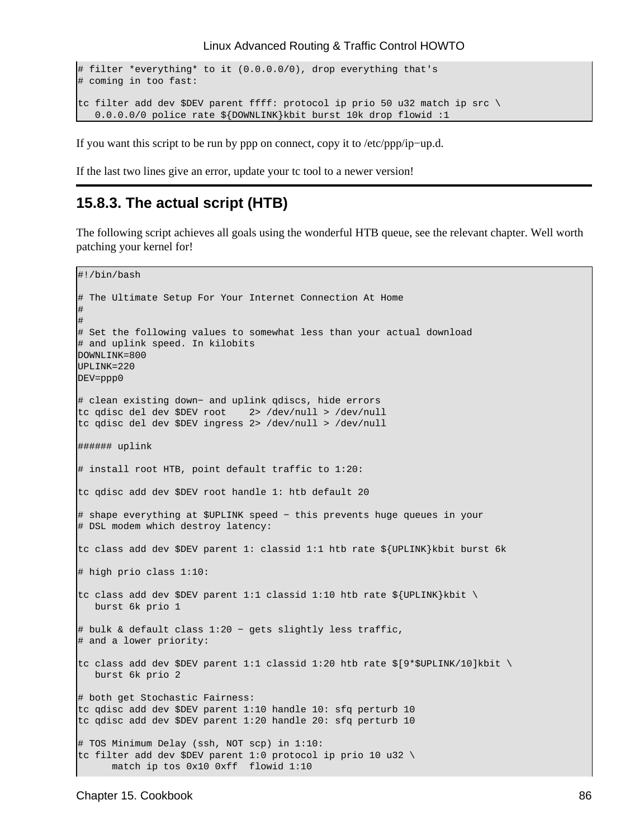```
# filter *everything* to it (0.0.0.0/0), drop everything that's
# coming in too fast:
tc filter add dev $DEV parent ffff: protocol ip prio 50 u32 match ip src \
   0.0.0.0/0 police rate ${DOWNLINK}kbit burst 10k drop flowid :1
```
If you want this script to be run by ppp on connect, copy it to /etc/ppp/ip−up.d.

If the last two lines give an error, update your tc tool to a newer version!

#### **15.8.3. The actual script (HTB)**

The following script achieves all goals using the wonderful HTB queue, see the relevant chapter. Well worth patching your kernel for!

```
#!/bin/bash
# The Ultimate Setup For Your Internet Connection At Home
# 
#
# Set the following values to somewhat less than your actual download
# and uplink speed. In kilobits
DOWNLINK=800
UPLINK=220
DEV=ppp0
# clean existing down− and uplink qdiscs, hide errors
tc qdisc del dev $DEV root 2> /dev/null > /dev/null
tc qdisc del dev $DEV ingress 2> /dev/null > /dev/null
###### uplink
# install root HTB, point default traffic to 1:20:
tc qdisc add dev $DEV root handle 1: htb default 20
# shape everything at $UPLINK speed − this prevents huge queues in your
# DSL modem which destroy latency:
tc class add dev $DEV parent 1: classid 1:1 htb rate ${UPLINK}kbit burst 6k
# high prio class 1:10:
tc class add dev $DEV parent 1:1 classid 1:10 htb rate ${UPLINK}kbit \
   burst 6k prio 1
# bulk & default class 1:20 − gets slightly less traffic, 
# and a lower priority:
tc class add dev $DEV parent 1:1 classid 1:20 htb rate $[9*$UPLINK/10]kbit \
    burst 6k prio 2
# both get Stochastic Fairness:
tc qdisc add dev $DEV parent 1:10 handle 10: sfq perturb 10
tc qdisc add dev $DEV parent 1:20 handle 20: sfq perturb 10
# TOS Minimum Delay (ssh, NOT scp) in 1:10:
tc filter add dev $DEV parent 1:0 protocol ip prio 10 u32 \
       match ip tos 0x10 0xff flowid 1:10
```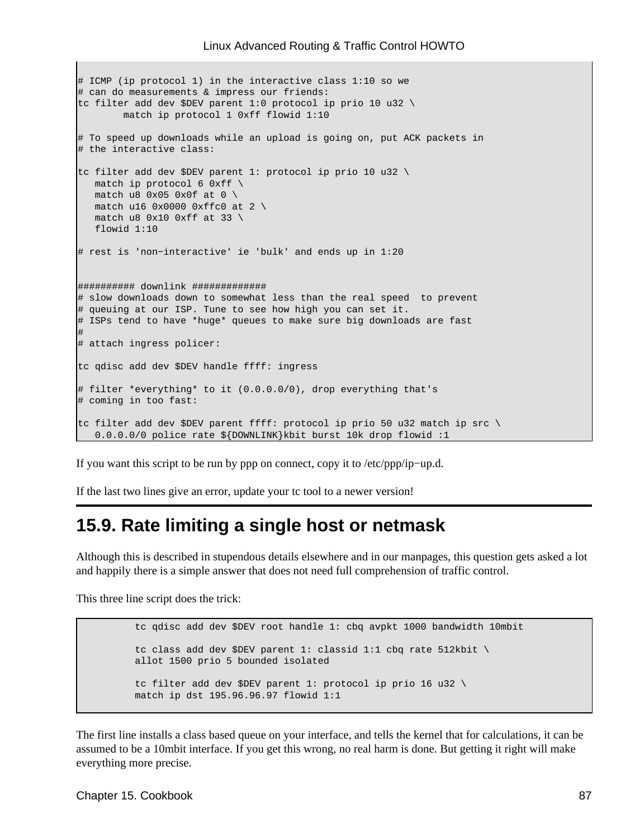```
# ICMP (ip protocol 1) in the interactive class 1:10 so we 
# can do measurements & impress our friends:
tc filter add dev $DEV parent 1:0 protocol ip prio 10 u32 \
         match ip protocol 1 0xff flowid 1:10
# To speed up downloads while an upload is going on, put ACK packets in
# the interactive class:
tc filter add dev $DEV parent 1: protocol ip prio 10 u32 \
  match ip protocol 6 0xff \setminusmatch u8 0x05 0x0f at 0 \setminusmatch u16 0x0000 0xffc0 at 2 \setminusmatch u8 0x10 0xff at 33 \
    flowid 1:10
# rest is 'non−interactive' ie 'bulk' and ends up in 1:20
########## downlink #############
# slow downloads down to somewhat less than the real speed to prevent 
# queuing at our ISP. Tune to see how high you can set it.
# ISPs tend to have *huge* queues to make sure big downloads are fast
#
# attach ingress policer:
tc qdisc add dev $DEV handle ffff: ingress
# filter *everything* to it (0.0.0.0/0), drop everything that's
# coming in too fast:
tc filter add dev $DEV parent ffff: protocol ip prio 50 u32 match ip src \
    0.0.0.0/0 police rate ${DOWNLINK}kbit burst 10k drop flowid :1
```
If you want this script to be run by ppp on connect, copy it to /etc/ppp/ip−up.d.

If the last two lines give an error, update your tc tool to a newer version!

### **15.9. Rate limiting a single host or netmask**

Although this is described in stupendous details elsewhere and in our manpages, this question gets asked a lot and happily there is a simple answer that does not need full comprehension of traffic control.

This three line script does the trick:

```
 tc qdisc add dev $DEV root handle 1: cbq avpkt 1000 bandwidth 10mbit 
 tc class add dev $DEV parent 1: classid 1:1 cbq rate 512kbit \
 allot 1500 prio 5 bounded isolated 
 tc filter add dev $DEV parent 1: protocol ip prio 16 u32 \
 match ip dst 195.96.96.97 flowid 1:1
```
The first line installs a class based queue on your interface, and tells the kernel that for calculations, it can be assumed to be a 10mbit interface. If you get this wrong, no real harm is done. But getting it right will make everything more precise.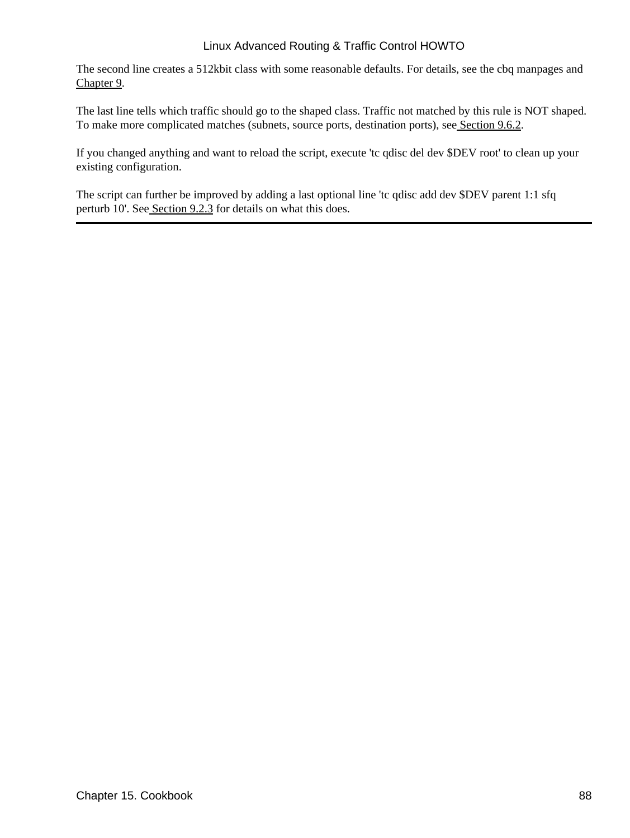The second line creates a 512kbit class with some reasonable defaults. For details, see the cbq manpages and [Chapter 9](#page-27-0).

The last line tells which traffic should go to the shaped class. Traffic not matched by this rule is NOT shaped. To make more complicated matches (subnets, source ports, destination ports), see [Section 9.6.2](#page-47-0).

If you changed anything and want to reload the script, execute 'tc qdisc del dev \$DEV root' to clean up your existing configuration.

The script can further be improved by adding a last optional line 'tc qdisc add dev \$DEV parent 1:1 sfq perturb 10'. See [Section 9.2.3](#page-32-0) for details on what this does.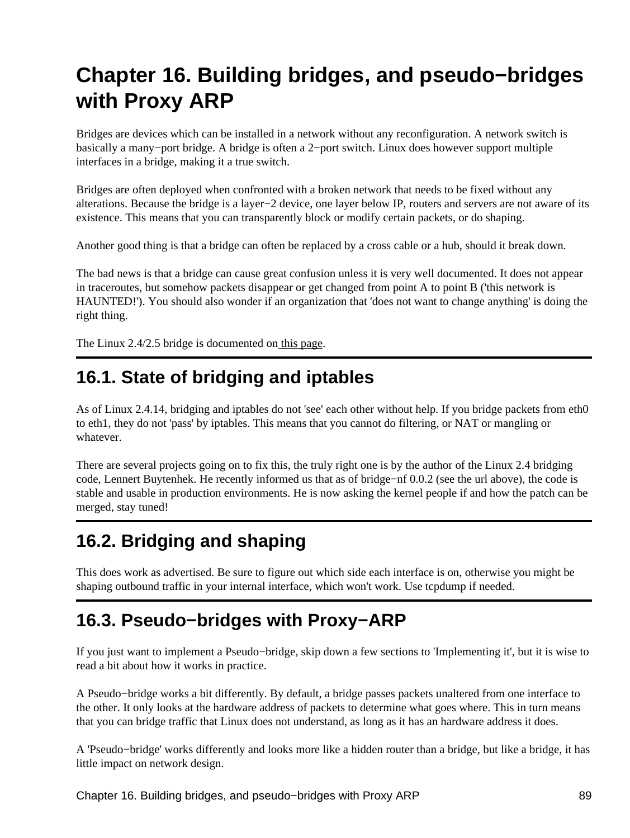# **Chapter 16. Building bridges, and pseudo−bridges with Proxy ARP**

Bridges are devices which can be installed in a network without any reconfiguration. A network switch is basically a many−port bridge. A bridge is often a 2−port switch. Linux does however support multiple interfaces in a bridge, making it a true switch.

Bridges are often deployed when confronted with a broken network that needs to be fixed without any alterations. Because the bridge is a layer−2 device, one layer below IP, routers and servers are not aware of its existence. This means that you can transparently block or modify certain packets, or do shaping.

Another good thing is that a bridge can often be replaced by a cross cable or a hub, should it break down.

The bad news is that a bridge can cause great confusion unless it is very well documented. It does not appear in traceroutes, but somehow packets disappear or get changed from point A to point B ('this network is HAUNTED!'). You should also wonder if an organization that 'does not want to change anything' is doing the right thing.

The Linux 2.4/2.5 bridge is documented on this page.

## **16.1. State of bridging and iptables**

As of Linux 2.4.14, bridging and iptables do not 'see' each other without help. If you bridge packets from eth0 to eth1, they do not 'pass' by iptables. This means that you cannot do filtering, or NAT or mangling or whatever.

There are several projects going on to fix this, the truly right one is by the author of the Linux 2.4 bridging code, Lennert Buytenhek. He recently informed us that as of bridge−nf 0.0.2 (see the url above), the code is stable and usable in production environments. He is now asking the kernel people if and how the patch can be merged, stay tuned!

## **16.2. Bridging and shaping**

This does work as advertised. Be sure to figure out which side each interface is on, otherwise you might be shaping outbound traffic in your internal interface, which won't work. Use tcpdump if needed.

## **16.3. Pseudo−bridges with Proxy−ARP**

If you just want to implement a Pseudo−bridge, skip down a few sections to 'Implementing it', but it is wise to read a bit about how it works in practice.

A Pseudo−bridge works a bit differently. By default, a bridge passes packets unaltered from one interface to the other. It only looks at the hardware address of packets to determine what goes where. This in turn means that you can bridge traffic that Linux does not understand, as long as it has an hardware address it does.

A 'Pseudo−bridge' works differently and looks more like a hidden router than a bridge, but like a bridge, it has little impact on network design.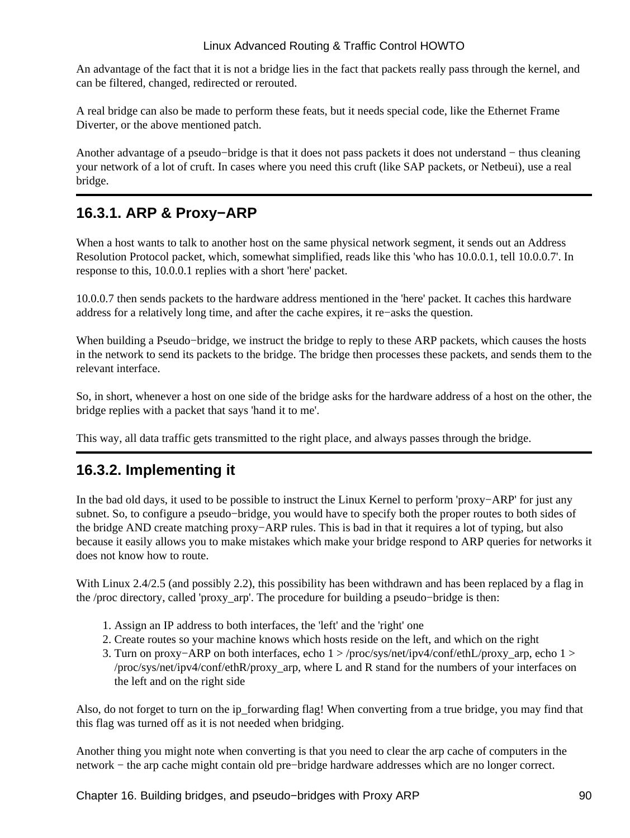An advantage of the fact that it is not a bridge lies in the fact that packets really pass through the kernel, and can be filtered, changed, redirected or rerouted.

A real bridge can also be made to perform these feats, but it needs special code, like the Ethernet Frame Diverter, or the above mentioned patch.

Another advantage of a pseudo−bridge is that it does not pass packets it does not understand − thus cleaning your network of a lot of cruft. In cases where you need this cruft (like SAP packets, or Netbeui), use a real bridge.

### **16.3.1. ARP & Proxy−ARP**

When a host wants to talk to another host on the same physical network segment, it sends out an Address Resolution Protocol packet, which, somewhat simplified, reads like this 'who has 10.0.0.1, tell 10.0.0.7'. In response to this, 10.0.0.1 replies with a short 'here' packet.

10.0.0.7 then sends packets to the hardware address mentioned in the 'here' packet. It caches this hardware address for a relatively long time, and after the cache expires, it re−asks the question.

When building a Pseudo−bridge, we instruct the bridge to reply to these ARP packets, which causes the hosts in the network to send its packets to the bridge. The bridge then processes these packets, and sends them to the relevant interface.

So, in short, whenever a host on one side of the bridge asks for the hardware address of a host on the other, the bridge replies with a packet that says 'hand it to me'.

This way, all data traffic gets transmitted to the right place, and always passes through the bridge.

### **16.3.2. Implementing it**

In the bad old days, it used to be possible to instruct the Linux Kernel to perform 'proxy−ARP' for just any subnet. So, to configure a pseudo−bridge, you would have to specify both the proper routes to both sides of the bridge AND create matching proxy−ARP rules. This is bad in that it requires a lot of typing, but also because it easily allows you to make mistakes which make your bridge respond to ARP queries for networks it does not know how to route.

With Linux 2.4/2.5 (and possibly 2.2), this possibility has been withdrawn and has been replaced by a flag in the /proc directory, called 'proxy\_arp'. The procedure for building a pseudo−bridge is then:

- 1. Assign an IP address to both interfaces, the 'left' and the 'right' one
- 2. Create routes so your machine knows which hosts reside on the left, and which on the right
- Turn on proxy−ARP on both interfaces, echo 1 > /proc/sys/net/ipv4/conf/ethL/proxy\_arp, echo 1 > 3. /proc/sys/net/ipv4/conf/ethR/proxy\_arp, where L and R stand for the numbers of your interfaces on the left and on the right side

Also, do not forget to turn on the ip\_forwarding flag! When converting from a true bridge, you may find that this flag was turned off as it is not needed when bridging.

Another thing you might note when converting is that you need to clear the arp cache of computers in the network − the arp cache might contain old pre−bridge hardware addresses which are no longer correct.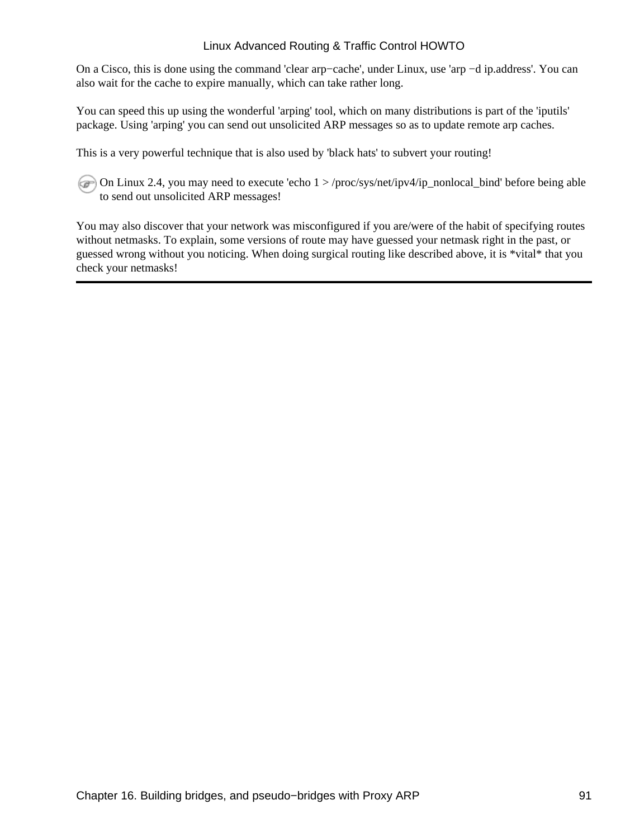On a Cisco, this is done using the command 'clear arp−cache', under Linux, use 'arp −d ip.address'. You can also wait for the cache to expire manually, which can take rather long.

You can speed this up using the wonderful 'arping' tool, which on many distributions is part of the 'iputils' package. Using 'arping' you can send out unsolicited ARP messages so as to update remote arp caches.

This is a very powerful technique that is also used by 'black hats' to subvert your routing!

On Linux 2.4, you may need to execute 'echo 1 > /proc/sys/net/ipv4/ip\_nonlocal\_bind' before being able to send out unsolicited ARP messages!

You may also discover that your network was misconfigured if you are/were of the habit of specifying routes without netmasks. To explain, some versions of route may have guessed your netmask right in the past, or guessed wrong without you noticing. When doing surgical routing like described above, it is \*vital\* that you check your netmasks!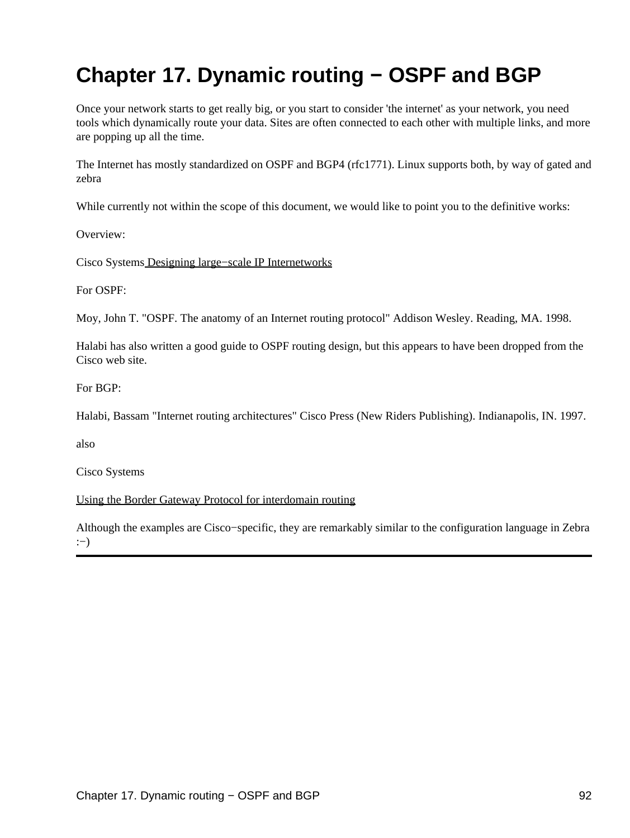# **Chapter 17. Dynamic routing − OSPF and BGP**

Once your network starts to get really big, or you start to consider 'the internet' as your network, you need tools which dynamically route your data. Sites are often connected to each other with multiple links, and more are popping up all the time.

The Internet has mostly standardized on OSPF and BGP4 (rfc1771). Linux supports both, by way of gated and zebra

While currently not within the scope of this document, we would like to point you to the definitive works:

Overview:

Cisco System[s Designing large−scale IP Internetworks](http://www.cisco.com/univercd/cc/td/doc/cisintwk/idg4/nd2003.htm)

For OSPF:

Moy, John T. "OSPF. The anatomy of an Internet routing protocol" Addison Wesley. Reading, MA. 1998.

Halabi has also written a good guide to OSPF routing design, but this appears to have been dropped from the Cisco web site.

For BGP:

Halabi, Bassam "Internet routing architectures" Cisco Press (New Riders Publishing). Indianapolis, IN. 1997.

also

Cisco Systems

[Using the Border Gateway Protocol for interdomain routing](http://www.cisco.com/univercd/cc/td/doc/cisintwk/ics/icsbgp4.htm)

Although the examples are Cisco−specific, they are remarkably similar to the configuration language in Zebra :−)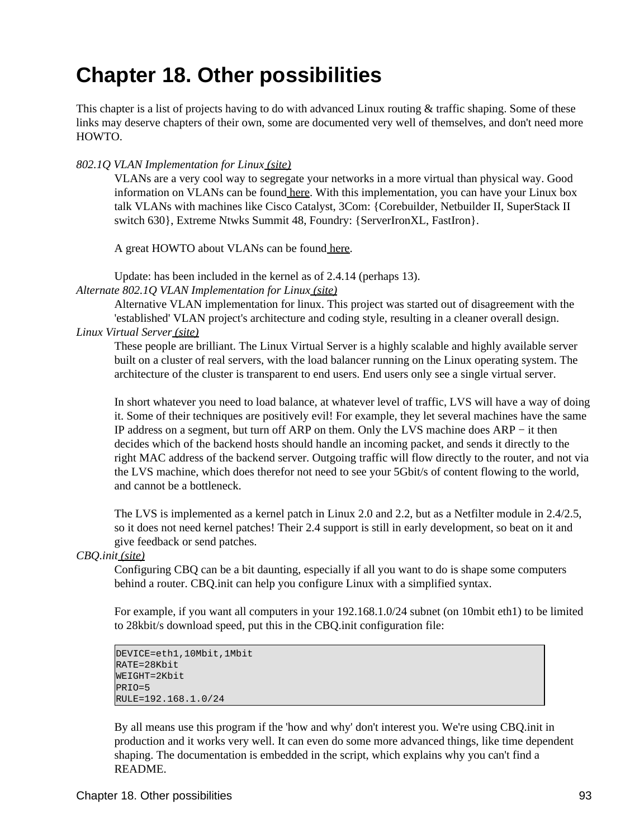# **Chapter 18. Other possibilities**

This chapter is a list of projects having to do with advanced Linux routing & traffic shaping. Some of these links may deserve chapters of their own, some are documented very well of themselves, and don't need more HOWTO.

#### *802.1Q VLAN Implementation for Linux [\(site\)](http://scry.wanfear.com/~greear/vlan.html)*

VLANs are a very cool way to segregate your networks in a more virtual than physical way. Good information on VLANs can be found [here](ftp://ftp.netlab.ohio-state.edu/pub/jain/courses/cis788-97/virtual_lans/index.htm). With this implementation, you can have your Linux box talk VLANs with machines like Cisco Catalyst, 3Com: {Corebuilder, Netbuilder II, SuperStack II switch 630}, Extreme Ntwks Summit 48, Foundry: {ServerIronXL, FastIron}.

A great HOWTO about VLANs can be found [here](http://scry.wanfear.com/~greear/vlan/cisco_howto.html).

Update: has been included in the kernel as of 2.4.14 (perhaps 13).

*Alternate 802.1Q VLAN Implementation for Linu[x \(site\)](http://vlan.sourceforge.net )*

Alternative VLAN implementation for linux. This project was started out of disagreement with the 'established' VLAN project's architecture and coding style, resulting in a cleaner overall design. *Linux Virtual Serve[r \(site\)](http://www.LinuxVirtualServer.org/)*

These people are brilliant. The Linux Virtual Server is a highly scalable and highly available server built on a cluster of real servers, with the load balancer running on the Linux operating system. The architecture of the cluster is transparent to end users. End users only see a single virtual server.

In short whatever you need to load balance, at whatever level of traffic, LVS will have a way of doing it. Some of their techniques are positively evil! For example, they let several machines have the same IP address on a segment, but turn off ARP on them. Only the LVS machine does ARP − it then decides which of the backend hosts should handle an incoming packet, and sends it directly to the right MAC address of the backend server. Outgoing traffic will flow directly to the router, and not via the LVS machine, which does therefor not need to see your 5Gbit/s of content flowing to the world, and cannot be a bottleneck.

The LVS is implemented as a kernel patch in Linux 2.0 and 2.2, but as a Netfilter module in 2.4/2.5, so it does not need kernel patches! Their 2.4 support is still in early development, so beat on it and give feedback or send patches.

*CBQ.ini[t \(site\)](ftp://ftp.equinox.gu.net/pub/linux/cbq/)*

Configuring CBQ can be a bit daunting, especially if all you want to do is shape some computers behind a router. CBQ.init can help you configure Linux with a simplified syntax.

For example, if you want all computers in your 192.168.1.0/24 subnet (on 10mbit eth1) to be limited to 28kbit/s download speed, put this in the CBQ.init configuration file:

```
DEVICE=eth1,10Mbit,1Mbit
RATE=28Kbit
WEIGHT=2Kbit
PRTO=5RULE=192.168.1.0/24
```
By all means use this program if the 'how and why' don't interest you. We're using CBQ.init in production and it works very well. It can even do some more advanced things, like time dependent shaping. The documentation is embedded in the script, which explains why you can't find a README.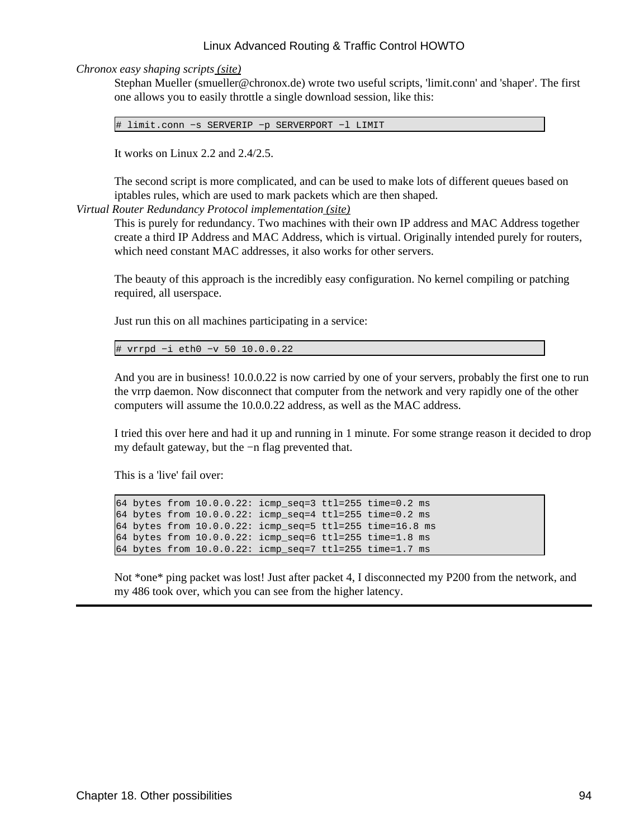*Chronox easy shaping script[s \(site\)](http://www.chronox.de)*

Stephan Mueller (smueller@chronox.de) wrote two useful scripts, 'limit.conn' and 'shaper'. The first one allows you to easily throttle a single download session, like this:

# limit.conn −s SERVERIP −p SERVERPORT −l LIMIT

It works on Linux 2.2 and 2.4/2.5.

The second script is more complicated, and can be used to make lots of different queues based on iptables rules, which are used to mark packets which are then shaped.

*Virtual Router Redundancy Protocol implementatio[n \(site\)](http://w3.arobas.net/~jetienne/vrrpd/index.html)*

This is purely for redundancy. Two machines with their own IP address and MAC Address together create a third IP Address and MAC Address, which is virtual. Originally intended purely for routers, which need constant MAC addresses, it also works for other servers.

The beauty of this approach is the incredibly easy configuration. No kernel compiling or patching required, all userspace.

Just run this on all machines participating in a service:

```
# vrrpd −i eth0 −v 50 10.0.0.22
```
And you are in business! 10.0.0.22 is now carried by one of your servers, probably the first one to run the vrrp daemon. Now disconnect that computer from the network and very rapidly one of the other computers will assume the 10.0.0.22 address, as well as the MAC address.

I tried this over here and had it up and running in 1 minute. For some strange reason it decided to drop my default gateway, but the −n flag prevented that.

This is a 'live' fail over:

64 bytes from 10.0.0.22: icmp\_seq=3 ttl=255 time=0.2 ms 64 bytes from  $10.0.0.22$ : icmp seq=4 ttl=255 time=0.2 ms 64 bytes from 10.0.0.22: icmp\_seq=5 ttl=255 time=16.8 ms 64 bytes from 10.0.0.22: icmp\_seq=6 ttl=255 time=1.8 ms 64 bytes from 10.0.0.22: icmp\_seq=7 ttl=255 time=1.7 ms

Not \*one\* ping packet was lost! Just after packet 4, I disconnected my P200 from the network, and my 486 took over, which you can see from the higher latency.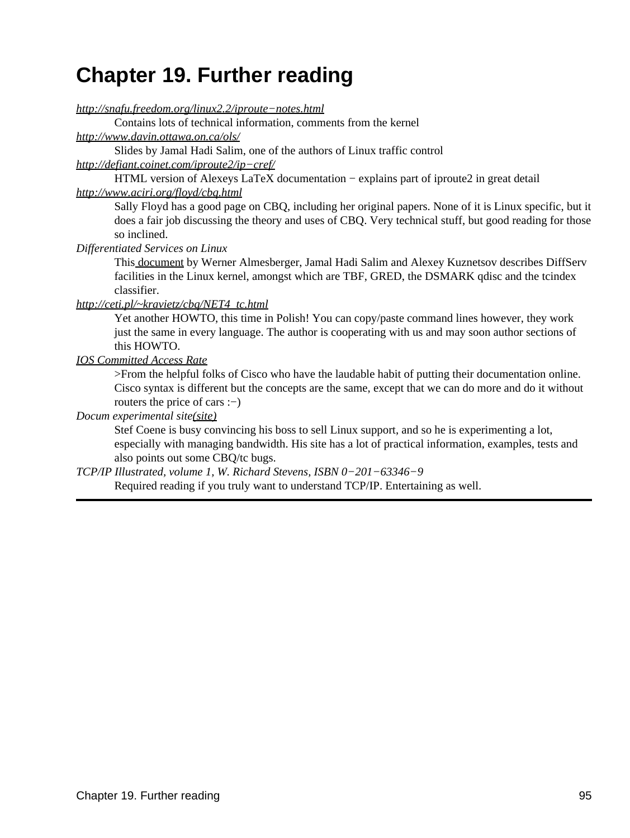# **Chapter 19. Further reading**

*[http://snafu.freedom.org/linux2.2/iproute−notes.html](http://snafu.freedom.org/linux2.2/iproute-notes.html)*

Contains lots of technical information, comments from the kernel

*<http://www.davin.ottawa.on.ca/ols/>*

Slides by Jamal Hadi Salim, one of the authors of Linux traffic control

#### *[http://defiant.coinet.com/iproute2/ip−cref/](http://defiant.coinet.com/iproute2/ip-cref/)*

HTML version of Alexeys LaTeX documentation − explains part of iproute2 in great detail *<http://www.aciri.org/floyd/cbq.html>*

Sally Floyd has a good page on CBQ, including her original papers. None of it is Linux specific, but it does a fair job discussing the theory and uses of CBQ. Very technical stuff, but good reading for those so inclined.

*Differentiated Services on Linux*

This [document](ftp://icaftp.epfl.ch/pub/linux/diffserv/misc/dsid-01.txt.gz) by Werner Almesberger, Jamal Hadi Salim and Alexey Kuznetsov describes DiffServ facilities in the Linux kernel, amongst which are TBF, GRED, the DSMARK qdisc and the tcindex classifier.

#### *[http://ceti.pl/~kravietz/cbq/NET4\\_tc.html](http://ceti.pl/~kravietz/cbq/NET4_tc.html)*

Yet another HOWTO, this time in Polish! You can copy/paste command lines however, they work just the same in every language. The author is cooperating with us and may soon author sections of this HOWTO.

#### *[IOS Committed Access Rate](http://www.cisco.com/univercd/cc/td/doc/product/software/ios111/cc111/car.htm)*

>From the helpful folks of Cisco who have the laudable habit of putting their documentation online. Cisco syntax is different but the concepts are the same, except that we can do more and do it without routers the price of cars :−)

#### *Docum experimental site[\(site\)](http://www.docum.org)*

Stef Coene is busy convincing his boss to sell Linux support, and so he is experimenting a lot, especially with managing bandwidth. His site has a lot of practical information, examples, tests and also points out some CBQ/tc bugs.

*TCP/IP Illustrated, volume 1, W. Richard Stevens, ISBN 0−201−63346−9*

Required reading if you truly want to understand TCP/IP. Entertaining as well.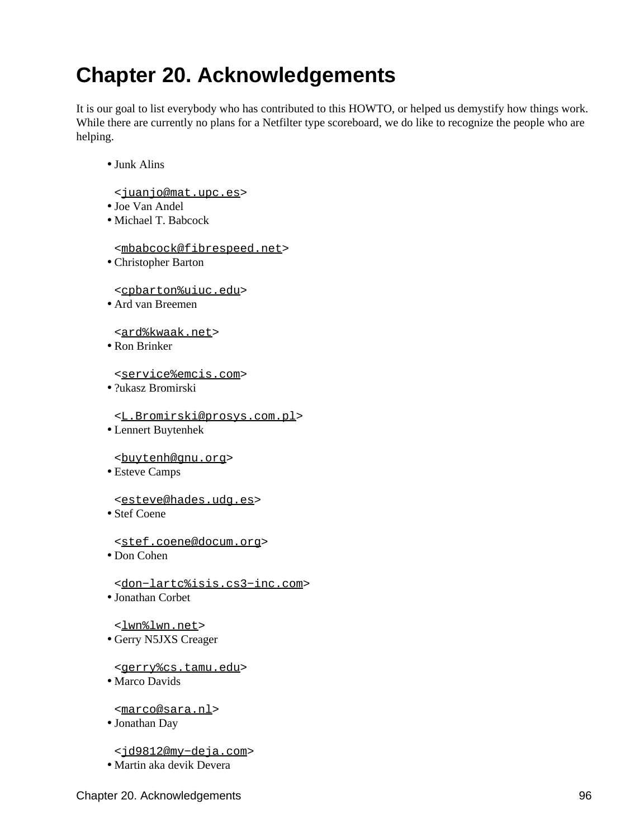# **Chapter 20. Acknowledgements**

It is our goal to list everybody who has contributed to this HOWTO, or helped us demystify how things work. While there are currently no plans for a Netfilter type scoreboard, we do like to recognize the people who are helping.

#### Junk Alins •

- <[juanjo@mat.upc.es>](mailto:juanjo@mat.upc.es)
- Joe Van Andel
- Michael T. Babcock •

<[mbabcock@fibrespeed.net](mailto:mbabcock@fibrespeed.net)>

Christopher Barton •

<[cpbarton%uiuc.edu>](mailto:cpbarton%uiuc.edu)

Ard van Breemen •

<[ard%kwaak.net](mailto:ard%kwaak.net)>

Ron Brinker •

<[service%emcis.com>](mailto:service%emcis.com)

?ukasz Bromirski •

<[L.Bromirski@prosys.com.pl>](mailto:L.Bromirski@prosys.com.pl)

Lennert Buytenhek •

<[buytenh@gnu.org>](mailto:buytenh@gnu.org)

Esteve Camps •

<[esteve@hades.udg.es>](mailto:esteve@hades.udg.es)

Stef Coene •

<[stef.coene@docum.org>](mailto:stef.coene@docum.org)

Don Cohen •

<[don−lartc%isis.cs3−inc.com](mailto:don-lartc%isis.cs3-inc.com)>

Jonathan Corbet •

<[lwn%lwn.net](mailto:lwn%lwn.net)>

Gerry N5JXS Creager •

<[gerry%cs.tamu.edu>](mailto:gerry%cs.tamu.edu)

• Marco Davids

<[marco@sara.nl](mailto:marco@sara.nl)>

Jonathan Day •

<[jd9812@my−deja.com](mailto:jd9812@my-deja.com)>

• Martin aka devik Devera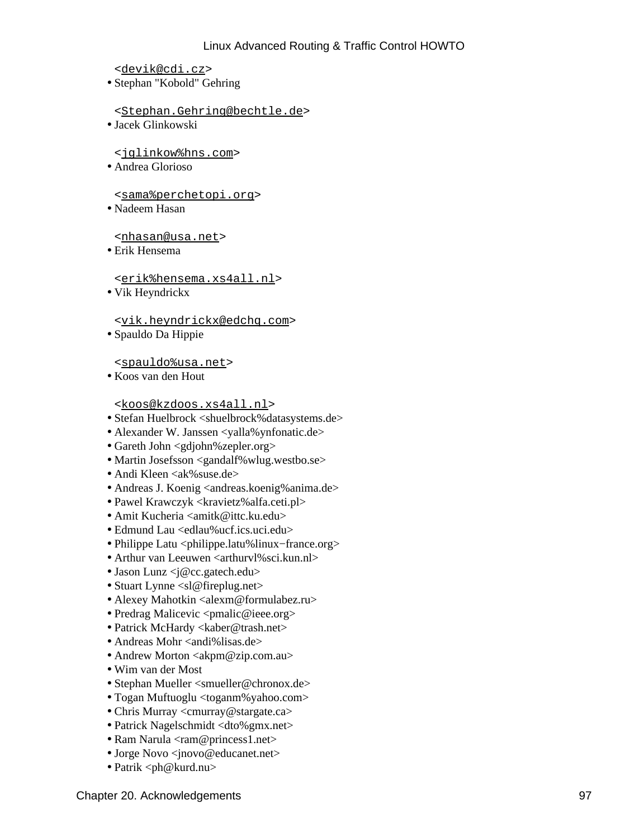<[devik@cdi.cz>](mailto:devik@cdi.cz)

Stephan "Kobold" Gehring •

<[Stephan.Gehring@bechtle.de](mailto:Stephan.Gehring@bechtle.de)>

Jacek Glinkowski •

<[jglinkow%hns.com](mailto:jglinkow%hns.com)>

Andrea Glorioso •

<[sama%perchetopi.org>](mailto:sama%perchetopi.org)

Nadeem Hasan •

<[nhasan@usa.net>](mailto:nhasan@usa.net)

Erik Hensema •

<[erik%hensema.xs4all.nl>](mailto:erik%hensema.xs4all.nl)

• Vik Heyndrickx

<[vik.heyndrickx@edchq.com](mailto:vik.heyndrickx@edchq.com)>

Spauldo Da Hippie •

<[spauldo%usa.net>](mailto:spauldo%usa.net)

Koos van den Hout •

<[koos@kzdoos.xs4all.nl](mailto:koos@kzdoos.xs4all.nl)>

- Stefan Huelbrock <shuelbrock%datasystems.de>
- Alexander W. Janssen <yalla%ynfonatic.de>
- Gareth John <gdjohn%zepler.org>
- Martin Josefsson <gandalf%wlug.westbo.se>
- Andi Kleen  $\langle a \times \rangle$ suse.de $>$
- Andreas J. Koenig <andreas.koenig%anima.de>
- Pawel Krawczyk <kravietz%alfa.ceti.pl>
- Amit Kucheria <amitk@ittc.ku.edu>
- Edmund Lau <edlau%ucf.ics.uci.edu>
- Philippe Latu <philippe.latu%linux−france.org>
- Arthur van Leeuwen <arthurvl%sci.kun.nl>
- Jason Lunz  $\langle i \otimes c$  gatech.edu>
- Stuart Lynne <sl@fireplug.net>
- Alexey Mahotkin  $\langle$ alexm@formulabez.ru $>$
- Predrag Malicevic <pmalic@ieee.org>
- Patrick McHardy <kaber@trash.net>
- Andreas Mohr <andi%lisas.de>
- Andrew Morton  $\langle \text{akpm@zip.com.au} \rangle$
- Wim van der Most
- Stephan Mueller <smueller@chronox.de>
- Togan Muftuoglu <toganm%yahoo.com>
- Chris Murray <cmurray@stargate.ca>
- Patrick Nagelschmidt <dto%gmx.net>
- Ram Narula <ram@princess1.net>
- Jorge Novo <jnovo@educanet.net>
- Patrik <ph@kurd.nu>